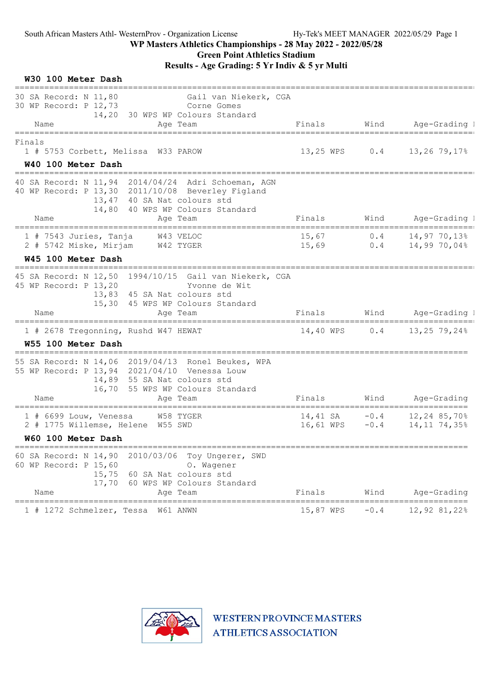Green Point Athletics Stadium

Results - Age Grading: 5 Yr Indiv & 5 yr Multi

| W30 100 Meter Dash                                                                                                                        |                                                                                                   |                       |                  |                                   |
|-------------------------------------------------------------------------------------------------------------------------------------------|---------------------------------------------------------------------------------------------------|-----------------------|------------------|-----------------------------------|
| 30 SA Record: N 11,80<br>30 WP Record: P 12,73                                                                                            | Gail van Niekerk, CGA<br>Corne Gomes<br>14,20 30 WPS WP Colours Standard                          |                       |                  |                                   |
| Name<br>==========                                                                                                                        | Age Team                                                                                          | Finals                | Wind             | Age-Grading 1                     |
| Finals<br>1 # 5753 Corbett, Melissa W33 PAROW<br>W40 100 Meter Dash                                                                       |                                                                                                   | 13,25 WPS             |                  | $0.4$ 13,26 79,17%                |
| ==========<br>40 SA Record: N 11,94 2014/04/24 Adri Schoeman, AGN<br>40 WP Record: P 13,30 2011/10/08 Beverley Figland<br>14,80           | 13,47 40 SA Nat colours std<br>40 WPS WP Colours Standard                                         |                       |                  |                                   |
| Name                                                                                                                                      | Age Team                                                                                          | Finals                |                  | Wind Age-Grading I                |
| $1$ # 7543 Juries, Tanja<br>2 # 5742 Miske, Mirjam                                                                                        | W43 VELOC<br>W42 TYGER                                                                            | 15,67<br>15,69        | 0.4<br>0.4       | $14,97$ $70,13\%$<br>14,99 70,04% |
| W45 100 Meter Dash                                                                                                                        |                                                                                                   |                       |                  |                                   |
| 45 SA Record: N 12,50 1994/10/15 Gail van Niekerk, CGA<br>45 WP Record: P 13,20<br>Name                                                   | Yvonne de Wit<br>13,83 45 SA Nat colours std<br>15,30 45 WPS WP Colours Standard<br>Age Team      | Finals                |                  | Wind Age-Grading I                |
| 1 # 2678 Tregonning, Rushd W47 HEWAT<br>W55 100 Meter Dash                                                                                |                                                                                                   | 14,40 WPS             | 0.4              | $13,25$ 79,24%                    |
| =================<br>55 SA Record: N 14,06 2019/04/13 Ronel Beukes, WPA<br>55 WP Record: P 13,94 2021/04/10 Venessa Louw<br>16,70<br>Name | 14,89 55 SA Nat colours std<br>55 WPS WP Colours Standard<br>Age Team                             | Finals                | Wind             | Age-Grading                       |
| $1$ # 6699 Louw, Venessa<br>2 # 1775 Willemse, Helene W55 SWD<br>W60 100 Meter Dash                                                       | W58 TYGER                                                                                         | 14,41 SA<br>16,61 WPS | $-0.4$<br>$-0.4$ | 12,24 85,70%<br>14, 11 74, 35%    |
| =====================================                                                                                                     |                                                                                                   |                       |                  |                                   |
| 2010/03/06<br>60 SA Record: N 14,90<br>60 WP Record: P 15,60<br>15,75<br>17,70<br>Name                                                    | Toy Ungerer, SWD<br>O. Wagener<br>60 SA Nat colours std<br>60 WPS WP Colours Standard<br>Age Team | Finals                | Wind             | Age-Grading                       |
|                                                                                                                                           |                                                                                                   |                       |                  | ==========                        |
| 1 # 1272 Schmelzer, Tessa                                                                                                                 | W61 ANWN                                                                                          | 15,87 WPS             | $-0.4$           | 12,92 81,22%                      |

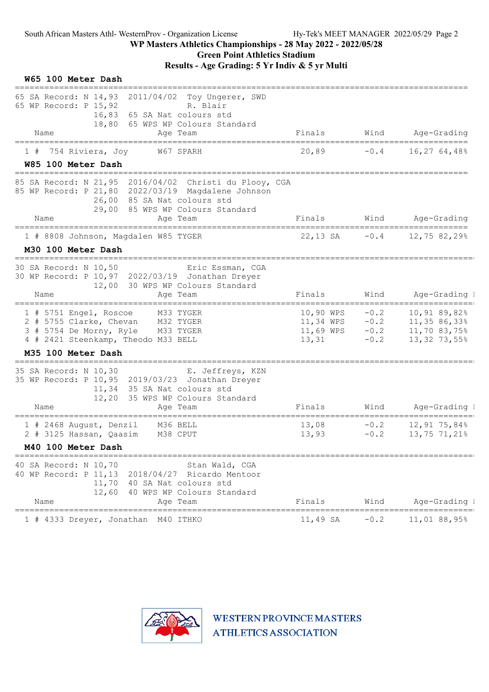| W65 100 Meter Dash                                                                                                                                                                                               |                                              |                                      |                                                                      |
|------------------------------------------------------------------------------------------------------------------------------------------------------------------------------------------------------------------|----------------------------------------------|--------------------------------------|----------------------------------------------------------------------|
| 65 SA Record: N 14,93<br>2011/04/02 Toy Ungerer, SWD<br>65 WP Record: P 15,92<br>R. Blair<br>16,83<br>65 SA Nat colours std<br>18,80<br>65 WPS WP Colours Standard<br>Name<br>Age Team                           | Finals                                       | Wind                                 | Age-Grading                                                          |
| ======================<br>W67 SPARH<br>754 Riviera, Joy<br>W85 100 Meter Dash<br>==============================                                                                                                  | 20,89                                        | $-0.4$                               | 16,27 64,48%                                                         |
| 85 SA Record: N 21,95 2016/04/02 Christi du Plooy, CGA<br>85 WP Record: P 21,80 2022/03/19 Magdalene Johnson<br>85 SA Nat colours std<br>26,00<br>85 WPS WP Colours Standard<br>29,00<br>Name<br>Age Team        | Finals                                       |                                      | Wind Age-Grading                                                     |
| ================================<br>1 # 8808 Johnson, Magdalen W85 TYGER<br>M30 100 Meter Dash                                                                                                                   | ===========<br>$22,13$ SA $-0.4$             |                                      | =============<br>12,75 82,29%                                        |
| ===============================<br>30 SA Record: N 10,50<br>Eric Essman, CGA<br>30 WP Record: P 10,97 2022/03/19 Jonathan Dreyer<br>12,00<br>30 WPS WP Colours Standard<br>Name<br>Age Team                      | Finals                                       | Wind                                 | Age-Grading 1                                                        |
| 1 # 5751 Engel, Roscoe M33 TYGER<br>2 # 5755 Clarke, Chevan<br>M32 TYGER<br>3 # 5754 De Morny, Ryle M33 TYGER<br>4 # 2421 Steenkamp, Theodo M33 BELL                                                             | 10,90 WPS<br>11,34 WPS<br>11,69 WPS<br>13,31 | $-0.2$<br>$-0.2$<br>$-0.2$<br>$-0.2$ | 10,91 89,82%<br>11,35 86,33%<br>11,70 83,75%<br>13,32 73,55%         |
| M35 100 Meter Dash<br>35 SA Record: N 10,30<br>E. Jeffreys, KZN<br>35 WP Record: P 10,95 2019/03/23 Jonathan Dreyer<br>11,34<br>35 SA Nat colours std<br>12,20<br>35 WPS WP Colours Standard<br>Name<br>Age Team | Finals                                       | Wind                                 | Age-Grading 1                                                        |
| ===================================<br>==============<br>1 # 2468 August, Denzil<br>M36 BELL<br>2 # 3125 Hassan, Qaasim M38 CPUT<br>M40 100 Meter Dash                                                           | 13,08<br>13,93                               | $-0.2$<br>$-0.2$                     | ==================================<br>$12,91$ 75,84%<br>13,75 71,21% |
| 40 SA Record: N 10,70<br>Stan Wald, CGA<br>40 WP Record: P 11, 13<br>2018/04/27 Ricardo Mentoor<br>11,70<br>40 SA Nat colours std<br>12,60<br>40 WPS WP Colours Standard<br>Name<br>Age Team                     | Finals                                       | Wind                                 | Age-Grading I                                                        |
| ======================<br>==========<br>1 # 4333 Dreyer, Jonathan M40 ITHKO                                                                                                                                      | ========================<br>11,49 SA         | $-0.2$                               | =====================<br>11,01 88,95%                                |

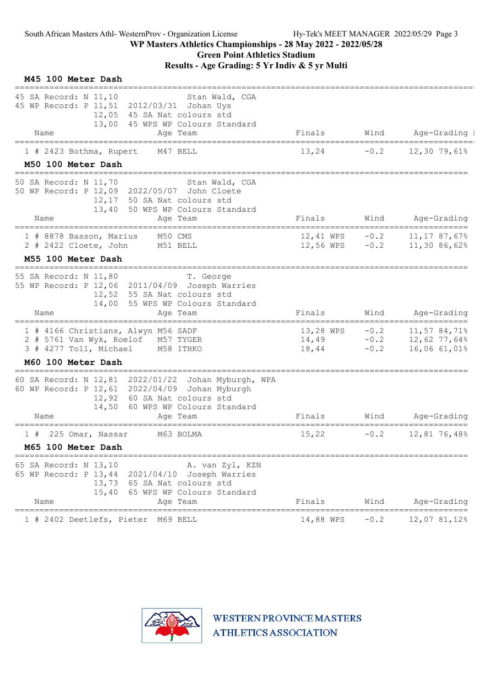| M45 100 Meter Dash                                                                                                                                                                                  |                               |                            |                                              |
|-----------------------------------------------------------------------------------------------------------------------------------------------------------------------------------------------------|-------------------------------|----------------------------|----------------------------------------------|
| 45 SA Record: N 11,10<br>Stan Wald, CGA<br>45 WP Record: P 11,51<br>2012/03/31 Johan Uys<br>12,05<br>45 SA Nat colours std<br>13,00<br>45 WPS WP Colours Standard<br>Name                           | Finals                        | Wind                       |                                              |
| Age Team<br>---------                                                                                                                                                                               |                               |                            | Age-Grading 1                                |
| 1 # 2423 Bothma, Rupert<br>M47 BELL<br>M50 100 Meter Dash                                                                                                                                           | 13,24                         | $-0.2$                     | 12,30 79,61%                                 |
| 50 SA Record: N 11,70<br>Stan Wald, CGA<br>50 WP Record: P 12,09 2022/05/07 John Cloete<br>12,17<br>50 SA Nat colours std<br>13,40<br>50 WPS WP Colours Standard<br>Name<br>Age Team                | Finals                        | Wind                       | Age-Grading                                  |
|                                                                                                                                                                                                     |                               |                            |                                              |
| 1 # 8878 Basson, Marius<br>M50 CMS<br>$2$ # 2422 Cloete, John<br>M51 BELL<br>M55 100 Meter Dash                                                                                                     | 12,41 WPS<br>12,56 WPS $-0.2$ | $-0.2$                     | 11,17 87,67%<br>11,30 86,62%                 |
| 55 SA Record: N 11,80<br>T. George<br>55 WP Record: P 12,06 2011/04/09 Joseph Warries<br>12,52 55 SA Nat colours std<br>14,00<br>55 WPS WP Colours Standard<br>Name<br>Age Team                     | Finals                        | Wind                       | Age-Grading                                  |
| 1 # 4166 Christians, Alwyn M56 SADF<br>2 # 5761 Van Wyk, Roelof M57 TYGER<br>3 # 4277 Toll, Michael<br>M58 ITHKO<br>M60 100 Meter Dash                                                              | 13,28 WPS<br>14,49<br>18,44   | $-0.2$<br>$-0.2$<br>$-0.2$ | 11,57 84,71%<br>12,62 77,64%<br>16,06 61,01% |
| 60 SA Record: N 12,81 2022/01/22 Johan Myburgh, WPA<br>60 WP Record: P 12, 61 2022/04/09 Johan Myburgh<br>60 SA Nat colours std<br>12,92<br>14,50<br>60 WPS WP Colours Standard<br>Name<br>Age Team | Finals                        | Wind                       | Age-Grading                                  |
| =============<br>M63 BOLMA<br>1#<br>225 Omar, Nassar<br>M65 100 Meter Dash                                                                                                                          | 15,22                         | $-0.2$                     | 12,81 76,48%                                 |
| 65 SA Record: N 13,10<br>A. van Zyl, KZN<br>65 WP Record: P 13,44<br>2021/04/10<br>Joseph Warries<br>13,73<br>65 SA Nat colours std<br>15,40<br>65 WPS WP Colours Standard<br>Name<br>Age Team      | Finals                        | Wind                       | Age-Grading                                  |
| ========<br>1 # 2402 Deetlefs, Pieter<br>M69 BELL                                                                                                                                                   | 14,88 WPS                     | $-0.2$                     | 12,07 81,12%                                 |

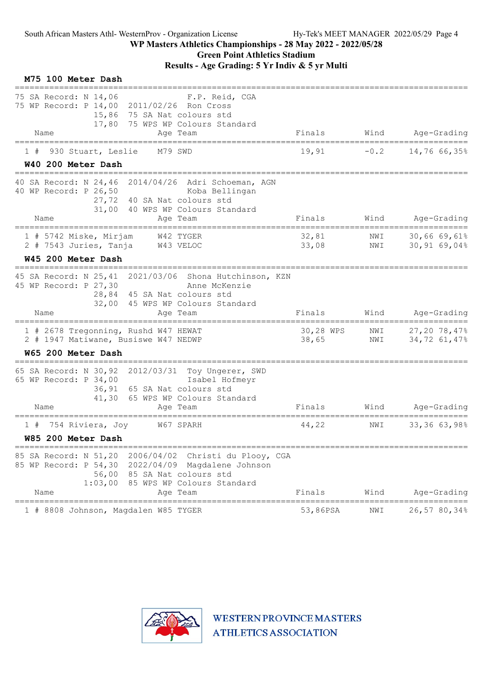| M75 100 Meter Dash                                                                                                                                                                                    |                    |            |                              |
|-------------------------------------------------------------------------------------------------------------------------------------------------------------------------------------------------------|--------------------|------------|------------------------------|
| 75 SA Record: N 14,06<br>F.P. Reid, CGA<br>75 WP Record: P 14,00 2011/02/26 Ron Cross<br>15,86 75 SA Nat colours std<br>17,80 75 WPS WP Colours Standard<br>Name<br>Age Team                          | Finals             | Wind       | Age-Grading                  |
| 930 Stuart, Leslie<br>M79 SWD<br>1#                                                                                                                                                                   | 19,91              | $-0.2$     | 14,76 66,35%                 |
| W40 200 Meter Dash                                                                                                                                                                                    |                    |            |                              |
| 40 SA Record: N 24,46 2014/04/26 Adri Schoeman, AGN<br>40 WP Record: P 26,50<br>Koba Bellingan<br>27,72 40 SA Nat colours std<br>31,00 40 WPS WP Colours Standard                                     |                    |            |                              |
| Name<br>Age Team<br>===========                                                                                                                                                                       | Finals             | Wind       | Age-Grading<br>======        |
| 1 # 5742 Miske, Mirjam<br>W42 TYGER<br>2 # 7543 Juries, Tanja<br>W43 VELOC                                                                                                                            | 32,81<br>33,08     | NWI<br>NWI | 30,66 69,61%<br>30,9169,048  |
| W45 200 Meter Dash                                                                                                                                                                                    |                    |            |                              |
| 2021/03/06 Shona Hutchinson, KZN<br>45 SA Record: N 25,41<br>45 WP Record: P 27,30<br>Anne McKenzie<br>28,84 45 SA Nat colours std<br>32,00<br>45 WPS WP Colours Standard<br>Name<br>Aqe Team         | Finals             | Wind       | Age-Grading                  |
| 1 # 2678 Tregonning, Rushd W47 HEWAT<br>2 # 1947 Matiwane, Busiswe W47 NEDWP                                                                                                                          | 30,28 WPS<br>38,65 | NWI<br>NWI | 27,20 78,47%<br>34,72 61,47% |
| W65 200 Meter Dash                                                                                                                                                                                    |                    |            |                              |
| 65 SA Record: N 30,92 2012/03/31 Toy Ungerer, SWD<br>65 WP Record: P 34,00<br>Isabel Hofmeyr<br>36,91 65 SA Nat colours std<br>41,30<br>65 WPS WP Colours Standard<br>Name<br>Age Team                | Finals             | Wind       | Age-Grading                  |
| 754 Riviera, Joy<br>W67 SPARH<br>1#<br>W85 200 Meter Dash                                                                                                                                             | 44,22              | NWI        | 33,36 63,98%                 |
| 85 SA Record: N 51,20 2006/04/02 Christi du Plooy, CGA<br>85 WP Record: P 54,30 2022/04/09 Magdalene Johnson<br>56,00 85 SA Nat colours std<br>1:03,00 85 WPS WP Colours Standard<br>Age Team<br>Name | Finals             | Wind       | Age-Grading                  |
| 1 # 8808 Johnson, Magdalen W85 TYGER                                                                                                                                                                  | 53,86PSA           | NWI        | 26,57 80,34%                 |

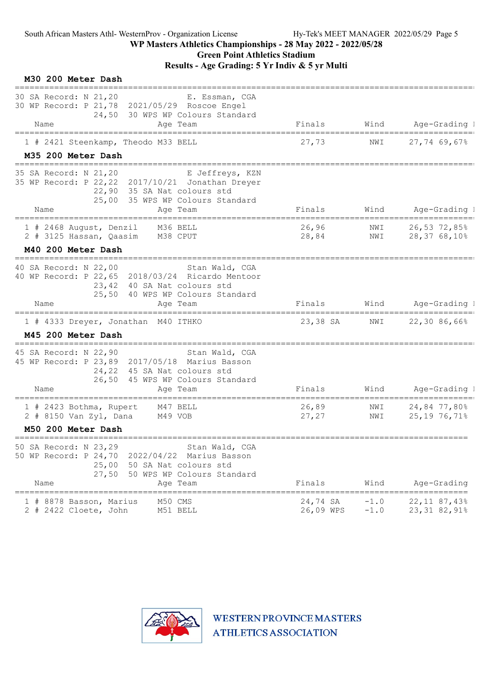## Green Point Athletics Stadium

| M30 200 Meter Dash                                                                                                                                                                        |                       |                  |                                              |
|-------------------------------------------------------------------------------------------------------------------------------------------------------------------------------------------|-----------------------|------------------|----------------------------------------------|
| 30 SA Record: N 21,20<br>E. Essman, CGA<br>30 WP Record: P 21,78 2021/05/29 Roscoe Engel<br>24,50 30 WPS WP Colours Standard                                                              |                       |                  |                                              |
| Name<br>Age Team                                                                                                                                                                          | Finals                | Wind             | Age-Grading I                                |
| 1 # 2421 Steenkamp, Theodo M33 BELL                                                                                                                                                       | 27,73                 | NWI              | 27,74 69,67%                                 |
| M35 200 Meter Dash                                                                                                                                                                        |                       |                  |                                              |
| 35 SA Record: N 21,20<br>E Jeffreys, KZN<br>35 WP Record: P 22, 22 2017/10/21 Jonathan Dreyer<br>22,90 35 SA Nat colours std<br>25,00 35 WPS WP Colours Standard<br>Name<br>Age Team      | Finals                | Wind             | Age-Grading 1                                |
| 1 # 2468 August, Denzil<br>M36 BELL<br>2 # 3125 Hassan, Qaasim<br>M38 CPUT                                                                                                                | 26,96<br>28,84        | NWI<br>NWI       | 26,53 72,85%<br>28,3768,10%                  |
| M40 200 Meter Dash<br>===============================                                                                                                                                     |                       |                  |                                              |
| 40 SA Record: N 22,00<br>Stan Wald, CGA<br>40 WP Record: P 22,65 2018/03/24 Ricardo Mentoor<br>23,42 40 SA Nat colours std<br>25,50 40 WPS WP Colours Standard                            |                       |                  |                                              |
| Name<br>Age Team                                                                                                                                                                          | Finals                |                  | Wind Age-Grading I                           |
| 1 # 4333 Dreyer, Jonathan M40 ITHKO<br>M45 200 Meter Dash                                                                                                                                 | 23,38 SA              | NWI              | 22,30 86,66%                                 |
| 45 SA Record: N 22,90<br>Stan Wald, CGA<br>45 WP Record: P 23,89 2017/05/18 Marius Basson<br>24,22 45 SA Nat colours std<br>26,50 45 WPS WP Colours Standard<br>Name<br>Age Team          | Finals                | Wind             | Age-Grading 1                                |
| 1 # 2423 Bothma, Rupert<br>M47 BELL<br>2 # 8150 Van Zyl, Dana<br>M49 VOB                                                                                                                  | 26,89<br>27,27        | NWI<br>NWI       | 24,84 77,80%<br>25,19 76,71%                 |
| M50 200 Meter Dash                                                                                                                                                                        |                       |                  |                                              |
| 50 SA Record: N 23,29<br>Stan Wald, CGA<br>50 WP Record: P 24,70<br>2022/04/22 Marius Basson<br>25,00<br>50 SA Nat colours std<br>27,50<br>50 WPS WP Colours Standard<br>Name<br>Age Team | Finals                | Wind             | Age-Grading                                  |
| M50 CMS<br>1 # 8878 Basson, Marius<br>2 # 2422 Cloete, John<br>M51 BELL                                                                                                                   | 24,74 SA<br>26,09 WPS | $-1.0$<br>$-1.0$ | ========<br>22, 11 87, 43%<br>23, 31 82, 91% |

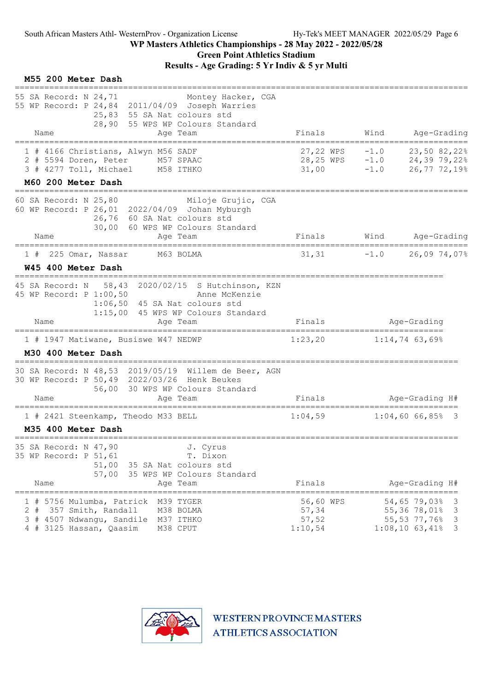#### WP Masters Athletics Championships - 28 May 2022 - 2022/05/28 Green Point Athletics Stadium Results - Age Grading: 5 Yr Indiv & 5 yr Multi

#### M55 200 Meter Dash

| 55 SA Record: N 24,71<br>Montey Hacker, CGA<br>55 WP Record: P 24,84 2011/04/09 Joseph Warries<br>25,83 55 SA Nat colours std<br>28,90 55 WPS WP Colours Standard<br>Name<br>Age Team     | Finals                                                                           | Wind             | Age-Grading                                                                                      |
|-------------------------------------------------------------------------------------------------------------------------------------------------------------------------------------------|----------------------------------------------------------------------------------|------------------|--------------------------------------------------------------------------------------------------|
| =====================================<br>1 # 4166 Christians, Alwyn M56 SADF<br>2 # 5594 Doren, Peter<br>M57 SPAAC<br>3 # 4277 Toll, Michael M58 ITHKO                                    | -------------------------------------<br>27,22 WPS<br>$28, 25 WPS -1.0$<br>31,00 | $-1.0$<br>$-1.0$ | 23,50 82,22%<br>$24,39$ 79,22%<br>26,77 72,19%                                                   |
| M60 200 Meter Dash<br>-----------------------------------<br>60 SA Record: N 25,80<br>Miloje Grujic, CGA                                                                                  |                                                                                  |                  |                                                                                                  |
| 60 WP Record: P 26,01 2022/04/09 Johan Myburgh<br>26,76 60 SA Nat colours std<br>30,00 60 WPS WP Colours Standard<br>Name<br>Age Team                                                     |                                                                                  |                  | Finals Wind Age-Grading                                                                          |
|                                                                                                                                                                                           |                                                                                  |                  |                                                                                                  |
| $1$ # 225 Omar, Nassar<br>M63 BOLMA<br>W45 400 Meter Dash                                                                                                                                 | 31,31                                                                            | $-1.0$           | 26,09 74,07%                                                                                     |
| 45 SA Record: N 58,43 2020/02/15 S Hutchinson, KZN<br>45 WP Record: P 1:00,50<br>Anne McKenzie<br>1:06,50 45 SA Nat colours std<br>1:15,00 45 WPS WP Colours Standard<br>Name<br>Age Team | Finals                                                                           |                  | Age-Grading                                                                                      |
| -------------------------<br>1 # 1947 Matiwane, Busiswe W47 NEDWP<br>M30 400 Meter Dash                                                                                                   | 1:23,20                                                                          |                  | $1:14,74$ 63,69%                                                                                 |
| 30 SA Record: N 48,53 2019/05/19 Willem de Beer, AGN<br>30 WP Record: P 50,49 2022/03/26 Henk Beukes<br>56,00 30 WPS WP Colours Standard                                                  |                                                                                  |                  |                                                                                                  |
| Name<br>Age Team                                                                                                                                                                          | Finals                                                                           |                  | Age-Grading H#                                                                                   |
| 1 # 2421 Steenkamp, Theodo M33 BELL<br>M35 400 Meter Dash                                                                                                                                 | 1:04,59                                                                          |                  | $1:04,6066,85$ 3                                                                                 |
| 35 SA Record: N 47,90<br>J. Cyrus<br>35 WP Record: P 51,61<br>T. Dixon<br>51,00<br>35 SA Nat colours std<br>57,00<br>35 WPS WP Colours Standard<br>Name<br>Age Team                       | Finals                                                                           |                  | Age-Grading H#                                                                                   |
| 5756 Mulumba, Patrick<br>M39 TYGER<br>$2 +$<br>357 Smith, Randall<br>M38 BOLMA<br>3<br>4507 Ndwangu, Sandile<br>#<br>M37 ITHKO<br>4 # 3125 Hassan, Qaasim<br>M38 CPUT                     | ------------<br>56,60 WPS<br>57,34<br>57,52<br>1:10,54                           |                  | --------<br>54,65 79,03%<br>3<br>55,36 78,01%<br>3<br>3<br>55,53 77,76%<br>$1:08,10$ 63,41%<br>3 |

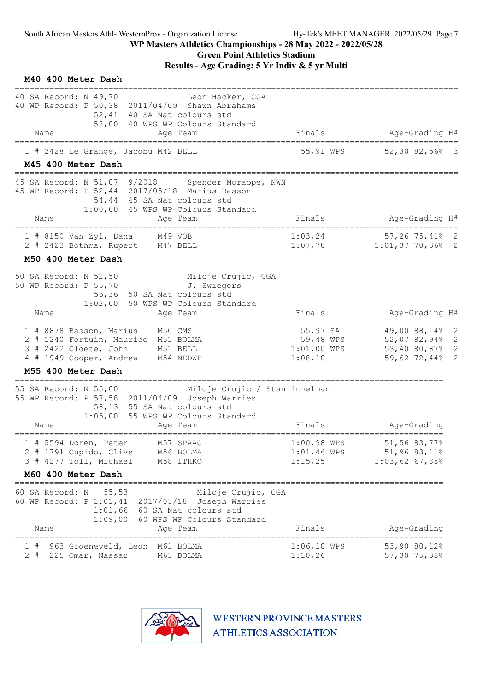# Green Point Athletics Stadium

Results - Age Grading: 5 Yr Indiv & 5 yr Multi

| M40 400 Meter Dash                                                                                                                                                                                 |                                                   |                                                                      |
|----------------------------------------------------------------------------------------------------------------------------------------------------------------------------------------------------|---------------------------------------------------|----------------------------------------------------------------------|
| 40 SA Record: N 49,70<br>Leon Hacker, CGA<br>40 WP Record: P 50,38 2011/04/09 Shawn Abrahams<br>52,41 40 SA Nat colours std<br>58,00 40 WPS WP Colours Standard<br>Name<br>Age Team                | Finals                                            | Age-Grading H#                                                       |
|                                                                                                                                                                                                    |                                                   |                                                                      |
| 1 # 2428 Le Grange, Jacobu M42 BELL<br>M45 400 Meter Dash                                                                                                                                          | 55,91 WPS                                         | 52,3082,5683                                                         |
| 45 SA Record: N 51,07 9/2018 Spencer Moraope, NWN<br>45 WP Record: P 52,44 2017/05/18 Marius Basson<br>54,44 45 SA Nat colours std<br>1:00,00 45 WPS WP Colours Standard                           |                                                   |                                                                      |
| Name<br>Age Team<br>===================================<br>______________________                                                                                                                  | Finals                                            | Age-Grading H#<br>========================                           |
| $1$ # 8150 Van Zyl, Dana M49 VOB<br>2 # 2423 Bothma, Rupert M47 BELL                                                                                                                               | 1:03,24                                           | $57, 26, 75, 41\%$ 2<br>$1:07,78$ $1:01,37,70,36%$ 2                 |
| M50 400 Meter Dash                                                                                                                                                                                 |                                                   |                                                                      |
| Miloje Crujic, CGA<br>50 SA Record: N 52,50<br>50 WP Record: P 55,70 J. Swiegers<br>56,36 50 SA Nat colours std<br>1:02,00 50 WPS WP Colours Standard                                              |                                                   |                                                                      |
| Name<br>Aqe Team                                                                                                                                                                                   | Finals                                            | Age-Grading H#                                                       |
| 1 # 8878 Basson, Marius M50 CMS<br>2 # 1240 Fortuin, Maurice M51 BOLMA<br>3 # 2422 Cloete, John M51 BELL<br>4 # 1949 Cooper, Andrew<br>M54 NEDWP                                                   | 55,97 SA<br>59,48 WPS<br>$1:01,00$ WPS<br>1:08,10 | 49,00 88,14% 2<br>52,07 82,94% 2<br>53,40 80,87% 2<br>59,62 72,44% 2 |
| M55 400 Meter Dash                                                                                                                                                                                 |                                                   |                                                                      |
| 55 SA Record: N 55,00<br>Miloje Crujic / Stan Immelman<br>55 WP Record: P 57,58 2011/04/09 Joseph Warries<br>58,13 55 SA Nat colours std<br>1:05,00 55 WPS WP Colours Standard<br>Name<br>Age Team | Finals                                            | Age-Grading                                                          |
|                                                                                                                                                                                                    |                                                   |                                                                      |
| M57 SPAAC<br>$1$ # 5594 Doren, Peter<br>2 # 1791 Cupido, Clive<br>M56 BOLMA<br>3 # 4277 Toll, Michael<br>M58 ITHKO                                                                                 | $1:00,98$ WPS<br>$1:01,46$ WPS<br>1:15,25         | 51,56 83,77%<br>51,96 83,11%<br>1:03,62 67,88%                       |
| M60 400 Meter Dash<br>==========================                                                                                                                                                   |                                                   |                                                                      |
| 60 SA Record: N<br>55,53<br>Miloje Crujic, CGA<br>60 WP Record: P 1:01,41 2017/05/18 Joseph Warries<br>$1:01,66$ 60 SA Nat colours std<br>60 WPS WP Colours Standard<br>1:09,00                    |                                                   |                                                                      |
| Name<br>Age Team<br>=================<br>======================                                                                                                                                    | Finals                                            | Age-Grading                                                          |
| 963 Groeneveld, Leon M61 BOLMA<br>1#<br>$2 +$<br>225 Omar, Nassar<br>M63 BOLMA                                                                                                                     | $1:06,10$ WPS<br>1:10,26                          | 53,90 80,12%<br>57,30 75,38%                                         |

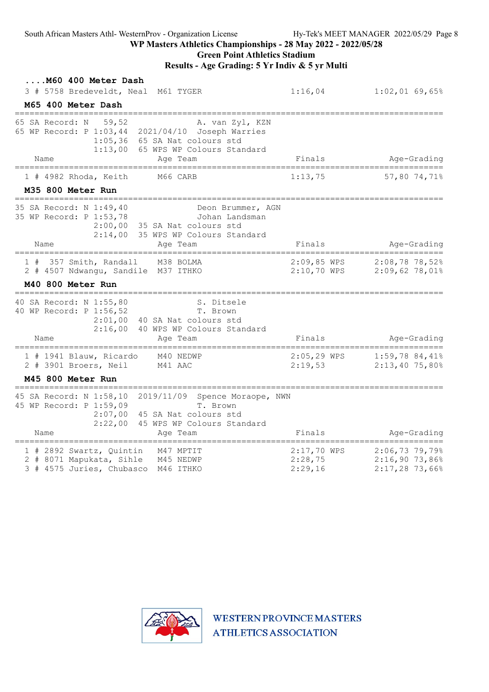South African Masters Athl- WesternProv - Organization License Hy-Tek's MEET MANAGER 2022/05/29 Page 8

#### WP Masters Athletics Championships - 28 May 2022 - 2022/05/28

## Green Point Athletics Stadium

#### Results - Age Grading: 5 Yr Indiv & 5 yr Multi

| M60 400 Meter Dash<br>3 # 5758 Bredeveldt, Neal M61 TYGER                                                                                                                                      | 1:16,04                           | $1:02,01$ 69,65%                                      |
|------------------------------------------------------------------------------------------------------------------------------------------------------------------------------------------------|-----------------------------------|-------------------------------------------------------|
| M65 400 Meter Dash                                                                                                                                                                             |                                   |                                                       |
| 65 SA Record: N<br>59,52<br>A. van Zyl, KZN<br>65 WP Record: P 1:03,44 2021/04/10 Joseph Warries<br>1:05,36 65 SA Nat colours std<br>1:13,00 65 WPS WP Colours Standard<br>Age Team<br>Name    | Finals                            | Age-Grading                                           |
| $1$ # 4982 Rhoda, Keith<br>M66 CARB                                                                                                                                                            | 1:13,75                           | ------------------------------<br>57,80 74,71%        |
| M35 800 Meter Run                                                                                                                                                                              |                                   |                                                       |
| 35 SA Record: N 1:49,40<br>Deon Brummer, AGN<br>35 WP Record: P 1:53,78<br>Johan Landsman<br>2:00,00 35 SA Nat colours std<br>2:14,00 35 WPS WP Colours Standard<br>Age Team<br>Name           | Finals                            | Age-Grading                                           |
| 357 Smith, Randall<br>M38 BOLMA<br>1#<br>2 # 4507 Ndwangu, Sandile M37 ITHKO<br>M40 800 Meter Run                                                                                              | $2:09,85$ WPS<br>$2:10,70$ WPS    | $2:08,78$ 78,52%<br>$2:09,62$ 78,01%                  |
| 40 SA Record: N 1:55,80<br>S. Ditsele<br>40 WP Record: P 1:56,52<br>T. Brown<br>$2:01,00$ 40 SA Nat colours std<br>2:16,00<br>40 WPS WP Colours Standard<br>Name<br>Age Team                   | Finals                            | Age-Grading                                           |
| ==========<br>1 # 1941 Blauw, Ricardo<br>M40 NEDWP<br>2 # 3901 Broers, Neil<br>M41 AAC                                                                                                         | $2:05,29$ WPS<br>2:19,53          | $1:59,78$ 84,41%<br>$2:13,40$ 75,80%                  |
| <b>M45 800 Meter Run</b>                                                                                                                                                                       |                                   |                                                       |
| 45 SA Record: N 1:58,10<br>2019/11/09 Spence Moraope, NWN<br>45 WP Record: P 1:59,09<br>T. Brown<br>2:07,00 45 SA Nat colours std<br>2:22,00<br>45 WPS WP Colours Standard<br>Name<br>Age Team | Finals                            | Age-Grading                                           |
| 1 # 2892 Swartz, Quintin<br>M47 MPTIT<br>2 # 8071 Mapukata, Sihle<br>M45 NEDWP<br>3 # 4575 Juries, Chubasco<br>M46 ITHKO                                                                       | 2:17,70 WPS<br>2:28,75<br>2:29,16 | $2:06,73$ 79,79%<br>2:16,9073,86%<br>$2:17,28$ 73,66% |

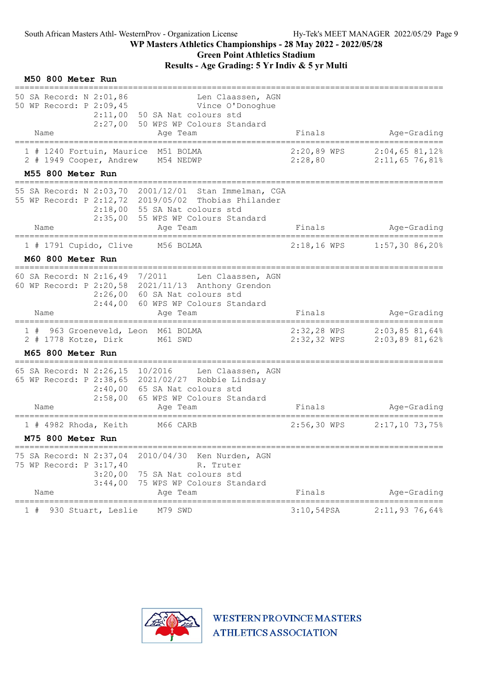## WP Masters Athletics Championships - 28 May 2022 - 2022/05/28 Green Point Athletics Stadium

| M50 800 Meter Run                                                                |                                                                                                                                                                                                    |                                                |                                              |
|----------------------------------------------------------------------------------|----------------------------------------------------------------------------------------------------------------------------------------------------------------------------------------------------|------------------------------------------------|----------------------------------------------|
| 50 SA Record: N 2:01,86<br>50 WP Record: P 2:09,45<br>Name                       | Len Claassen, AGN<br>Vince O'Donoghue<br>$2:11,00$ 50 SA Nat colours std<br>2:27,00 50 WPS WP Colours Standard<br>Age Team                                                                         | Finals                                         | Age-Grading                                  |
| 1 # 1240 Fortuin, Maurice M51 BOLMA<br>2 # 1949 Cooper, Andrew                   | ===============<br>M54 NEDWP                                                                                                                                                                       | 2:20,89 WPS<br>2:28,80                         | =======<br>2:04,6581,12%<br>$2:11,65$ 76,81% |
| M55 800 Meter Run<br>;===============================                            |                                                                                                                                                                                                    |                                                |                                              |
| Name                                                                             | 55 SA Record: N 2:03,70 2001/12/01 Stan Immelman, CGA<br>55 WP Record: P 2:12,72 2019/05/02 Thobias Philander<br>$2:18,00$ 55 SA Nat colours std<br>2:35,00 55 WPS WP Colours Standard<br>Age Team | Finals                                         | Age-Grading                                  |
| ================================<br>1 # 1791 Cupido, Clive<br>M60 800 Meter Run  | =======================<br>M56 BOLMA                                                                                                                                                               | $2:18,16$ WPS                                  | =======================<br>$1:57,30$ 86,20%  |
| 60 SA Record: N 2:16,49 7/2011<br>Name                                           | Len Claassen, AGN<br>60 WP Record: P 2:20,58 2021/11/13 Anthony Grendon<br>2:26,00 60 SA Nat colours std<br>2:44,00 60 WPS WP Colours Standard<br>Age Team                                         | Finals                                         | Age-Grading                                  |
| 1 # 963 Groeneveld, Leon M61 BOLMA<br>2 # 1778 Kotze, Dirk                       | M61 SWD                                                                                                                                                                                            | 2:32,28 WPS<br>2:32,32 WPS                     | 2:03,8581,64%<br>2:03,8981,62%               |
| M65 800 Meter Run                                                                |                                                                                                                                                                                                    |                                                |                                              |
| 65 SA Record: N 2:26,15 10/2016<br>Name                                          | Len Claassen, AGN<br>65 WP Record: P 2:38, 65 2021/02/27 Robbie Lindsay<br>2:40,00 65 SA Nat colours std<br>2:58,00 65 WPS WP Colours Standard<br>Age Team                                         | Finals                                         | Age-Grading                                  |
| $1$ # 4982 Rhoda, Keith<br>M75 800 Meter Run                                     | M66 CARB                                                                                                                                                                                           | $2:56,30$ WPS                                  | $2:17,10$ 73,75%                             |
| 75 SA Record: N 2:37,04<br>75 WP Record: P 3:17,40<br>3:20,00<br>3:44,00<br>Name | 2010/04/30<br>Ken Nurden, AGN<br>R. Truter<br>75 SA Nat colours std<br>75 WPS WP Colours Standard<br>Age Team                                                                                      | Finals                                         | Age-Grading                                  |
| 930 Stuart, Leslie                                                               | M79 SWD                                                                                                                                                                                            | --------------------------------<br>3:10,54PSA | $2:11,93$ 76,64%                             |

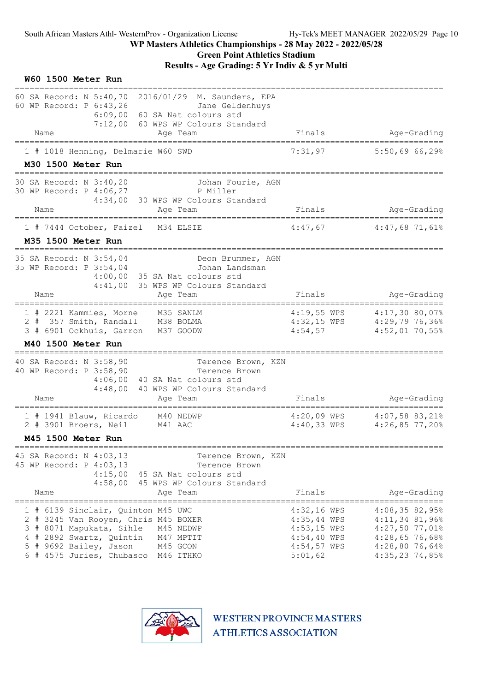### WP Masters Athletics Championships - 28 May 2022 - 2022/05/28 Green Point Athletics Stadium

Results - Age Grading: 5 Yr Indiv & 5 yr Multi

| W60 1500 Meter Run                                                                                                                                                                                                                        |                                                                                              |                                                                                                                   |
|-------------------------------------------------------------------------------------------------------------------------------------------------------------------------------------------------------------------------------------------|----------------------------------------------------------------------------------------------|-------------------------------------------------------------------------------------------------------------------|
| 60 SA Record: N 5:40,70<br>2016/01/29 M. Saunders, EPA<br>60 WP Record: P 6:43,26<br>Jane Geldenhuys<br>6:09,00 60 SA Nat colours std<br>7:12,00 60 WPS WP Colours Standard                                                               |                                                                                              |                                                                                                                   |
| Age Team<br>Name<br>=====================<br>===================                                                                                                                                                                          | Finals                                                                                       | Age-Grading                                                                                                       |
| 1 # 1018 Henning, Delmarie W60 SWD                                                                                                                                                                                                        | 7:31,97                                                                                      | 5:50,6966,298                                                                                                     |
| M30 1500 Meter Run                                                                                                                                                                                                                        |                                                                                              |                                                                                                                   |
| 30 SA Record: N 3:40,20<br>Johan Fourie, AGN<br>30 WP Record: P 4:06,27<br>P Miller<br>4:34,00 30 WPS WP Colours Standard<br>Age Team<br>Name                                                                                             | Finals                                                                                       |                                                                                                                   |
|                                                                                                                                                                                                                                           |                                                                                              | Age-Grading                                                                                                       |
| 1 # 7444 October, Faizel M34 ELSIE<br>M35 1500 Meter Run                                                                                                                                                                                  | 4:47,67                                                                                      | $4:47,68$ 71,61%                                                                                                  |
| 35 SA Record: N 3:54,04<br>Deon Brummer, AGN<br>35 WP Record: P 3:54,04<br>Johan Landsman<br>4:00,00 35 SA Nat colours std<br>4:41,00<br>35 WPS WP Colours Standard                                                                       | Finals                                                                                       | Age-Grading                                                                                                       |
| Name<br>Age Team                                                                                                                                                                                                                          |                                                                                              |                                                                                                                   |
| 1 # 2221 Kammies, Morne<br>M35 SANLM<br>2 # 357 Smith, Randall<br>M38 BOLMA<br>3 # 6901 Ockhuis, Garron<br>M37 GOODW                                                                                                                      | 4:54,57                                                                                      | 4:19,55 WPS 4:17,30 80,07%<br>4:32,15 WPS 4:29,79 76,36%<br>$4:52,01$ 70,55%                                      |
| M40 1500 Meter Run                                                                                                                                                                                                                        |                                                                                              |                                                                                                                   |
| 40 SA Record: N 3:58,90<br>Terence Brown, KZN<br>40 WP Record: P 3:58,90<br>Terence Brown<br>4:06,00 40 SA Nat colours std<br>4:48,00<br>40 WPS WP Colours Standard<br>Age Team<br>Name                                                   | Finals                                                                                       | Age-Grading                                                                                                       |
|                                                                                                                                                                                                                                           |                                                                                              |                                                                                                                   |
| 1 # 1941 Blauw, Ricardo<br>M40 NEDWP<br>2 # 3901 Broers, Neil<br>M41 AAC                                                                                                                                                                  | $4:40,33$ WPS                                                                                | 4:20,09 WPS 4:07,58 83,21%<br>$4:26,85$ 77,20%                                                                    |
| M45 1500 Meter Run<br>=====================================                                                                                                                                                                               |                                                                                              | =====================================                                                                             |
| 45 SA Record: N 4:03,13<br>Terence Brown, KZN<br>45 WP Record: P 4:03,13<br>Terence Brown<br>4:15,00 45 SA Nat colours std<br>4:58,00 45 WPS WP Colours Standard                                                                          |                                                                                              |                                                                                                                   |
| Age Team<br>Name                                                                                                                                                                                                                          | Finals                                                                                       | Age-Grading                                                                                                       |
| 1 # 6139 Sinclair, Quinton M45 UWC<br>2 # 3245 Van Rooyen, Chris M45 BOXER<br>3 # 8071 Mapukata, Sihle<br>M45 NEDWP<br>4 # 2892 Swartz, Quintin<br>M47 MPTIT<br>5 # 9692 Bailey, Jason<br>M45 GCON<br>6 # 4575 Juries, Chubasco M46 ITHKO | $4:32,16$ WPS<br>$4:35,44$ WPS<br>$4:53,15$ WPS<br>$4:54,40$ WPS<br>$4:54,57$ WPS<br>5:01,62 | 4:08,3582,95%<br>$4:11,34$ 81,96%<br>$4:27,50$ 77,01%<br>$4:28,65$ 76,68%<br>$4:28,80$ 76,64%<br>$4:35,23$ 74,85% |

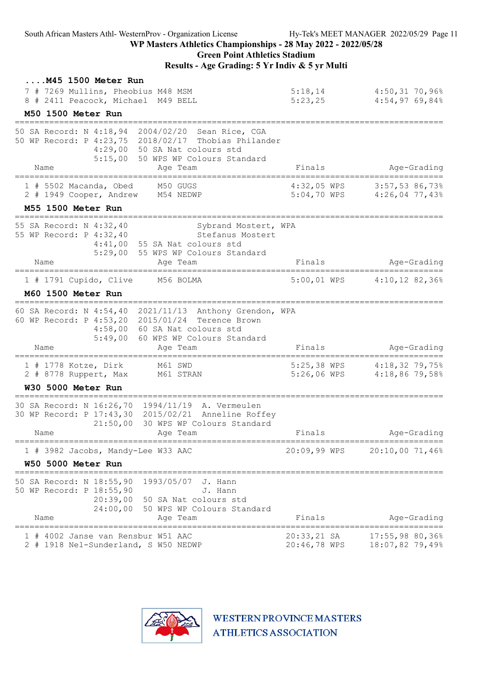| $\ldots$ . M45 1500 Meter Run<br>7 # 7269 Mullins, Pheobius M48 MSM<br>8 # 2411 Peacock, Michael M49 BELL                      |                                                                                                                             | 5:18,14<br>5:23,25            |               | $4:50,31$ 70,96%<br>$4:54,97$ 69,84%                                 |             |
|--------------------------------------------------------------------------------------------------------------------------------|-----------------------------------------------------------------------------------------------------------------------------|-------------------------------|---------------|----------------------------------------------------------------------|-------------|
| M50 1500 Meter Run<br>=================                                                                                        |                                                                                                                             |                               |               |                                                                      |             |
| 50 SA Record: N 4:18,94<br>50 WP Record: P 4:23,75 2018/02/17 Thobias Philander<br>Name                                        | 2004/02/20<br>Sean Rice, CGA<br>4:29,00 50 SA Nat colours std<br>5:15,00 50 WPS WP Colours Standard<br>Age Team             | Finals                        |               | Age-Grading                                                          |             |
| $1$ # 5502 Macanda, Obed<br>2 # 1949 Cooper, Andrew                                                                            | M50 GUGS<br>M54 NEDWP                                                                                                       | $4:32,05$ WPS                 |               | 3:57,53 86,73%<br>5:04,70 WPS 4:26,04 77,43%                         |             |
| M55 1500 Meter Run                                                                                                             |                                                                                                                             |                               |               |                                                                      |             |
| 55 SA Record: N 4:32,40<br>55 WP Record: P 4:32,40<br>Name                                                                     | Sybrand Mostert, WPA<br>Stefanus Mostert<br>4:41,00 55 SA Nat colours std<br>5:29,00 55 WPS WP Colours Standard<br>Age Team | Finals                        |               |                                                                      | Age-Grading |
| 1 # 1791 Cupido, Clive                                                                                                         | M56 BOLMA                                                                                                                   | $5:00,01$ WPS                 |               | ============<br>$4:10,12$ 82,36%                                     |             |
| M60 1500 Meter Run                                                                                                             |                                                                                                                             |                               |               |                                                                      |             |
| 60 SA Record: N 4:54,40 2021/11/13 Anthony Grendon, WPA<br>60 WP Record: P 4:53,20 2015/01/24 Terence Brown<br>5:49,00<br>Name | 4:58,00 60 SA Nat colours std<br>60 WPS WP Colours Standard<br>Age Team                                                     | Finals                        |               |                                                                      | Age-Grading |
| $1$ # 1778 Kotze, Dirk<br>2 # 8778 Ruppert, Max<br>W30 5000 Meter Run                                                          | M61 SWD<br>M61 STRAN                                                                                                        | $5:25,38$ WPS<br>5:26,06 WPS  |               | ____________________________<br>$4:18,32$ 79,75%<br>$4:18,86$ 79,58% |             |
| 30 SA Record: N 16:26,70 1994/11/19 A. Vermeulen<br>30 WP Record: P 17:43,30 2015/02/21 Anneline Roffey<br>Name                | 21:50,00 30 WPS WP Colours Standard<br>Age Team                                                                             | Finals                        |               |                                                                      | Age-Grading |
| =========<br>=============<br>1 # 3982 Jacobs, Mandy-Lee W33 AAC                                                               |                                                                                                                             | 20:09,99 WPS                  |               | ================<br>20:10,00 71,46%                                  |             |
| W50 5000 Meter Run                                                                                                             |                                                                                                                             |                               |               |                                                                      |             |
| =====================<br>50 SA Record: N 18:55,90<br>50 WP Record: P 18:55,90<br>20:39,00<br>24:00,00<br>Name                  | 1993/05/07<br>J. Hann<br>J. Hann<br>50 SA Nat colours std<br>50 WPS WP Colours Standard<br>Age Team                         | Finals                        |               |                                                                      | Age-Grading |
| 1 # 4002 Janse van Rensbur W51 AAC<br>2 # 1918 Nel-Sunderland, S W50 NEDWP                                                     |                                                                                                                             | $20:33,21$ SA<br>20:46,78 WPS | ============= | 17:55,9880,368<br>18:07,82 79,49%                                    |             |

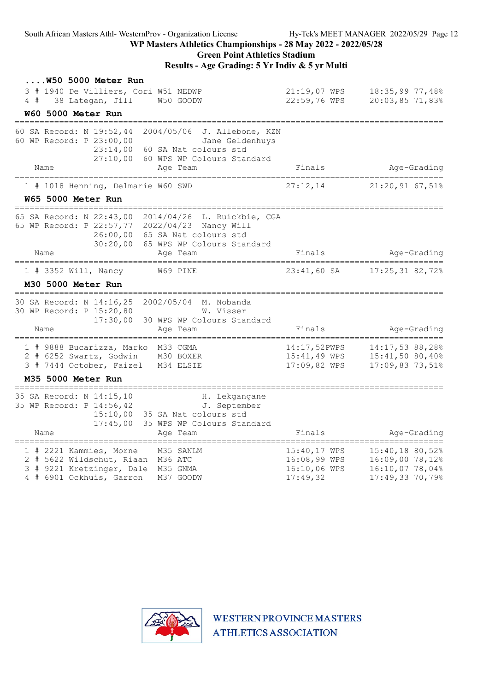#### Green Point Athletics Stadium

#### Results - Age Grading: 5 Yr Indiv & 5 yr Multi

| <b>W50 5000 Meter Run</b><br>3 # 1940 De Villiers, Cori W51 NEDWP<br>4#<br>38 Lategan, Jill<br>W50 GOODW                                                                                                           | $21:19,07$ WPS<br>22:59,76 WPS                           | 18:35,99 77,48%<br>$20:03,85$ 71,83%                                     |
|--------------------------------------------------------------------------------------------------------------------------------------------------------------------------------------------------------------------|----------------------------------------------------------|--------------------------------------------------------------------------|
| W60 5000 Meter Run<br>---------------                                                                                                                                                                              |                                                          |                                                                          |
| 60 SA Record: N 19:52,44<br>2004/05/06 J. Allebone, KZN<br>60 WP Record: P 23:00,00<br>Jane Geldenhuys<br>23:14,00<br>60 SA Nat colours std<br>27:10,00<br>60 WPS WP Colours Standard<br>Name<br>Age Team          | Finals                                                   | Age-Grading                                                              |
| =================<br>1 # 1018 Henning, Delmarie W60 SWD                                                                                                                                                            | 27:12,14                                                 | ========================<br>$21:20,91$ 67,51%                            |
| W65 5000 Meter Run                                                                                                                                                                                                 |                                                          |                                                                          |
| 65 SA Record: N 22:43,00<br>2014/04/26 L. Ruickbie, CGA<br>65 WP Record: P 22:57,77<br>2022/04/23 Nancy Will<br>26:00,00<br>65 SA Nat colours std<br>30:20,00<br>65 WPS WP Colours Standard<br>Name<br>Age Team    | Finals                                                   | Age-Grading                                                              |
| $1$ # 3352 Will, Nancy<br>W69 PINE                                                                                                                                                                                 | $23:41,60$ SA                                            | $17:25,31$ 82,72%                                                        |
| M30 5000 Meter Run                                                                                                                                                                                                 |                                                          |                                                                          |
| 30 SA Record: N 14:16,25<br>2002/05/04 M. Nobanda<br>30 WP Record: P 15:20,80<br>W. Visser<br>17:30,00<br>30 WPS WP Colours Standard<br>Name<br>Age Team                                                           | Finals                                                   | Age-Grading                                                              |
| 1 # 9888 Bucarizza, Marko M33 CGMA<br>2 # 6252 Swartz, Godwin M30 BOXER<br>3 # 7444 October, Faizel<br>M34 ELSIE<br>M35 5000 Meter Run                                                                             | 14:17,52PWPS<br>15:41,49 WPS<br>17:09,82 WPS             | 14:17,53 88,28%<br>15:41,50 80,40%<br>17:09,83 73,51%                    |
| ======================<br>35 SA Record: N 14:15,10<br>H. Lekgangane<br>35 WP Record: P 14:56,42<br>J. September<br>15:10,00<br>35 SA Nat colours std<br>17:45,00<br>35 WPS WP Colours Standard<br>Name<br>Age Team | Finals                                                   | Age-Grading<br>________                                                  |
| ============<br>1 # 2221 Kammies, Morne<br>M35 SANLM<br>2 # 5622 Wildschut, Riaan M36 ATC<br>3 # 9221 Kretzinger, Dale M35 GNMA<br>4 # 6901 Ockhuis, Garron<br>M37 GOODW                                           | 15:40,17 WPS<br>16:08,99 WPS<br>16:10,06 WPS<br>17:49,32 | 15:40,18 80,52%<br>16:09,00 78,12%<br>16:10,07 78,04%<br>17:49,33 70,79% |

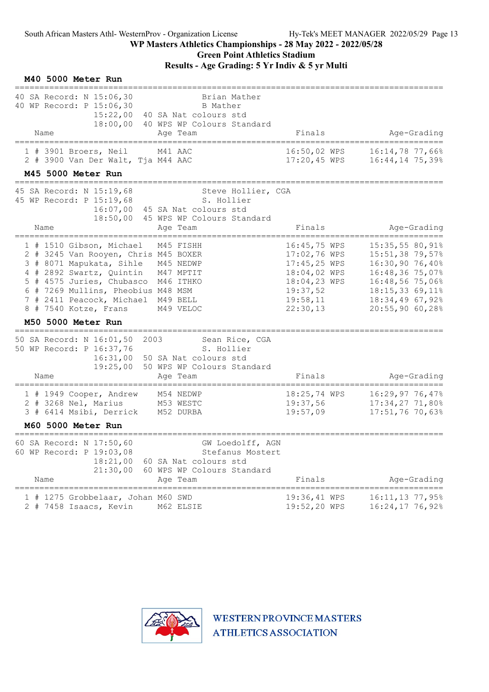#### WP Masters Athletics Championships - 28 May 2022 - 2022/05/28 Green Point Athletics Stadium

|  |  | M40 5000 Meter Run |  |  |
|--|--|--------------------|--|--|
|--|--|--------------------|--|--|

| 40 SA Record: N 15:06,30<br>40 WP Record: P 15:06,30<br>15:22,00<br>18:00,00                                                                                                                                                                                | Brian Mather<br>B Mather<br>40 SA Nat colours std<br>40 WPS WP Colours Standard                         |                                                                                                                  |                                                                                                                                                     |
|-------------------------------------------------------------------------------------------------------------------------------------------------------------------------------------------------------------------------------------------------------------|---------------------------------------------------------------------------------------------------------|------------------------------------------------------------------------------------------------------------------|-----------------------------------------------------------------------------------------------------------------------------------------------------|
| Name                                                                                                                                                                                                                                                        | Age Team                                                                                                | Finals                                                                                                           | Age-Grading                                                                                                                                         |
| 1 # 3901 Broers, Neil<br>2 # 3900 Van Der Walt, Tja M44 AAC                                                                                                                                                                                                 | M41 AAC                                                                                                 | 16:50,02 WPS<br>17:20,45 WPS                                                                                     | 16:14,78 77,66%<br>16:44,14 75,39%                                                                                                                  |
| M45 5000 Meter Run                                                                                                                                                                                                                                          |                                                                                                         |                                                                                                                  |                                                                                                                                                     |
| 45 SA Record: N 15:19,68<br>45 WP Record: P 15:19,68<br>16:07,00<br>18:50,00                                                                                                                                                                                | Steve Hollier, CGA<br>S. Hollier<br>45 SA Nat colours std<br>45 WPS WP Colours Standard                 |                                                                                                                  |                                                                                                                                                     |
| Name                                                                                                                                                                                                                                                        | Age Team                                                                                                | Finals                                                                                                           | Age-Grading                                                                                                                                         |
| 1 # 1510 Gibson, Michael<br>2 # 3245 Van Rooyen, Chris M45 BOXER<br>3 # 8071 Mapukata, Sihle<br>4 # 2892 Swartz, Quintin<br>5 # 4575 Juries, Chubasco M46 ITHKO<br>6 # 7269 Mullins, Pheobius M48 MSM<br>7 # 2411 Peacock, Michael<br>8 # 7540 Kotze, Frans | M45 FISHH<br>M45 NEDWP<br>M47 MPTIT<br>M49 BELL<br>M49 VELOC                                            | 16:45,75 WPS<br>17:02,76 WPS<br>17:45,25 WPS<br>18:04,02 WPS<br>18:04,23 WPS<br>19:37,52<br>19:58,11<br>22:30,13 | 15:35,5580,918<br>15:51,38 79,57%<br>16:30,90 76,40%<br>16:48,36 75,07%<br>16:48,56 75,06%<br>18:15,33 69,11%<br>18:34,49 67,92%<br>20:55,90 60,28% |
| M50 5000 Meter Run                                                                                                                                                                                                                                          |                                                                                                         |                                                                                                                  |                                                                                                                                                     |
| 50 SA Record: N 16:01,50<br>50 WP Record: P 16:37,76<br>16:31,00<br>19:25,00<br>Name                                                                                                                                                                        | 2003<br>Sean Rice, CGA<br>S. Hollier<br>50 SA Nat colours std<br>50 WPS WP Colours Standard<br>Age Team | Finals                                                                                                           | Age-Grading                                                                                                                                         |
| 1 # 1949 Cooper, Andrew<br>2 # 3268 Nel, Marius<br>3 # 6414 Msibi, Derrick                                                                                                                                                                                  | M54 NEDWP<br>M53 WESTC<br>M52 DURBA                                                                     | 18:25,74 WPS<br>19:37,56<br>19:57,09                                                                             | 16:29,97 76,47%<br>17:34,27 71,80%<br>17:51,76 70,63%                                                                                               |
| M60 5000 Meter Run                                                                                                                                                                                                                                          |                                                                                                         |                                                                                                                  |                                                                                                                                                     |
| 60 SA Record: N 17:50,60<br>60 WP Record: P 19:03,08<br>18:21,00<br>21:30,00<br>Name                                                                                                                                                                        | GW Loedolff, AGN<br>Stefanus Mostert<br>60 SA Nat colours std<br>60 WPS WP Colours Standard<br>Age Team | Finals                                                                                                           | Age-Grading                                                                                                                                         |
| 1 # 1275 Grobbelaar, Johan M60 SWD<br>2 # 7458 Isaacs, Kevin M62 ELSIE                                                                                                                                                                                      |                                                                                                         | 19:36,41 WPS<br>19:52,20 WPS                                                                                     | 16:11,13 77,95%<br>16:24,17 76,92%                                                                                                                  |

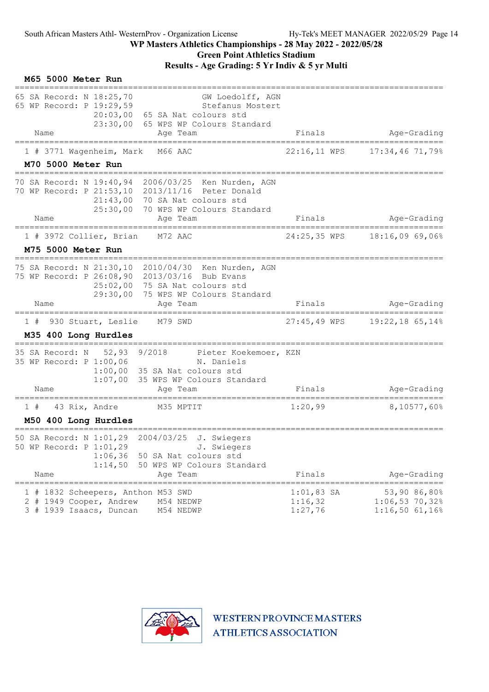## WP Masters Athletics Championships - 28 May 2022 - 2022/05/28 Green Point Athletics Stadium

|    | M65 5000 Meter Run                                           |                      |                                                                                                                                                                                                                   |                                    |                                                   |
|----|--------------------------------------------------------------|----------------------|-------------------------------------------------------------------------------------------------------------------------------------------------------------------------------------------------------------------|------------------------------------|---------------------------------------------------|
|    | 65 SA Record: N 18:25,70<br>65 WP Record: P 19:29,59<br>Name | 20:03,00<br>23:30,00 | GW Loedolff, AGN<br>Stefanus Mostert<br>65 SA Nat colours std<br>65 WPS WP Colours Standard<br>Age Team                                                                                                           | Finals                             | Age-Grading                                       |
|    |                                                              |                      |                                                                                                                                                                                                                   |                                    |                                                   |
|    | 1 # 3771 Wagenheim, Mark<br>M70 5000 Meter Run               |                      | M66 AAC                                                                                                                                                                                                           | 22:16,11 WPS                       | $17:34,46$ 71,79%                                 |
|    | Name                                                         | 21:43,00<br>25:30,00 | 70 SA Record: N 19:40,94 2006/03/25 Ken Nurden, AGN<br>70 WP Record: P 21:53,10 2013/11/16 Peter Donald<br>70 SA Nat colours std<br>70 WPS WP Colours Standard<br>Age Team                                        | Finals                             | Age-Grading                                       |
|    | ==================<br>1 # 3972 Collier, Brian                |                      | ===========<br>M72 AAC                                                                                                                                                                                            | 24:25,35 WPS                       | 18:16,0969,068                                    |
|    | M75 5000 Meter Run                                           |                      |                                                                                                                                                                                                                   |                                    |                                                   |
|    | Name                                                         | 25:02,00<br>29:30,00 | ======================================<br>75 SA Record: N 21:30,10 2010/04/30 Ken Nurden, AGN<br>75 WP Record: P 26:08,90 2013/03/16 Bub Evans<br>75 SA Nat colours std<br>75 WPS WP Colours Standard<br>Age Team | Finals                             | Age-Grading                                       |
|    |                                                              |                      |                                                                                                                                                                                                                   |                                    |                                                   |
|    | 1 # 930 Stuart, Leslie<br>M35 400 Long Hurdles               |                      | M79 SWD                                                                                                                                                                                                           | 27:45,49 WPS                       | 19:22,18 65,14%                                   |
|    | 35 SA Record: N<br>35 WP Record: P 1:00,06<br>Name           | 52,93 9/2018         | Pieter Koekemoer, KZN<br>N. Daniels<br>$1:00,00$ 35 SA Nat colours std<br>1:07,00 35 WPS WP Colours Standard<br>Age Team                                                                                          | Finals                             | Age-Grading                                       |
|    |                                                              |                      |                                                                                                                                                                                                                   |                                    |                                                   |
| 1# | 43 Rix, Andre<br>M50 400 Long Hurdles                        |                      | M35 MPTIT                                                                                                                                                                                                         | 1:20,99                            | 8,10577,60%                                       |
|    | 50 WP Record: P 1:01,29<br>Name                              | 1:06,36<br>1:14,50   | 50 SA Record: N 1:01,29 2004/03/25 J. Swiegers<br>J. Swiegers<br>50 SA Nat colours std<br>50 WPS WP Colours Standard<br>Age Team                                                                                  | Finals                             | Age-Grading                                       |
|    | 2 # 1949 Cooper, Andrew<br>3 # 1939 Isaacs, Duncan           |                      | 1 # 1832 Scheepers, Anthon M53 SWD<br>M54 NEDWP<br>M54 NEDWP                                                                                                                                                      | $1:01,83$ SA<br>1:16,32<br>1:27,76 | 53,90 86,80%<br>$1:06,53$ 70,32%<br>1:16,5061,16% |

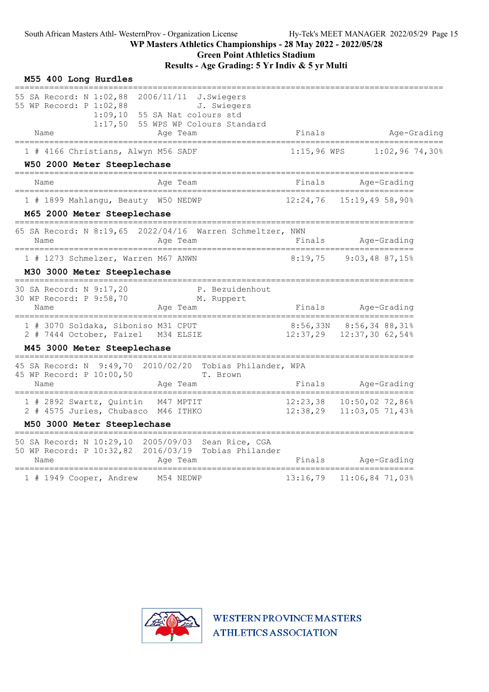| M55 400 Long Hurdles                                                                          |                    |            |           |                                                                                  |                      |                                            |                  |
|-----------------------------------------------------------------------------------------------|--------------------|------------|-----------|----------------------------------------------------------------------------------|----------------------|--------------------------------------------|------------------|
| 55 SA Record: N 1:02,88<br>55 WP Record: P 1:02,88<br>Name                                    | 1:09,10<br>1:17,50 | 2006/11/11 | Age Team  | J.Swiegers<br>J. Swiegers<br>55 SA Nat colours std<br>55 WPS WP Colours Standard | Finals               |                                            | Age-Grading      |
|                                                                                               |                    |            |           |                                                                                  |                      |                                            |                  |
| 1 # 4166 Christians, Alwyn M56 SADF<br>W50 2000 Meter Steeplechase                            |                    |            |           |                                                                                  | $1:15,96$ WPS        |                                            | $1:02,96$ 74,30% |
| Name                                                                                          |                    |            | Age Team  |                                                                                  | Finals               | Age-Grading                                |                  |
| =======================<br>1 # 1899 Mahlangu, Beauty W50 NEDWP<br>M65 2000 Meter Steeplechase |                    |            |           |                                                                                  | 12:24,76             | 15:19,4958,90%                             |                  |
| 65 SA Record: N 8:19,65<br>Name                                                               |                    |            | Age Team  | 2022/04/16 Warren Schmeltzer, NWN                                                | Finals               | Age-Grading                                |                  |
| 1 # 1273 Schmelzer, Warren M67 ANWN<br>M30 3000 Meter Steeplechase                            |                    |            |           |                                                                                  | 8:19,75              | $9:03,48$ 87,15%                           |                  |
| 30 SA Record: N 9:17,20<br>30 WP Record: P 9:58,70<br>Name                                    |                    |            | Age Team  | P. Bezuidenhout<br>M. Ruppert                                                    | Finals               | Age-Grading                                |                  |
| 1 # 3070 Soldaka, Siboniso M31 CPUT<br>2 # 7444 October, Faizel                               |                    | M34 ELSIE  |           |                                                                                  | 12:37,29             | 8:56,33N 8:56,34 88,31%<br>12:37,30 62,54% |                  |
| M45 3000 Meter Steeplechase                                                                   |                    |            |           |                                                                                  |                      |                                            |                  |
| 45 SA Record: N<br>45 WP Record: P 10:00,50<br>Name                                           | 9:49,70            | 2010/02/20 | Age Team  | Tobias Philander, WPA<br>T. Brown                                                | Finals               | Age-Grading                                |                  |
| 1 # 2892 Swartz, Quintin<br>2 # 4575 Juries, Chubasco M46 ITHKO                               |                    |            | M47 MPTIT |                                                                                  | 12:23,38<br>12:38,29 | 10:50,02 72,86%<br>11:03,05 71,43%         |                  |
| M50 3000 Meter Steeplechase                                                                   |                    |            |           |                                                                                  |                      |                                            |                  |
| 50 SA Record: N 10:29,10<br>50 WP Record: P 10:32,82<br>Name                                  |                    |            | Age Team  | 2005/09/03 Sean Rice, CGA<br>2016/03/19 Tobias Philander                         | Finals               | Age-Grading                                |                  |
| 1 # 1949 Cooper, Andrew                                                                       |                    |            | M54 NEDWP |                                                                                  | 13:16,79             | 11:06,84 71,03%                            |                  |

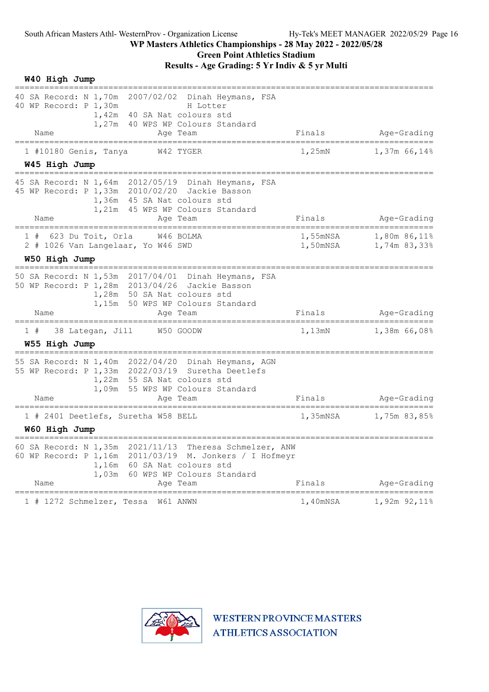| ==============<br>40 SA Record: N 1,70m 2007/02/02 Dinah Heymans, FSA<br>40 WP Record: P 1,30m<br>H Lotter<br>40 SA Nat colours std<br>1,42m<br>1,27m 40 WPS WP Colours Standard<br>Finals<br>Age-Grading<br>Name<br>Age Team<br>=====================<br>1,25mN<br>1 #10180 Genis, Tanya<br>W42 TYGER<br>W45 High Jump<br>45 SA Record: N 1,64m 2012/05/19 Dinah Heymans, FSA<br>45 WP Record: P 1,33m 2010/02/20 Jackie Basson<br>1,36m 45 SA Nat colours std<br>1,21m 45 WPS WP Colours Standard<br>Finals<br>Name<br>Age Team<br>======================<br>==================================<br>============ | W40 High Jump |  |                              |
|-------------------------------------------------------------------------------------------------------------------------------------------------------------------------------------------------------------------------------------------------------------------------------------------------------------------------------------------------------------------------------------------------------------------------------------------------------------------------------------------------------------------------------------------------------------------------------------------------------------------|---------------|--|------------------------------|
|                                                                                                                                                                                                                                                                                                                                                                                                                                                                                                                                                                                                                   |               |  |                              |
|                                                                                                                                                                                                                                                                                                                                                                                                                                                                                                                                                                                                                   |               |  |                              |
|                                                                                                                                                                                                                                                                                                                                                                                                                                                                                                                                                                                                                   |               |  | $1,37m$ 66,14%               |
|                                                                                                                                                                                                                                                                                                                                                                                                                                                                                                                                                                                                                   |               |  |                              |
|                                                                                                                                                                                                                                                                                                                                                                                                                                                                                                                                                                                                                   |               |  |                              |
|                                                                                                                                                                                                                                                                                                                                                                                                                                                                                                                                                                                                                   |               |  | Age-Grading                  |
| 1,55mNSA<br>623 Du Toit, Orla<br>W46 BOLMA<br>1#<br>2 # 1026 Van Langelaar, Yo W46 SWD<br>1,50mNSA<br>W50 High Jump                                                                                                                                                                                                                                                                                                                                                                                                                                                                                               |               |  | 1,80m 86,11%<br>1,74m 83,33% |
|                                                                                                                                                                                                                                                                                                                                                                                                                                                                                                                                                                                                                   |               |  |                              |
| 50 SA Record: N 1,53m 2017/04/01 Dinah Heymans, FSA<br>50 WP Record: P 1,28m 2013/04/26 Jackie Basson<br>1,28m 50 SA Nat colours std<br>1,15m 50 WPS WP Colours Standard<br>Name<br>Finals<br>Age Team                                                                                                                                                                                                                                                                                                                                                                                                            |               |  | Age-Grading                  |
|                                                                                                                                                                                                                                                                                                                                                                                                                                                                                                                                                                                                                   |               |  |                              |
| 38 Lategan, Jill<br>W50 GOODW<br>1,13mN<br>1#<br>W55 High Jump                                                                                                                                                                                                                                                                                                                                                                                                                                                                                                                                                    |               |  | 1,38m 66,08%                 |
| 55 SA Record: N 1,40m 2022/04/20 Dinah Heymans, AGN<br>55 WP Record: P 1,33m 2022/03/19 Suretha Deetlefs<br>1,22m 55 SA Nat colours std<br>1,09m 55 WPS WP Colours Standard<br>Finals<br>Name<br>Age Team                                                                                                                                                                                                                                                                                                                                                                                                         |               |  | Age-Grading                  |
| =========<br>1 # 2401 Deetlefs, Suretha W58 BELL<br>1,35mNSA                                                                                                                                                                                                                                                                                                                                                                                                                                                                                                                                                      |               |  | 1,75m 83,85%                 |
| W60 High Jump                                                                                                                                                                                                                                                                                                                                                                                                                                                                                                                                                                                                     |               |  |                              |
| 60 SA Record: N 1,35m<br>2021/11/13 Theresa Schmelzer, ANW<br>60 WP Record: P 1,16m 2011/03/19 M. Jonkers / I Hofmeyr<br>1,16m 60 SA Nat colours std<br>60 WPS WP Colours Standard<br>1,03m<br>Finals<br>Age Team<br>Name                                                                                                                                                                                                                                                                                                                                                                                         |               |  | Age-Grading                  |
| ======================<br>1 # 1272 Schmelzer, Tessa W61 ANWN<br>1,40mNSA                                                                                                                                                                                                                                                                                                                                                                                                                                                                                                                                          |               |  | 1,92m 92,11%                 |

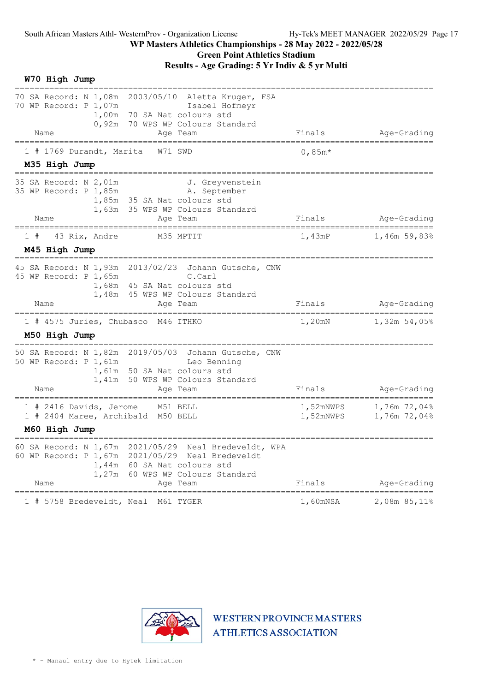## Green Point Athletics Stadium

| Finals                       |                                                                                               |
|------------------------------|-----------------------------------------------------------------------------------------------|
|                              | Age-Grading                                                                                   |
| 0,85 $m*$                    |                                                                                               |
|                              |                                                                                               |
|                              | Age-Grading                                                                                   |
| 1,43mP                       | 1,46m 59,83%                                                                                  |
|                              |                                                                                               |
|                              | Age-Grading                                                                                   |
|                              | ==================<br>1,32m 54,05%                                                            |
|                              |                                                                                               |
|                              | Age-Grading                                                                                   |
| 1,52mNWPS<br>1,52mNWPS       | 1,76m 72,04%<br>1,76m 72,04%                                                                  |
|                              |                                                                                               |
|                              | Age-Grading                                                                                   |
|                              | 2,08m 85,11%                                                                                  |
| <b>ATHLETICS ASSOCIATION</b> |                                                                                               |
|                              | Finals<br>Finals<br>1,20mN<br>Finals<br>Finals<br>1,60mNSA<br><b>WESTERN PROVINCE MASTERS</b> |

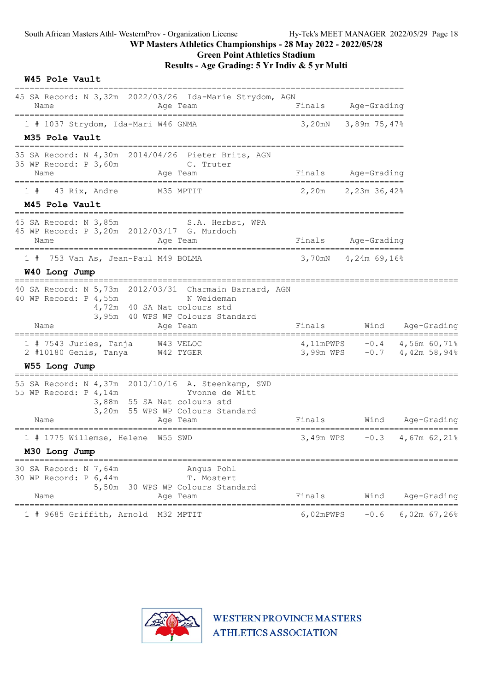## Green Point Athletics Stadium

Results - Age Grading: 5 Yr Indiv & 5 yr Multi

|  | W45 Pole Vault |  |
|--|----------------|--|
|--|----------------|--|

| 45 SA Record: N 3,32m 2022/03/26 Ida-Marie Strydom, AGN<br>Name<br>Age Team                                                                                                                            | Finals    | Age-Grading               |                                                              |
|--------------------------------------------------------------------------------------------------------------------------------------------------------------------------------------------------------|-----------|---------------------------|--------------------------------------------------------------|
| ----------------<br>1 # 1037 Strydom, Ida-Mari W46 GNMA<br>M35 Pole Vault                                                                                                                              | 3,20mN    | 3,89m 75,47%              |                                                              |
| 35 SA Record: N 4,30m 2014/04/26 Pieter Brits, AGN<br>35 WP Record: P 3,60m<br>C. Truter<br>Age Team<br>Name                                                                                           |           | Finals Age-Grading        |                                                              |
| 43 Rix, Andre<br>M35 MPTIT<br>1#<br>M45 Pole Vault                                                                                                                                                     |           | $2,20m$ $2,23m$ $36,42\%$ |                                                              |
| 45 SA Record: N 3,85m S.A. Herbst, WPA<br>45 WP Record: P 3,20m 2012/03/17 G. Murdoch<br>Name<br>Age Team                                                                                              |           | Finals Age-Grading        |                                                              |
| 753 Van As, Jean-Paul M49 BOLMA<br>1#<br>W40 Long Jump                                                                                                                                                 |           | 3,70mN 4,24m 69,16%       |                                                              |
| 40 SA Record: N 5,73m 2012/03/31 Charmain Barnard, AGN<br>40 WP Record: P 4,55m<br>N Weideman<br>4,72m 40 SA Nat colours std<br>3,95m 40 WPS WP Colours Standard<br>Name<br>Age Team                   | Finals    | Wind                      | Age-Grading                                                  |
| 1 # 7543 Juries, Tanja<br>W43 VELOC<br>2 #10180 Genis, Tanya<br>W42 TYGER                                                                                                                              |           |                           | 4,11mPWPS $-0.4$ 4,56m 60,71%<br>3,99m WPS -0.7 4,42m 58,94% |
| W55 Long Jump<br>55 SA Record: N 4,37m 2010/10/16 A. Steenkamp, SWD<br>55 WP Record: P 4, 14m<br>Yvonne de Witt<br>3,88m 55 SA Nat colours std<br>3,20m 55 WPS WP Colours Standard<br>Name<br>Age Team | Finals    | Wind                      | Age-Grading                                                  |
| 1 # 1775 Willemse, Helene W55 SWD<br>M30 Long Jump                                                                                                                                                     |           |                           | 3,49m WPS $-0.3$ 4,67m 62,21%                                |
| 30 SA Record: N 7,64m<br>Angus Pohl<br>30 WP Record: P 6,44m<br>T. Mostert<br>5,50m 30 WPS WP Colours Standard<br>Age Team<br>Name                                                                     | Finals    | Wind                      | Age-Grading<br>===============================               |
| 1 # 9685 Griffith, Arnold M32 MPTIT                                                                                                                                                                    | 6,02mPWPS | $-0.6$                    | 6,02m $67,26%$                                               |

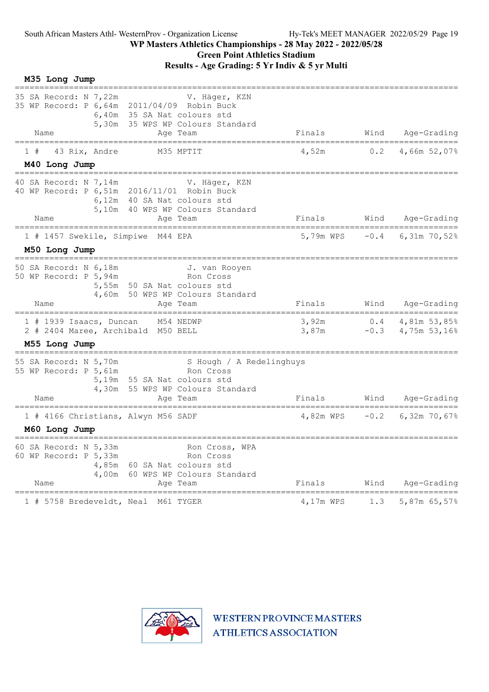| M35 Long Jump                                                                                                                               |                                                                         |
|---------------------------------------------------------------------------------------------------------------------------------------------|-------------------------------------------------------------------------|
| 35 SA Record: N 7,22m<br>35 WP Record: P 6,64m 2011/04/09 Robin Buck<br>6,40m 35 SA Nat colours std<br>5,30m 35 WPS WP Colours Standard     | V. Häger, KZN                                                           |
| Name<br>Age Team<br>======================                                                                                                  | Finals<br>Wind<br>Age-Grading<br>====================================== |
| 43 Rix, Andre<br>M35 MPTIT<br>1#                                                                                                            | 4,52m<br>0.2<br>4,66m 52,07%                                            |
| M40 Long Jump                                                                                                                               |                                                                         |
| 40 SA Record: N 7,14m<br>40 WP Record: P 6,51m 2016/11/01 Robin Buck<br>6,12m 40 SA Nat colours std<br>5,10m 40 WPS WP Colours Standard     | V. Häger, KZN                                                           |
| Name<br>Age Team<br>===================================                                                                                     | Finals<br><b>Wind</b><br>Age-Grading<br>======================          |
| 1 # 1457 Swekile, Simpiwe M44 EPA                                                                                                           | 5,79m WPS -0.4 6,31m 70,52%                                             |
| M50 Long Jump                                                                                                                               |                                                                         |
| 50 SA Record: N 6,18m<br>50 WP Record: P 5,94m<br>5,55m 50 SA Nat colours std<br>4,60m 50 WPS WP Colours Standard                           | J. van Rooyen<br>Ron Cross                                              |
| Name<br>Aqe Team                                                                                                                            | Finals<br>Wind<br>Age-Grading                                           |
| 1 # 1939 Isaacs, Duncan M54 NEDWP<br>2 # 2404 Maree, Archibald M50 BELL                                                                     | 3,92m<br>$0.4$ $4,81$ m 53,85%<br>$-0.3$ 4,75m 53,16%<br>3,87m          |
| M55 Long Jump                                                                                                                               |                                                                         |
| 55 SA Record: N 5,70m<br>55 WP Record: P 5,61m<br>5,19m 55 SA Nat colours std<br>4,30m 55 WPS WP Colours Standard<br>Age Team<br>Name       | S Hough / A Redelinghuys<br>Ron Cross<br>Finals<br>Wind<br>Age-Grading  |
| 1 # 4166 Christians, Alwyn M56 SADF                                                                                                         | $-0.2$<br>6,32m 70,67%<br>4,82m WPS                                     |
| M60 Long Jump                                                                                                                               |                                                                         |
| 60 SA Record: N 5,33m<br>60 WP Record: P 5,33m<br>60 SA Nat colours std<br>4,85m<br>60 WPS WP Colours Standard<br>4,00m<br>Age Team<br>Name | Ron Cross, WPA<br>Ron Cross<br>Wind<br>Finals<br>Age-Grading            |
| 1 # 5758 Bredeveldt, Neal<br>M61 TYGER                                                                                                      | 4,17m WPS<br>5,87m 65,57%<br>1.3                                        |

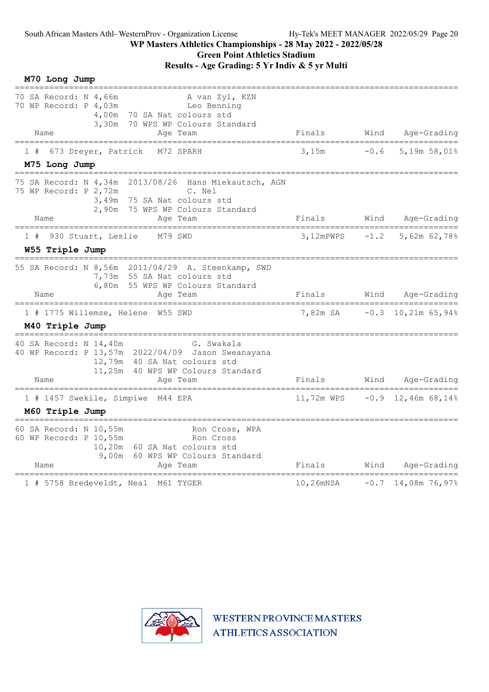## Green Point Athletics Stadium

Results - Age Grading: 5 Yr Indiv & 5 yr Multi

| M70 Long Jump                                                                                                                                                                               |                                           |        |                                        |
|---------------------------------------------------------------------------------------------------------------------------------------------------------------------------------------------|-------------------------------------------|--------|----------------------------------------|
| 70 SA Record: N 4,66m<br>A van Zyl, KZN<br>70 WP Record: P 4,03m<br>Leo Benning<br>4,00m<br>70 SA Nat colours std<br>70 WPS WP Colours Standard<br>3,30m<br>Name<br>Age Team                | Finals                                    | Wind   | Age-Grading                            |
| 673 Dreyer, Patrick<br>1#<br>M72 SPARH                                                                                                                                                      | 3,15m                                     | $-0.6$ | 5,19m 58,01%                           |
| M75 Long Jump                                                                                                                                                                               |                                           |        |                                        |
| 75 SA Record: N 4,34m<br>2013/08/26<br>Hans Miekautsch, AGN<br>75 WP Record: P 2,72m<br>C. Nel<br>3,49m<br>75 SA Nat colours std<br>75 WPS WP Colours Standard<br>2,90m<br>Name<br>Age Team | Finals                                    | Wind   | Age-Grading                            |
| ======================<br>========<br>=========                                                                                                                                             | ============================              |        | ==============                         |
| 930 Stuart, Leslie<br>M79 SWD<br>W55 Triple Jump                                                                                                                                            | 3,12mPWPS                                 | $-1.2$ | 5,62m 62,78%                           |
| 55 SA Record: N 8,56m 2011/04/29 A. Steenkamp, SWD<br>7,73m 55 SA Nat colours std<br>6,80m 55 WPS WP Colours Standard<br>Name<br>Age Team                                                   | Finals                                    | Wind   | Age-Grading                            |
| =======================<br>===========<br>1 # 1775 Willemse, Helene W55 SWD                                                                                                                 | -----------------------------<br>7,82m SA |        | ______________<br>$-0.3$ 10,21m 65,94% |
| M40 Triple Jump                                                                                                                                                                             |                                           |        |                                        |
| 40 SA Record: N 14,40m<br>G. Swakala<br>40 WP Record: P 13,57m 2022/04/09 Jason Sweanayana<br>12,79m 40 SA Nat colours std<br>11,25m<br>40 WPS WP Colours Standard<br>Name<br>Age Team      | Finals                                    | Wind   | Age-Grading                            |
| 1 # 1457 Swekile, Simpiwe M44 EPA                                                                                                                                                           |                                           |        | 11,72m WPS $-0.9$ 12,46m 68,14%        |
| M60 Triple Jump                                                                                                                                                                             |                                           |        |                                        |
| 60 SA Record: N 10,55m<br>Ron Cross, WPA<br>60 WP Record: P 10,55m<br>Ron Cross<br>10,20m 60 SA Nat colours std<br>60 WPS WP Colours Standard<br>9,00m<br>Name<br>Age Team                  | Finals                                    | Wind   | Age-Grading                            |
| 1 # 5758 Bredeveldt, Neal M61 TYGER                                                                                                                                                         | 10,26mNSA                                 |        | $-0.7$ 14,08m 76,97%                   |

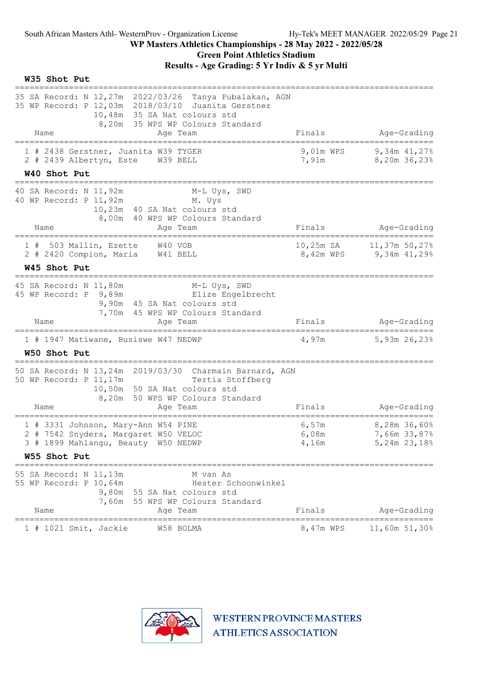| W35 Shot Put                                                                                                                                                                                                    |                                                 |                                                   |
|-----------------------------------------------------------------------------------------------------------------------------------------------------------------------------------------------------------------|-------------------------------------------------|---------------------------------------------------|
| 35 SA Record: N 12,27m 2022/03/26 Tanya Pubalakan, AGN<br>35 WP Record: P 12,03m 2018/03/10 Juanita Gerstner<br>10,48m 35 SA Nat colours std<br>8,20m 35 WPS WP Colours Standard<br>Name<br>Age Team            | Finals                                          | Age-Grading                                       |
| 1 # 2438 Gerstner, Juanita W39 TYGER<br>2 # 2439 Albertyn, Este W39 BELL<br>W40 Shot Put                                                                                                                        | 9,01m WPS<br>7,91m                              | 9,34m 41,27%<br>8,20m 36,23%                      |
| 40 SA Record: N 11,92m<br>M-L Uys, SWD<br>40 WP Record: P 11,92m<br>M. Uys<br>10,23m 40 SA Nat colours std<br>8,00m 40 WPS WP Colours Standard<br>Name<br>Age Team                                              | Finals                                          | Age-Grading                                       |
| 503 Mallin, Ezette W40 VOB<br>1#<br>2 # 2420 Compion, Maria W41 BELL<br>W45 Shot Put                                                                                                                            |                                                 | 10,25m SA 11,37m 50,27%<br>8,42m WPS 9,34m 41,29% |
| ________________________________<br>45 SA Record: N 11,80m<br>M-L Uys, SWD<br>45 WP Record: P 9,89m<br>Elize Engelbrecht<br>9,90m 45 SA Nat colours std<br>7,70m 45 WPS WP Colours Standard<br>Name<br>Aqe Team | Finals                                          | Age-Grading                                       |
| 1 # 1947 Matiwane, Busiswe W47 NEDWP<br>W50 Shot Put                                                                                                                                                            | 4,97m                                           | 5,93m 26,23%                                      |
| 50 SA Record: N 13,24m 2019/03/30 Charmain Barnard, AGN<br>50 WP Record: P 11, 17m<br>Tertia Stoffberg<br>10,50m 50 SA Nat colours std<br>8,20m 50 WPS WP Colours Standard<br>Name<br>Age Team                  | Finals                                          | Age-Grading                                       |
| 1 # 3331 Johnson, Mary-Ann W54 PINE<br>2 # 7542 Snyders, Margaret W50 VELOC<br>3 # 1899 Mahlangu, Beauty W50 NEDWP<br>W55 Shot Put                                                                              | 6,57m<br>6,08m<br>4,16m                         | 8,28m 36,60%<br>7,66m 33,87%<br>5,24m 23,18%      |
| 55 SA Record: N 11, 13m<br>M van As                                                                                                                                                                             |                                                 |                                                   |
| 55 WP Record: P 10,64m<br>Hester Schoonwinkel<br>9,80m 55 SA Nat colours std<br>7,60m 55 WPS WP Colours Standard<br>Name<br>Age Team                                                                            | Finals<br>===================================== | Age-Grading                                       |
| W58 BOLMA<br>$1$ # 1021 Smit, Jackie                                                                                                                                                                            | 8,47m WPS                                       | 11,60m 51,30%                                     |

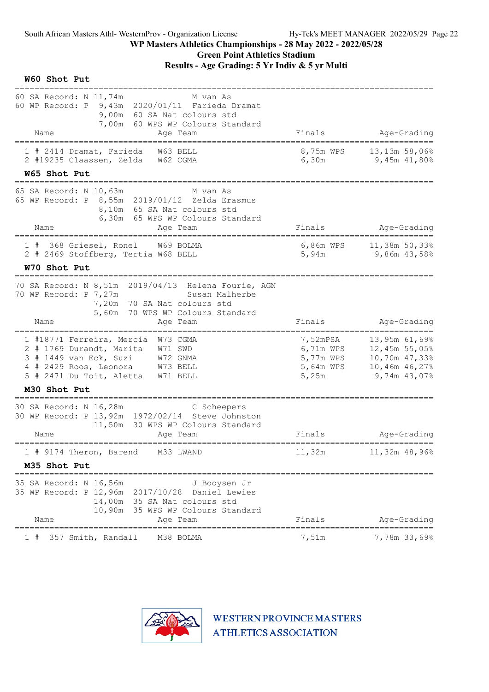| W60 Shot Put                                                                                                                                                                             |                                                          |                                                                                                    |
|------------------------------------------------------------------------------------------------------------------------------------------------------------------------------------------|----------------------------------------------------------|----------------------------------------------------------------------------------------------------|
| 60 SA Record: N 11,74m<br>M van As<br>60 WP Record: P 9,43m 2020/01/11 Farieda Dramat<br>9,00m 60 SA Nat colours std<br>7,00m 60 WPS WP Colours Standard<br>Name<br>Age Team             | Finals                                                   | Age-Grading                                                                                        |
| ==================<br>1 # 2414 Dramat, Farieda<br>W63 BELL<br>2 #19235 Claassen, Zelda W62 CGMA                                                                                          | 8,75m WPS<br>6,30m                                       | ======================================<br>13,13m 58,06%<br>9,45m 41,80%                            |
| W65 Shot Put<br>---------------------------------                                                                                                                                        |                                                          |                                                                                                    |
| 65 SA Record: N 10,63m<br>M van As<br>65 WP Record: P 8,55m 2019/01/12 Zelda Erasmus<br>8,10m 65 SA Nat colours std<br>6,30m 65 WPS WP Colours Standard<br>Name<br>Age Team              | Finals                                                   | Age-Grading                                                                                        |
| ==================================<br>W69 BOLMA<br>1 # 368 Griesel, Ronel                                                                                                                | 6,86m WPS                                                | 11,38m 50,33%                                                                                      |
| 2 # 2469 Stoffberg, Tertia W68 BELL                                                                                                                                                      | 5,94m                                                    | 9,86m 43,58%                                                                                       |
| W70 Shot Put<br>====================                                                                                                                                                     |                                                          |                                                                                                    |
| 70 SA Record: N 8,51m 2019/04/13 Helena Fourie, AGN<br>70 WP Record: P 7,27m<br>Susan Malherbe<br>7,20m 70 SA Nat colours std<br>5,60m 70 WPS WP Colours Standard<br>Name<br>Age Team    | Finals                                                   | Age-Grading                                                                                        |
| 1 #18771 Ferreira, Mercia W73 CGMA<br>2 # 1769 Durandt, Marita W71 SWD<br>3 # 1449 van Eck, Suzi W72 GNMA<br>4 # 2429 Roos, Leonora W73 BELL<br>5 # 2471 Du Toit, Aletta W71 BELL        | 7,52mPSA<br>6,71m WPS<br>5,77m WPS<br>5,64m WPS<br>5,25m | ==============<br>13,95m 61,69%<br>12,45m 55,05%<br>10,70m 47,33%<br>10,46m 46,27%<br>9,74m 43,07% |
| M30 Shot Put                                                                                                                                                                             |                                                          |                                                                                                    |
| 30 SA Record: N 16,28m<br>C Scheepers<br>30 WP Record: P 13, 92m 1972/02/14 Steve Johnston<br>11,50m 30 WPS WP Colours Standard<br>Name<br>Age Team                                      | Finals                                                   | Age-Grading                                                                                        |
| 1 # 9174 Theron, Barend M33 LWAND                                                                                                                                                        | 11,32m                                                   | 11,32m 48,96%                                                                                      |
| M35 Shot Put                                                                                                                                                                             |                                                          |                                                                                                    |
| 35 SA Record: N 16,56m<br>J Booysen Jr<br>35 WP Record: P 12,96m 2017/10/28<br>Daniel Lewies<br>14,00m 35 SA Nat colours std<br>10,90m<br>35 WPS WP Colours Standard<br>Name<br>Age Team | Finals                                                   | Age-Grading                                                                                        |
| ==========<br>======================<br>M38 BOLMA<br>357 Smith, Randall<br>1#                                                                                                            | ============<br>7,51m                                    | ============<br>7,78m 33,69%                                                                       |

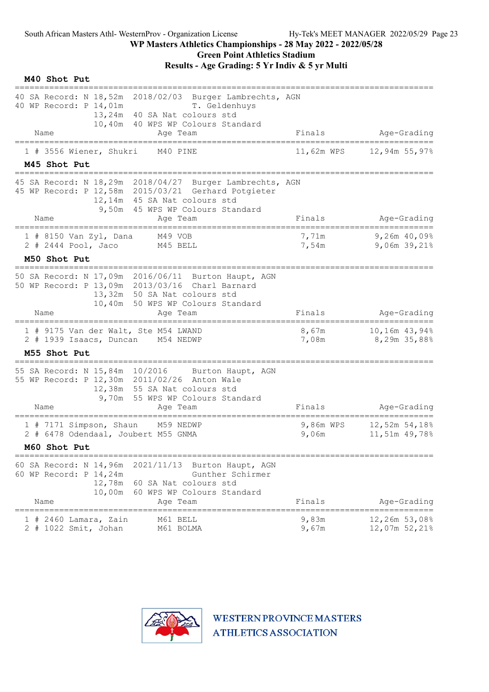#### WP Masters Athletics Championships - 28 May 2022 - 2022/05/28 Green Point Athletics Stadium

Results - Age Grading: 5 Yr Indiv & 5 yr Multi

| M40 Shot Put                                                                                                                                                                                        |                    |                                |
|-----------------------------------------------------------------------------------------------------------------------------------------------------------------------------------------------------|--------------------|--------------------------------|
| 40 SA Record: N 18,52m 2018/02/03 Burger Lambrechts, AGN<br>40 WP Record: P 14,01m<br>T. Geldenhuys<br>13,24m 40 SA Nat colours std<br>10,40m 40 WPS WP Colours Standard                            |                    |                                |
| Name<br>Age Team                                                                                                                                                                                    | Finals             | Age-Grading                    |
| 1 # 3556 Wiener, Shukri<br>M40 PINE<br>M45 Shot Put                                                                                                                                                 | 11,62m WPS         | 12,94m 55,97%                  |
| 45 SA Record: N 18,29m 2018/04/27 Burger Lambrechts, AGN<br>45 WP Record: P 12,58m 2015/03/21 Gerhard Potgieter<br>12,14m 45 SA Nat colours std<br>9,50m 45 WPS WP Colours Standard                 |                    |                                |
| Name<br>Age Team                                                                                                                                                                                    | Finals             | Age-Grading                    |
| $1$ # 8150 Van Zyl, Dana<br>M49 VOB<br>2 # 2444 Pool, Jaco<br>M45 BELL                                                                                                                              | 7,71m<br>7,54m     | $9,26m$ 40,09%<br>9,06m 39,21% |
| M50 Shot Put                                                                                                                                                                                        |                    |                                |
| 50 SA Record: N 17,09m 2016/06/11 Burton Haupt, AGN<br>50 WP Record: P 13,09m 2013/03/16 Charl Barnard<br>13,32m 50 SA Nat colours std<br>10,40m 50 WPS WP Colours Standard                         |                    |                                |
| Name<br>Aqe Team                                                                                                                                                                                    | Finals             | Age-Grading                    |
| 1 # 9175 Van der Walt, Ste M54 LWAND<br>2 # 1939 Isaacs, Duncan M54 NEDWP                                                                                                                           | 8,67m<br>7,08m     | 10,16m 43,94%<br>8,29m 35,88%  |
| M55 Shot Put                                                                                                                                                                                        |                    |                                |
| 55 SA Record: N 15,84m 10/2016<br>Burton Haupt, AGN<br>55 WP Record: P 12,30m 2011/02/26 Anton Wale<br>12,38m 55 SA Nat colours std<br>9,70m 55 WPS WP Colours Standard                             |                    |                                |
| Name<br>Age Team                                                                                                                                                                                    | Finals             | Age-Grading                    |
| 1 # 7171 Simpson, Shaun M59 NEDWP<br>2 # 6478 Odendaal, Joubert M55 GNMA                                                                                                                            | 9,86m WPS<br>9,06m | 12,52m 54,18%<br>11,51m 49,78% |
| M60 Shot Put                                                                                                                                                                                        |                    |                                |
| 60 SA Record: N 14,96m<br>2021/11/13<br>Burton Haupt, AGN<br>60 WP Record: P 14,24m<br>Gunther Schirmer<br>12,78m 60 SA Nat colours std<br>10,00m<br>60 WPS WP Colours Standard<br>Name<br>Age Team | Finals             | Age-Grading                    |
| 2460 Lamara, Zain<br>M61 BELL<br>2 # 1022 Smit, Johan<br>M61 BOLMA                                                                                                                                  | 9,83m<br>9,67m     | 12,26m 53,08%<br>12,07m 52,21% |

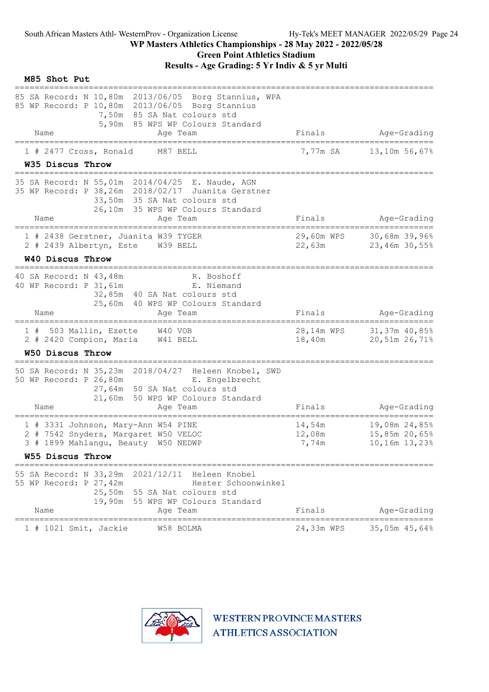| M85 Shot Put                                                                                                                                                                                    |                                              |                                                           |
|-------------------------------------------------------------------------------------------------------------------------------------------------------------------------------------------------|----------------------------------------------|-----------------------------------------------------------|
| 85 SA Record: N 10,80m 2013/06/05 Borg Stannius, WPA<br>85 WP Record: P 10,80m 2013/06/05 Borg Stannius<br>7,50m 85 SA Nat colours std<br>5,90m 85 WPS WP Colours Standard<br>Name<br>Age Team  | Finals                                       | Age-Grading                                               |
| 1 # 2477 Cross, Ronald<br>M87 BELL                                                                                                                                                              | 7,77m SA                                     | 13,10m 56,67%                                             |
| W35 Discus Throw                                                                                                                                                                                |                                              |                                                           |
| 35 SA Record: N 55,01m 2014/04/25 E. Naude, AGN<br>35 WP Record: P 38, 26m 2018/02/17 Juanita Gerstner<br>33,50m 35 SA Nat colours std<br>26,10m 35 WPS WP Colours Standard<br>Name<br>Age Team | Finals                                       | Age-Grading                                               |
| ============<br>============<br>=========================<br>1 # 2438 Gerstner, Juanita W39 TYGER<br>2 # 2439 Albertyn, Este W39 BELL                                                           | 29,60m WPS<br>$22$ , 63m                     | .----------------------<br>30,68m 39,96%<br>23,46m 30,55% |
| W40 Discus Throw                                                                                                                                                                                |                                              |                                                           |
| 40 SA Record: N 43,48m<br>R. Boshoff<br>40 WP Record: P 31, 61m<br>E. Niemand<br>32,85m 40 SA Nat colours std<br>25,60m 40 WPS WP Colours Standard                                              |                                              |                                                           |
| Name<br>Age Team                                                                                                                                                                                | Finals                                       | Age-Grading                                               |
| 1 # 503 Mallin, Ezette W40 VOB<br>2 # 2420 Compion, Maria W41 BELL                                                                                                                              | 28,14m WPS<br>18,40m                         | 31,37m 40,85%<br>20,51m 26,71%                            |
| W50 Discus Throw                                                                                                                                                                                |                                              |                                                           |
| 50 SA Record: N 35,23m 2018/04/27 Heleen Knobel, SWD<br>50 WP Record: P 26,80m<br>E. Engelbrecht<br>27,64m 50 SA Nat colours std<br>21,60m 50 WPS WP Colours Standard<br>Name<br>Age Team       | Finals                                       | Age-Grading                                               |
| 1 # 3331 Johnson, Mary-Ann W54 PINE<br>2 # 7542 Snyders, Margaret W50 VELOC<br>3 # 1899 Mahlangu, Beauty W50 NEDWP                                                                              | 14,54m<br>12,08m<br>7,74m                    | 19,08m 24,85%<br>15,85m 20,65%<br>10,16m 13,23%           |
| W55 Discus Throw                                                                                                                                                                                |                                              |                                                           |
| 55 SA Record: N 33,29m 2021/12/11<br>Heleen Knobel<br>55 WP Record: P 27,42m<br>Hester Schoonwinkel<br>25,50m 55 SA Nat colours std<br>19,90m 55 WPS WP Colours Standard<br>Name<br>Age Team    | Finals                                       | Age-Grading                                               |
| ======================================<br>1 # 1021 Smit, Jackie<br>W58 BOLMA                                                                                                                    | ;=============================<br>24,33m WPS | ======<br>35,05m 45,64%                                   |

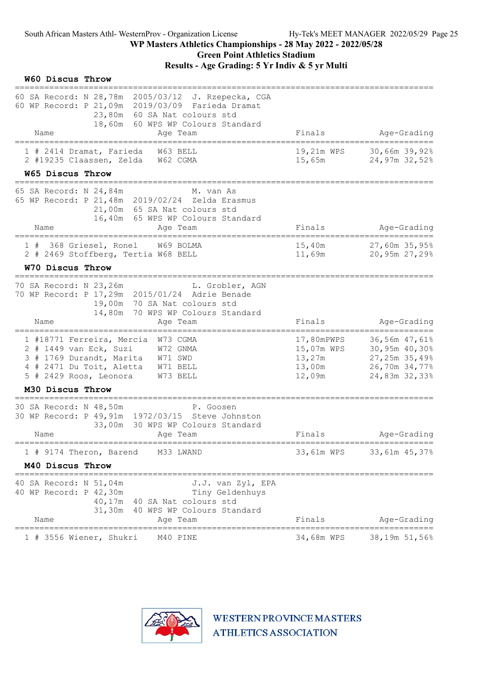| W60 Discus Throw |                                                                                                                                                        |                                                                                                                                                                                         |                   |                                                        |                                                                                   |
|------------------|--------------------------------------------------------------------------------------------------------------------------------------------------------|-----------------------------------------------------------------------------------------------------------------------------------------------------------------------------------------|-------------------|--------------------------------------------------------|-----------------------------------------------------------------------------------|
| Name             |                                                                                                                                                        | 60 SA Record: N 28,78m 2005/03/12 J. Rzepecka, CGA<br>60 WP Record: P 21,09m 2019/03/09 Farieda Dramat<br>23,80m 60 SA Nat colours std<br>18,60m 60 WPS WP Colours Standard<br>Aqe Team |                   | Finals                                                 | Age-Grading                                                                       |
|                  | 1 # 2414 Dramat, Farieda                                                                                                                               | W63 BELL                                                                                                                                                                                |                   | 19,21m WPS                                             | 30,66m 39,92%                                                                     |
|                  | 2 #19235 Claassen, Zelda W62 CGMA                                                                                                                      |                                                                                                                                                                                         |                   | 15,65m                                                 | 24,97m 32,52%                                                                     |
| W65 Discus Throw |                                                                                                                                                        |                                                                                                                                                                                         |                   |                                                        |                                                                                   |
| Name             | 65 SA Record: N 24,84m                                                                                                                                 | M. van As<br>65 WP Record: P 21, 48m 2019/02/24 Zelda Erasmus<br>21,00m 65 SA Nat colours std<br>16,40m 65 WPS WP Colours Standard                                                      |                   | Finals                                                 | Age-Grading                                                                       |
|                  | -----------------------                                                                                                                                | Age Team                                                                                                                                                                                |                   |                                                        |                                                                                   |
|                  | 1 # 368 Griesel, Ronel<br>2 # 2469 Stoffberg, Tertia W68 BELL                                                                                          | W69 BOLMA                                                                                                                                                                               |                   | 15,40m<br>11,69m                                       | 27,60m 35,95%<br>20,95m 27,29%                                                    |
| W70 Discus Throw |                                                                                                                                                        |                                                                                                                                                                                         |                   |                                                        |                                                                                   |
| Name             | 70 SA Record: N 23,26m<br>14,80m                                                                                                                       | L. Grobler, AGN<br>70 WP Record: P 17,29m 2015/01/24 Adrie Benade<br>19,00m 70 SA Nat colours std<br>70 WPS WP Colours Standard<br>Aqe Team                                             |                   | Finals                                                 | Age-Grading                                                                       |
|                  |                                                                                                                                                        |                                                                                                                                                                                         |                   |                                                        |                                                                                   |
|                  | 1 #18771 Ferreira, Mercia W73 CGMA<br>2 # 1449 van Eck, Suzi<br>3 # 1769 Durandt, Marita W71 SWD<br>4 # 2471 Du Toit, Aletta<br>5 # 2429 Roos, Leonora | W72 GNMA<br>W71 BELL<br>W73 BELL                                                                                                                                                        |                   | 17,80mPWPS<br>15,07m WPS<br>13,27m<br>13,00m<br>12,09m | 36,56m 47,61%<br>30,95m 40,30%<br>27,25m 35,49%<br>26,70m 34,77%<br>24,83m 32,33% |
| M30 Discus Throw |                                                                                                                                                        |                                                                                                                                                                                         |                   |                                                        |                                                                                   |
| Name             | 30 SA Record: N 48,50m                                                                                                                                 | P. Goosen<br>30 WP Record: P 49, 91m 1972/03/15 Steve Johnston<br>33,00m 30 WPS WP Colours Standard<br>Age Team                                                                         |                   | Finals                                                 | Age-Grading                                                                       |
|                  | 1 # 9174 Theron, Barend M33 LWAND                                                                                                                      |                                                                                                                                                                                         |                   |                                                        | 33,61m WPS 33,61m 45,37%                                                          |
| M40 Discus Throw |                                                                                                                                                        |                                                                                                                                                                                         |                   |                                                        |                                                                                   |
|                  | =====================================<br>40 SA Record: N 51,04m<br>40 WP Record: P 42,30m                                                              | Tiny Geldenhuys<br>40,17m 40 SA Nat colours std<br>31,30m 40 WPS WP Colours Standard                                                                                                    | J.J. van Zyl, EPA |                                                        |                                                                                   |
| Name             |                                                                                                                                                        | Age Team                                                                                                                                                                                |                   | Finals                                                 | Age-Grading                                                                       |
|                  | 1 # 3556 Wiener, Shukri                                                                                                                                | M40 PINE                                                                                                                                                                                |                   | 34,68m WPS                                             | 38,19m 51,56%                                                                     |

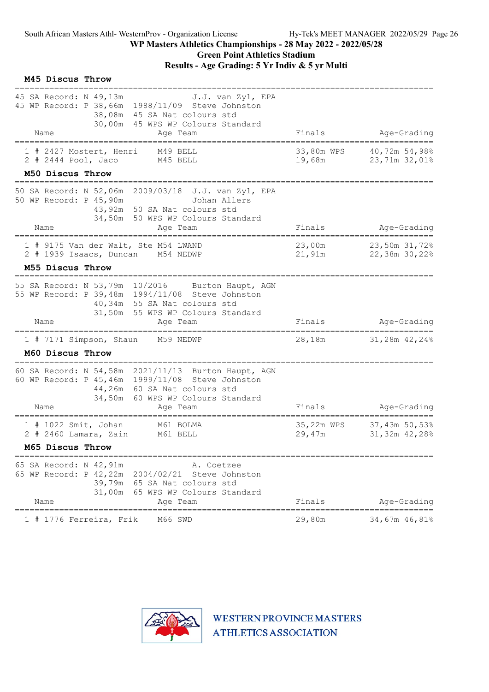| M45 Discus Throw      |                                |                                                                                                                                                                                          |                      |                                           |
|-----------------------|--------------------------------|------------------------------------------------------------------------------------------------------------------------------------------------------------------------------------------|----------------------|-------------------------------------------|
| Name                  | 45 SA Record: N 49,13m         | J.J. van Zyl, EPA<br>45 WP Record: P 38,66m 1988/11/09 Steve Johnston<br>38,08m 45 SA Nat colours std<br>30,00m 45 WPS WP Colours Standard<br>Age Team                                   | Finals               | Age-Grading                               |
| $2$ # 2444 Pool, Jaco | 1 # 2427 Mostert, Henri        | M49 BELL<br>M45 BELL                                                                                                                                                                     | 33,80m WPS<br>19,68m | 40,72m 54,98%<br>23,71m 32,01%            |
| M50 Discus Throw      | ============================   |                                                                                                                                                                                          |                      |                                           |
|                       | 50 WP Record: P 45,90m         | 50 SA Record: N 52,06m 2009/03/18 J.J. van Zyl, EPA<br>Johan Allers<br>43,92m 50 SA Nat colours std<br>34,50m 50 WPS WP Colours Standard                                                 |                      |                                           |
| Name                  |                                | Age Team                                                                                                                                                                                 | Finals               | Age-Grading<br>========================== |
|                       |                                | 1 # 9175 Van der Walt, Ste M54 LWAND<br>2 # 1939 Isaacs, Duncan M54 NEDWP                                                                                                                | 23,00m<br>21,91m     | 23,50m 31,72%<br>22,38m 30,22%            |
| M55 Discus Throw      |                                |                                                                                                                                                                                          |                      |                                           |
| Name                  | 55 SA Record: N 53,79m 10/2016 | Burton Haupt, AGN<br>55 WP Record: P 39,48m 1994/11/08 Steve Johnston<br>40,34m 55 SA Nat colours std<br>31,50m 55 WPS WP Colours Standard<br>Age Team                                   | Finals               | Age-Grading                               |
|                       |                                | 1 # 7171 Simpson, Shaun M59 NEDWP                                                                                                                                                        | 28,18m               | 31,28m 42,24%                             |
| M60 Discus Throw      |                                |                                                                                                                                                                                          |                      |                                           |
| Name                  |                                | 60 SA Record: N 54,58m 2021/11/13 Burton Haupt, AGN<br>60 WP Record: P 45,46m 1999/11/08 Steve Johnston<br>44,26m 60 SA Nat colours std<br>34,50m 60 WPS WP Colours Standard<br>Age Team | Finals               | Age-Grading                               |
|                       | 1 # 1022 Smit, Johan           | М61 ВОLМА                                                                                                                                                                                | 35,22m WPS           | 37,43m 50,53%                             |
|                       |                                | 2 # 2460 Lamara, Zain M61 BELL                                                                                                                                                           | 29,47m               | 31,32m 42,28%                             |
| M65 Discus Throw      |                                |                                                                                                                                                                                          |                      |                                           |
| Name                  | 65 SA Record: N 42,91m         | A. Coetzee<br>65 WP Record: P 42,22m 2004/02/21<br>Steve Johnston<br>39,79m 65 SA Nat colours std<br>31,00m 65 WPS WP Colours Standard<br>Age Team                                       | Finals               | Age-Grading                               |
| ============          | 1 # 1776 Ferreira, Frik        | M66 SWD                                                                                                                                                                                  | 29,80m               | 34,67m 46,81%                             |

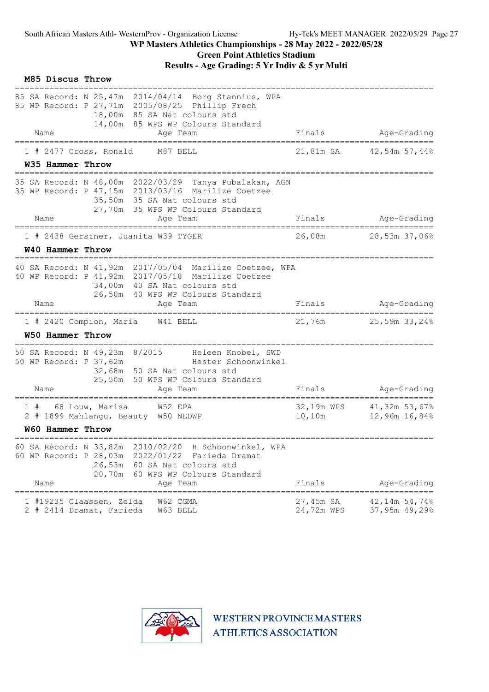|    |      | M85 Discus Throw        |                                                      |                                                                                                                                                                                     |                         |                                      |
|----|------|-------------------------|------------------------------------------------------|-------------------------------------------------------------------------------------------------------------------------------------------------------------------------------------|-------------------------|--------------------------------------|
|    |      |                         |                                                      | 85 SA Record: N 25,47m 2014/04/14 Borg Stannius, WPA<br>85 WP Record: P 27,71m 2005/08/25 Phillip Frech<br>18,00m 85 SA Nat colours std<br>14,00m 85 WPS WP Colours Standard        |                         |                                      |
|    | Name |                         |                                                      | Age Team                                                                                                                                                                            | Finals                  | Age-Grading                          |
|    |      |                         | $1$ # 2477 Cross, Ronald                             | M87 BELL                                                                                                                                                                            | 21,81m SA               | 42,54m 57,44%                        |
|    |      | W35 Hammer Throw        |                                                      |                                                                                                                                                                                     |                         |                                      |
|    |      |                         |                                                      | 35 SA Record: N 48,00m 2022/03/29 Tanya Pubalakan, AGN<br>35 WP Record: P 47,15m 2013/03/16 Marilize Coetzee<br>35,50m 35 SA Nat colours std<br>27,70m 35 WPS WP Colours Standard   |                         |                                      |
|    | Name |                         |                                                      | Age Team                                                                                                                                                                            | Finals                  | Age-Grading                          |
|    |      |                         |                                                      | 1 # 2438 Gerstner, Juanita W39 TYGER                                                                                                                                                | 26,08m                  | 28,53m 37,06%                        |
|    |      | W40 Hammer Throw        |                                                      |                                                                                                                                                                                     |                         |                                      |
|    |      |                         | ==============================                       | 40 SA Record: N 41,92m 2017/05/04 Marilize Coetzee, WPA<br>40 WP Record: P 41, 92m 2017/05/18 Marilize Coetzee<br>34,00m 40 SA Nat colours std<br>26,50m 40 WPS WP Colours Standard |                         |                                      |
|    | Name |                         |                                                      | Age Team                                                                                                                                                                            | Finals                  | Age-Grading                          |
|    |      | W50 Hammer Throw        | 1 # 2420 Compion, Maria                              | ===================================<br>====================<br>W41 BELL                                                                                                             | 21,76m                  | ===================<br>25,59m 33,24% |
|    |      |                         |                                                      |                                                                                                                                                                                     |                         |                                      |
|    |      |                         | 50 WP Record: P 37,62m                               | 50 SA Record: N 49,23m 8/2015 Heleen Knobel, SWD<br>Hester Schoonwinkel<br>32,68m 50 SA Nat colours std<br>25,50m 50 WPS WP Colours Standard                                        |                         |                                      |
|    | Name |                         |                                                      | Age Team                                                                                                                                                                            | Finals                  | Age-Grading                          |
| 1# |      |                         | 68 Louw, Marisa                                      | W52 EPA<br>2 # 1899 Mahlangu, Beauty W50 NEDWP                                                                                                                                      | 32,19m WPS<br>10,10m    | 41,32m 53,67%<br>12,96m 16,84%       |
|    |      | <b>W60 Hammer Throw</b> |                                                      |                                                                                                                                                                                     |                         |                                      |
|    | Name | 60 SA Record: N 33,82m  | 26,53m<br>20,70m                                     | 2010/02/20 H Schoonwinkel, WPA<br>60 WP Record: P 28,03m 2022/01/22 Farieda Dramat<br>60 SA Nat colours std<br>60 WPS WP Colours Standard<br>Age Team                               | Finals                  | Age-Grading                          |
|    |      |                         | 1 #19235 Claassen, Zelda<br>2 # 2414 Dramat, Farieda | W62 CGMA<br>W63 BELL                                                                                                                                                                | 27,45m SA<br>24,72m WPS | 42,14m 54,74%<br>37,95m 49,29%       |

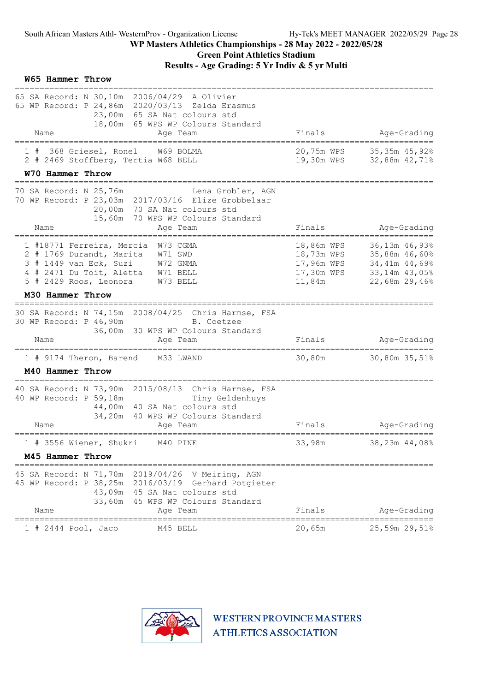| W65 Hammer Throw                                                                                                                                                                                   |                                                                |                                                                                   |
|----------------------------------------------------------------------------------------------------------------------------------------------------------------------------------------------------|----------------------------------------------------------------|-----------------------------------------------------------------------------------|
| 65 SA Record: N 30,10m 2006/04/29 A Olivier<br>65 WP Record: P 24,86m 2020/03/13 Zelda Erasmus<br>23,00m 65 SA Nat colours std<br>18,00m 65 WPS WP Colours Standard<br>Name<br>Age Team            | Finals                                                         | Age-Grading                                                                       |
| 368 Griesel, Ronel<br>W69 BOLMA<br>1#                                                                                                                                                              | 20,75m WPS                                                     | 35,35m 45,92%                                                                     |
| 2 # 2469 Stoffberg, Tertia W68 BELL                                                                                                                                                                | 19,30m WPS                                                     | 32,88m 42,71%                                                                     |
| W70 Hammer Throw                                                                                                                                                                                   |                                                                |                                                                                   |
| 70 SA Record: N 25,76m<br>Lena Grobler, AGN<br>70 WP Record: P 23,03m 2017/03/16 Elize Grobbelaar<br>20,00m 70 SA Nat colours std<br>15,60m<br>70 WPS WP Colours Standard                          |                                                                |                                                                                   |
| Name<br>Age Team                                                                                                                                                                                   | Finals                                                         | Age-Grading<br>_____________________                                              |
| 1 #18771 Ferreira, Mercia W73 CGMA<br>2 # 1769 Durandt, Marita W71 SWD<br>3 # 1449 van Eck, Suzi W72 GNMA<br>4 # 2471 Du Toit, Aletta W71 BELL<br>5 # 2429 Roos, Leonora<br>W73 BELL               | 18,86m WPS<br>18,73m WPS<br>17,96m WPS<br>17,30m WPS<br>11,84m | 36,13m 46,93%<br>35,88m 46,60%<br>34,41m 44,69%<br>33,14m 43,05%<br>22,68m 29,46% |
| M30 Hammer Throw                                                                                                                                                                                   |                                                                |                                                                                   |
| 30 SA Record: N 74,15m 2008/04/25 Chris Harmse, FSA<br>30 WP Record: P 46,90m<br>B. Coetzee<br>36,00m 30 WPS WP Colours Standard<br>Name<br>Age Team                                               | Finals                                                         | Age-Grading                                                                       |
| 1 # 9174 Theron, Barend<br>M33 LWAND                                                                                                                                                               | 30,80m                                                         | 30,80m 35,51%                                                                     |
| M40 Hammer Throw                                                                                                                                                                                   |                                                                |                                                                                   |
| 40 SA Record: N 73,90m 2015/08/13 Chris Harmse, FSA<br>40 WP Record: P 59,18m<br>Tiny Geldenhuys<br>44,00m 40 SA Nat colours std<br>34,20m 40 WPS WP Colours Standard<br>Name<br>Age Team          | Finals                                                         | Age-Grading                                                                       |
| =====================<br>1 # 3556 Wiener, Shukri<br>M40 PINE                                                                                                                                       | =========<br>33,98m                                            | ==============<br>38,23m 44,08%                                                   |
| M45 Hammer Throw                                                                                                                                                                                   |                                                                |                                                                                   |
| 45 SA Record: N 71,70m  2019/04/26  V Meiring, AGN<br>45 WP Record: P 38,25m 2016/03/19 Gerhard Potgieter<br>43,09m 45 SA Nat colours std<br>33,60m 45 WPS WP Colours Standard<br>Name<br>Age Team | Finals                                                         | Age-Grading                                                                       |
| 1 # 2444 Pool, Jaco<br>M45 BELL                                                                                                                                                                    | 20,65m                                                         | 25,59m 29,51%                                                                     |

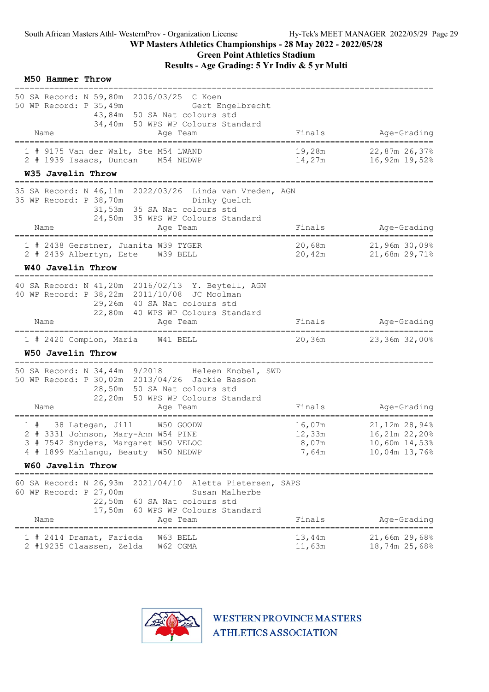|    | M50 Hammer Throw                                         |                                                                                                                                                                                     |                                    |                                                                      |
|----|----------------------------------------------------------|-------------------------------------------------------------------------------------------------------------------------------------------------------------------------------------|------------------------------------|----------------------------------------------------------------------|
|    | 50 WP Record: P 35,49m<br>Name                           | 50 SA Record: N 59,80m 2006/03/25<br>C Koen<br>Gert Engelbrecht<br>43,84m 50 SA Nat colours std<br>34,40m 50 WPS WP Colours Standard<br>Age Team                                    | Finals                             | Age-Grading                                                          |
|    |                                                          | 1 # 9175 Van der Walt, Ste M54 LWAND<br>2 # 1939 Isaacs, Duncan M54 NEDWP                                                                                                           | 19,28m<br>14,27m                   | 22,87m 26,37%<br>16,92m 19,52%                                       |
|    | W35 Javelin Throw                                        |                                                                                                                                                                                     |                                    |                                                                      |
|    | 35 WP Record: P 38,70m                                   | 35 SA Record: N 46,11m 2022/03/26 Linda van Vreden, AGN<br>Dinky Quelch<br>31,53m 35 SA Nat colours std<br>24,50m 35 WPS WP Colours Standard                                        |                                    |                                                                      |
|    | Name                                                     | Age Team                                                                                                                                                                            | Finals                             | Age-Grading                                                          |
|    |                                                          | 1 # 2438 Gerstner, Juanita W39 TYGER<br>2 # 2439 Albertyn, Este W39 BELL                                                                                                            | 20,68m                             | 21,96m 30,09%<br>20,42m 21,68m 29,71%                                |
|    | <b>W40 Javelin Throw</b>                                 |                                                                                                                                                                                     |                                    |                                                                      |
|    | Name                                                     | 40 SA Record: N 41,20m 2016/02/13 Y. Beytell, AGN<br>40 WP Record: P 38, 22m 2011/10/08 JC Moolman<br>29,26m 40 SA Nat colours std<br>22,80m 40 WPS WP Colours Standard<br>Age Team | Finals                             | Age-Grading                                                          |
|    | 1 # 2420 Compion, Maria<br>W50 Javelin Throw             | W41 BELL                                                                                                                                                                            | 20,36m                             | 23,36m 32,00%                                                        |
|    | 50 SA Record: N 34,44m 9/2018<br>Name                    | Heleen Knobel, SWD<br>50 WP Record: P 30,02m 2013/04/26 Jackie Basson<br>28,50m 50 SA Nat colours std<br>22,20m 50 WPS WP Colours Standard<br>Age Team                              |                                    | Age-Grading                                                          |
|    |                                                          |                                                                                                                                                                                     | Finals                             |                                                                      |
| 1# | 38 Lategan, Jill                                         | W50 GOODW<br>2 # 3331 Johnson, Mary-Ann W54 PINE<br>3 # 7542 Snyders, Margaret W50 VELOC<br>4 # 1899 Mahlangu, Beauty W50 NEDWP                                                     | 16,07m<br>12,33m<br>8,07m<br>7,64m | 21,12m 28,94%<br>16,21m 22,20%<br>$10,60m$ $14,53%$<br>10,04m 13,76% |
|    | W60 Javelin Throw<br>--------------------                |                                                                                                                                                                                     |                                    |                                                                      |
|    | 60 SA Record: N 26,93m<br>60 WP Record: P 27,00m<br>Name | 2021/04/10 Aletta Pietersen, SAPS<br>Susan Malherbe<br>22,50m 60 SA Nat colours std<br>17,50m 60 WPS WP Colours Standard<br>Age Team                                                | Finals                             | Age-Grading                                                          |

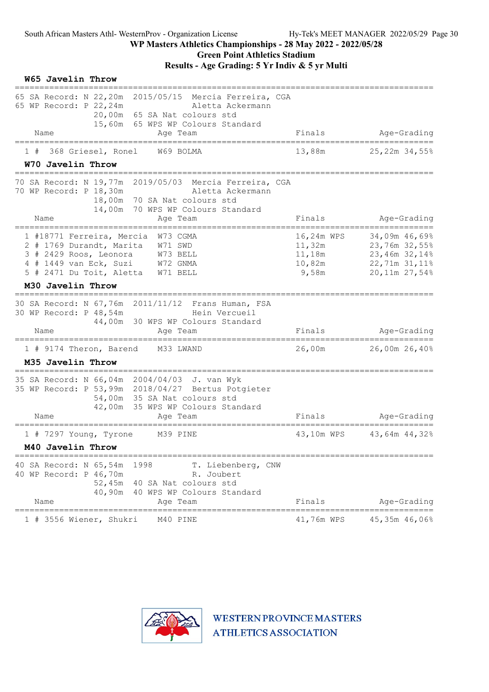### WP Masters Athletics Championships - 28 May 2022 - 2022/05/28 Green Point Athletics Stadium

| W65 Javelin Throw                                                                                                                                                                                                            |                                                            |                                                                                   |
|------------------------------------------------------------------------------------------------------------------------------------------------------------------------------------------------------------------------------|------------------------------------------------------------|-----------------------------------------------------------------------------------|
| 65 SA Record: N 22,20m<br>2015/05/15<br>Mercia Ferreira, CGA<br>65 WP Record: P 22, 24m<br>Aletta Ackermann<br>20,00m 65 SA Nat colours std<br>15,60m 65 WPS WP Colours Standard<br>Name<br>Age Team                         | Finals                                                     | Age-Grading                                                                       |
| ==========<br>-----------<br>368 Griesel, Ronel<br>W69 BOLMA<br>W70 Javelin Throw<br>====================                                                                                                                    | 13,88m                                                     | 25,22m 34,55%                                                                     |
| 70 SA Record: N 19,77m 2019/05/03 Mercia Ferreira, CGA<br>70 WP Record: P 18,30m<br>Aletta Ackermann<br>18,00m 70 SA Nat colours std<br>14,00m 70 WPS WP Colours Standard<br>Name<br>Age Team                                | Finals                                                     | Age-Grading                                                                       |
| 1 #18771 Ferreira, Mercia W73 CGMA<br>2 # 1769 Durandt, Marita<br>W71 SWD<br>3 # 2429 Roos, Leonora W73 BELL<br>4 # 1449 van Eck, Suzi W72 GNMA<br>5 # 2471 Du Toit, Aletta W71 BELL                                         | 16,24m WPS<br>11,32m<br>11 <b>,</b> 18m<br>10,82m<br>9,58m | 34,09m 46,69%<br>23,76m 32,55%<br>23,46m 32,14%<br>22,71m 31,11%<br>20,11m 27,54% |
| M30 Javelin Throw                                                                                                                                                                                                            |                                                            |                                                                                   |
| 30 SA Record: N 67,76m 2011/11/12 Frans Human, FSA<br>30 WP Record: P 48,54m<br>Hein Vercueil<br>44,00m 30 WPS WP Colours Standard<br>Name<br>Age Team                                                                       | Finals                                                     | Age-Grading                                                                       |
| 1 # 9174 Theron, Barend<br>M33 LWAND<br>M35 Javelin Throw                                                                                                                                                                    | 26,00m                                                     | 26,00m 26,40%                                                                     |
| _____________________________<br>35 SA Record: N 66,04m 2004/04/03 J. van Wyk<br>35 WP Record: P 53,99m 2018/04/27 Bertus Potgieter<br>54,00m 35 SA Nat colours std<br>42,00m 35 WPS WP Colours Standard<br>Name<br>Age Team | Finals                                                     | Age-Grading                                                                       |
| ===================================<br>M39 PINE<br>$1$ # 7297 Young, Tyrone<br>M40 Javelin Throw                                                                                                                             | 43,10m WPS                                                 | 43,64m 44,32%                                                                     |
| 40 SA Record: N 65,54m<br>1998<br>T. Liebenberg, CNW<br>40 WP Record: P 46,70m<br>R. Joubert<br>52,45m<br>40 SA Nat colours std<br>40,90m<br>40 WPS WP Colours Standard<br>Name<br>Age Team                                  | Finals                                                     | Age-Grading                                                                       |
| =======================<br>==============<br>1 # 3556 Wiener, Shukri<br>M40 PINE                                                                                                                                             | ====================<br>41,76m WPS                         | ___________<br>45,35m 46,06%                                                      |

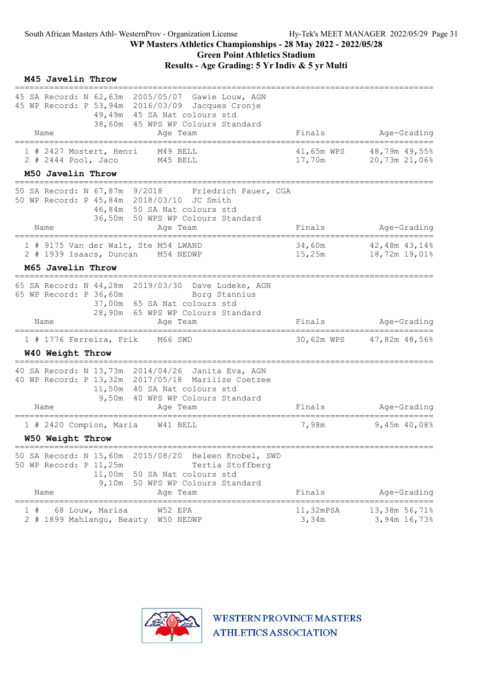| M45 Javelin Throw                                                         |                                                                                                                                                                                         |                      |                                |
|---------------------------------------------------------------------------|-----------------------------------------------------------------------------------------------------------------------------------------------------------------------------------------|----------------------|--------------------------------|
| Name                                                                      | 45 SA Record: N 62,63m 2005/05/07 Gawie Louw, AGN<br>45 WP Record: P 53,94m 2016/03/09 Jacques Cronje<br>49,49m 45 SA Nat colours std<br>38,60m 45 WPS WP Colours Standard<br>Age Team  | Finals               | Age-Grading                    |
| 1 # 2427 Mostert, Henri<br>$2$ # 2444 Pool, Jaco                          | M49 BELL<br>M45 BELL                                                                                                                                                                    | 41,65m WPS<br>17,70m | 48,79m 49,55%<br>20,73m 21,06% |
| M50 Javelin Throw                                                         |                                                                                                                                                                                         |                      |                                |
| 50 WP Record: P 45,84m 2018/03/10 JC Smith<br>Name                        | 50 SA Record: N 67,87m 9/2018 Friedrich Pauer, CGA<br>46,84m 50 SA Nat colours std<br>36,50m 50 WPS WP Colours Standard<br>Age Team                                                     | Finals               | Age-Grading                    |
| =========================                                                 | ______________________________________                                                                                                                                                  |                      | -------------------------      |
| 1 # 9175 Van der Walt, Ste M54 LWAND<br>2 # 1939 Isaacs, Duncan M54 NEDWP |                                                                                                                                                                                         | 34,60m<br>15,25m     | 42,48m 43,14%<br>18,72m 19,01% |
| M65 Javelin Throw                                                         |                                                                                                                                                                                         |                      |                                |
| 65 WP Record: P 36,60m<br>Name                                            | 65 SA Record: N 44,28m 2019/03/30 Dave Ludeke, AGN<br>Borg Stannius<br>37,00m 65 SA Nat colours std<br>28,90m 65 WPS WP Colours Standard<br>Age Team                                    | Finals               | Age-Grading                    |
| 1 # 1776 Ferreira, Frik<br>W40 Weight Throw                               | M66 SWD                                                                                                                                                                                 | 30,62m WPS           | 47,82m 48,56%                  |
| Name                                                                      | 40 SA Record: N 13,73m 2014/04/26 Janita Eva, AGN<br>40 WP Record: P 13,32m 2017/05/18 Marilize Coetzee<br>11,50m 40 SA Nat colours std<br>9,50m 40 WPS WP Colours Standard<br>Age Team | Finals               | Age-Grading                    |
| 1 # 2420 Compion, Maria                                                   | W41 BELL                                                                                                                                                                                | 7,98m                | 9,45m 40,08%                   |
| W50 Weight Throw                                                          |                                                                                                                                                                                         |                      |                                |
| 50 WP Record: P 11,25m<br>Name                                            | 50 SA Record: N 15,60m 2015/08/20 Heleen Knobel, SWD<br>Tertia Stoffberg<br>11,00m 50 SA Nat colours std<br>9,10m 50 WPS WP Colours Standard<br>Age Team                                | Finals               | Age-Grading                    |
| 68 Louw, Marisa<br>1#<br>2 # 1899 Mahlangu, Beauty W50 NEDWP              | W52 EPA                                                                                                                                                                                 | 11,32mPSA<br>3,34m   | 13,38m 56,71%<br>3,94m 16,73%  |

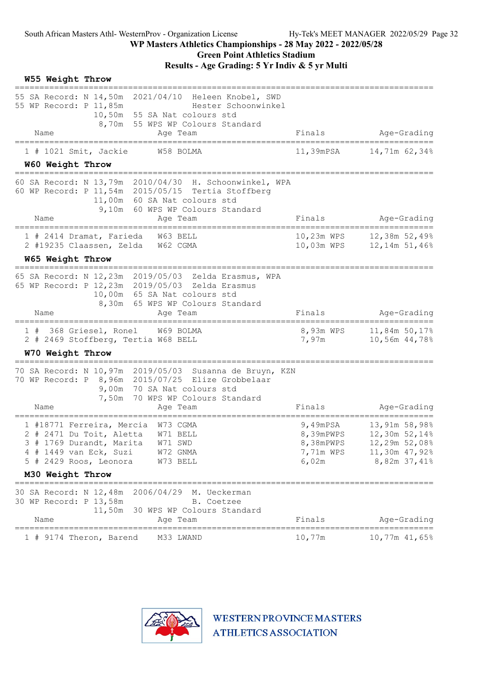#### WP Masters Athletics Championships - 28 May 2022 - 2022/05/28 Green Point Athletics Stadium

| W55 Weight Throw<br>==============                                                                                                                                                                   |                                                             |                                                                                  |
|------------------------------------------------------------------------------------------------------------------------------------------------------------------------------------------------------|-------------------------------------------------------------|----------------------------------------------------------------------------------|
| 55 SA Record: N 14,50m 2021/04/10 Heleen Knobel, SWD<br>55 WP Record: P 11,85m<br>Hester Schoonwinkel<br>10,50m 55 SA Nat colours std<br>8,70m 55 WPS WP Colours Standard<br>Name<br>Age Team        | Finals                                                      | Age-Grading                                                                      |
| 1 # 1021 Smit, Jackie<br>W58 BOLMA                                                                                                                                                                   | 11,39mPSA                                                   | ---------------------------<br>14,71m 62,34%                                     |
| W60 Weight Throw                                                                                                                                                                                     |                                                             |                                                                                  |
| 60 SA Record: N 13,79m 2010/04/30 H. Schoonwinkel, WPA<br>60 WP Record: P 11,54m 2015/05/15 Tertia Stoffberg<br>11,00m 60 SA Nat colours std<br>9,10m 60 WPS WP Colours Standard<br>Name<br>Age Team | Finals                                                      | Age-Grading                                                                      |
| =================<br>1 # 2414 Dramat, Farieda<br>W63 BELL                                                                                                                                            | 10,23m WPS                                                  | =======================<br>12,38m 52,49%                                         |
| 2 #19235 Claassen, Zelda W62 CGMA                                                                                                                                                                    | 10,03m WPS                                                  | $12,14m$ 51,46%                                                                  |
| W65 Weight Throw                                                                                                                                                                                     |                                                             |                                                                                  |
| 65 SA Record: N 12,23m 2019/05/03<br>Zelda Erasmus, WPA<br>65 WP Record: P 12,23m 2019/05/03 Zelda Erasmus<br>10,00m 65 SA Nat colours std<br>8,30m 65 WPS WP Colours Standard<br>Name<br>Age Team   | Finals                                                      | Age-Grading                                                                      |
| 1 # 368 Griesel, Ronel W69 BOLMA<br>2 # 2469 Stoffberg, Tertia W68 BELL<br>W70 Weight Throw                                                                                                          | 8,93m WPS<br>7,97m                                          | 11,84m 50,17%<br>10,56m 44,78%                                                   |
| 70 SA Record: N 10,97m 2019/05/03 Susanna de Bruyn, KZN<br>70 WP Record: P 8,96m 2015/07/25 Elize Grobbelaar<br>9,00m 70 SA Nat colours std<br>7,50m 70 WPS WP Colours Standard<br>Name<br>Age Team  | Finals                                                      | Age-Grading                                                                      |
| 1 #18771 Ferreira, Mercia W73 CGMA<br>2 # 2471 Du Toit, Aletta W71 BELL<br>3 # 1769 Durandt, Marita W71 SWD<br>4 # 1449 van Eck, Suzi<br>W72 GNMA<br>5 # 2429 Roos, Leonora<br>W73 BELL              | 9,49 $mPSA$<br>8,39mPWPS<br>8,38mPWPS<br>7,71m WPS<br>6,02m | 13,91m 58,98%<br>12,30m 52,14%<br>12,29m 52,08%<br>11,30m 47,92%<br>8,82m 37,41% |
| M30 Weight Throw                                                                                                                                                                                     |                                                             |                                                                                  |
| 30 SA Record: N 12,48m 2006/04/29 M. Ueckerman<br>30 WP Record: P 13,58m<br>B. Coetzee<br>11,50m<br>30 WPS WP Colours Standard<br>Name<br>Age Team                                                   | Finals                                                      | Age-Grading                                                                      |
| M33 LWAND<br>1 # 9174 Theron, Barend                                                                                                                                                                 | 10,77m                                                      | $===$<br>10,77m 41,65%                                                           |

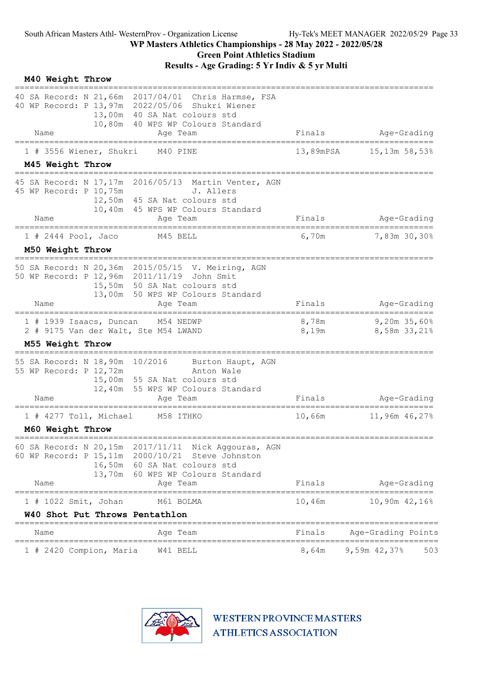| M40 Weight Throw                         |                                  |                                                                                                                                                                             |                |                                       |
|------------------------------------------|----------------------------------|-----------------------------------------------------------------------------------------------------------------------------------------------------------------------------|----------------|---------------------------------------|
|                                          |                                  | 40 SA Record: N 21,66m 2017/04/01 Chris Harmse, FSA<br>40 WP Record: P 13,97m 2022/05/06 Shukri Wiener<br>13,00m 40 SA Nat colours std<br>10,80m 40 WPS WP Colours Standard |                |                                       |
| Name                                     |                                  | Age Team                                                                                                                                                                    | Finals         | Age-Grading                           |
|                                          | 1 # 3556 Wiener, Shukri          | M40 PINE                                                                                                                                                                    | 13,89mPSA      | $15,13m$ 58,53%                       |
| M45 Weight Throw                         |                                  |                                                                                                                                                                             |                |                                       |
| Name                                     | 45 WP Record: P 10,75m           | 45 SA Record: N 17,17m 2016/05/13 Martin Venter, AGN<br>J. Allers<br>12,50m 45 SA Nat colours std<br>10,40m 45 WPS WP Colours Standard<br>Age Team                          | Finals         | Age-Grading                           |
|                                          |                                  |                                                                                                                                                                             |                | ======                                |
| $1$ # 2444 Pool, Jaco                    |                                  | M45 BELL                                                                                                                                                                    | 6,70m          | 7,83m 30,30%                          |
| M50 Weight Throw                         | -------------------------        |                                                                                                                                                                             |                |                                       |
|                                          |                                  | 50 SA Record: N 20,36m 2015/05/15 V. Meiring, AGN<br>50 WP Record: P 12,96m 2011/11/19 John Smit<br>15,50m 50 SA Nat colours std<br>13,00m 50 WPS WP Colours Standard       |                |                                       |
| Name                                     |                                  | Age Team<br>===================================<br>=====================                                                                                                    | Finals         | Age-Grading<br>====================== |
|                                          | 1 # 1939 Isaacs, Duncan          | M54 NEDWP<br>2 # 9175 Van der Walt, Ste M54 LWAND                                                                                                                           | 8,78m<br>8,19m | 9,20m 35,60%<br>8,58m 33,21%          |
| M55 Weight Throw<br>==================== |                                  |                                                                                                                                                                             |                |                                       |
|                                          | 55 WP Record: P 12,72m           | 55 SA Record: N 18,90m 10/2016 Burton Haupt, AGN<br>Anton Wale<br>15,00m 55 SA Nat colours std<br>12,40m 55 WPS WP Colours Standard                                         |                |                                       |
| Name                                     |                                  | Age Team                                                                                                                                                                    | Finals         | Age-Grading<br>==========             |
|                                          | 1 # 4277 Toll, Michael           | M58 ITHKO                                                                                                                                                                   | 10,66m         | 11,96m 46,27%                         |
| M60 Weight Throw                         |                                  |                                                                                                                                                                             |                |                                       |
|                                          | 60 SA Record: N 20,15m<br>13,70m | 2017/11/11 Nick Aggouras, AGN<br>60 WP Record: P 15, 11m  2000/10/21  Steve Johnston<br>16,50m 60 SA Nat colours std<br>60 WPS WP Colours Standard                          |                |                                       |
| Name                                     |                                  | Age Team                                                                                                                                                                    | Finals         | Age-Grading                           |
|                                          | 1 # 1022 Smit, Johan             | M61 BOLMA                                                                                                                                                                   | 10,46m         | 10,90m 42,16%                         |
|                                          |                                  | W40 Shot Put Throws Pentathlon                                                                                                                                              |                |                                       |
| Name                                     |                                  | Age Team                                                                                                                                                                    | Finals         | Age-Grading Points                    |
|                                          | 1 # 2420 Compion, Maria          | W41 BELL                                                                                                                                                                    | 8,64m          | 9,59m $42,37$ %<br>503                |

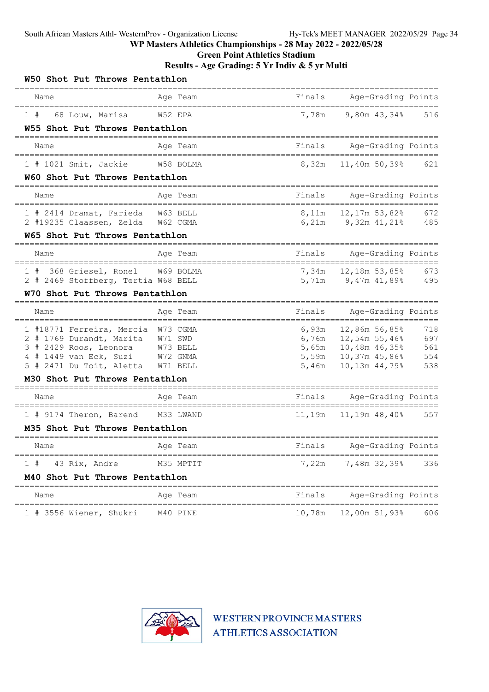Green Point Athletics Stadium

| W50 Shot Put Throws Pentathlon                                       |           |        |                                               |            |
|----------------------------------------------------------------------|-----------|--------|-----------------------------------------------|------------|
| Name<br>======================                                       | Age Team  | Finals | Age-Grading Points<br>======================= |            |
| 68 Louw, Marisa<br>1#                                                | W52 EPA   | 7,78m  | 9,80m 43,34%                                  | 516        |
| W55 Shot Put Throws Pentathlon                                       |           |        |                                               |            |
| Name                                                                 | Age Team  | Finals | Age-Grading Points<br>======================= |            |
| 1 # 1021 Smit, Jackie W58 BOLMA                                      |           | 8,32m  | 11,40m 50,39%                                 | 621        |
| W60 Shot Put Throws Pentathlon                                       |           |        |                                               |            |
| Name                                                                 | Age Team  | Finals | Age-Grading Points                            |            |
| 1 # 2414 Dramat, Farieda W63 BELL                                    |           |        |                                               | 672        |
| 2 #19235 Claassen, Zelda W62 CGMA                                    |           |        | $6,21m$ 9,32m 41,21% 485                      |            |
| W65 Shot Put Throws Pentathlon                                       |           |        |                                               |            |
| Name                                                                 | Age Team  | Finals | Age-Grading Points                            |            |
| 1 # 368 Griesel, Ronel W69 BOLMA                                     |           |        |                                               | 673        |
| 2 # 2469 Stoffberg, Tertia W68 BELL                                  |           |        | 5,71m 9,47m 41,89%                            | 495        |
| W70 Shot Put Throws Pentathlon<br>-=============================     |           |        |                                               |            |
| Name                                                                 | Age Team  | Finals | Age-Grading Points                            |            |
| 1 #18771 Ferreira, Mercia W73 CGMA                                   |           | 6,93m  | 12,86m 56,85%                                 | 718        |
| 2 # 1769 Durandt, Marita W71 SWD                                     |           |        | 6,76m $12,54m$ 55,46%                         | 697        |
| 3 # 2429 Roos, Leonora W73 BELL                                      |           |        | 5,65m 10,48m 46,35%                           | 561        |
| 4 # 1449 van Eck, Suzi W72 GNMA<br>5 # 2471 Du Toit, Aletta W71 BELL |           | 5,46m  | 5,59m 10,37m 45,86%<br>10,13m 44,79%          | 554<br>538 |
| M30 Shot Put Throws Pentathlon                                       |           |        |                                               |            |
|                                                                      |           |        |                                               |            |
| Name<br>===================================                          | Age Team  | Finals | Age-Grading Points                            |            |
| 1 # 9174 Theron, Barend M33 LWAND                                    |           |        | 11,19m   11,19m   48,40%   557                |            |
| M35 Shot Put Throws Pentathlon                                       |           |        |                                               |            |
| Name                                                                 | Age Team  | Finals | Age-Grading Points                            |            |
| 43 Rix, Andre<br>1#                                                  | M35 MPTIT | 7,22m  | 7,48m 32,39%                                  | 336        |
| M40 Shot Put Throws Pentathlon                                       |           |        |                                               |            |
| Name                                                                 | Age Team  | Finals | Age-Grading Points                            |            |
| 1 # 3556 Wiener, Shukri                                              | M40 PINE  |        | 10,78m   12,00m   51,93%                      | 606        |

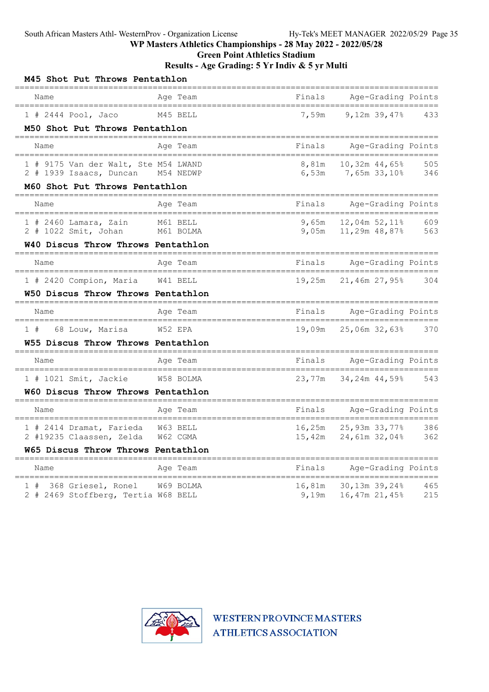Green Point Athletics Stadium

#### Results - Age Grading: 5 Yr Indiv & 5 yr Multi

| M45 Shot Put Throws Pentathlon                                            |                                     |                |                                      |            |
|---------------------------------------------------------------------------|-------------------------------------|----------------|--------------------------------------|------------|
| Name<br>====================================                              | Aqe Team                            | Finals         | Age-Grading Points                   |            |
| $1$ # 2444 Pool, Jaco                                                     | M45 BELL                            | 7,59m          | $9.12m$ 39.47%                       | 433        |
| M50 Shot Put Throws Pentathlon                                            |                                     |                |                                      |            |
| Name                                                                      | Age Team                            | Finals         | Age-Grading Points                   |            |
| 1 # 9175 Van der Walt, Ste M54 LWAND<br>2 # 1939 Isaacs, Duncan M54 NEDWP |                                     | 8,81m<br>6,53m | 10,32m 44,65%<br>7,65m 33,10%        | 505<br>346 |
| M60 Shot Put Throws Pentathlon                                            |                                     |                |                                      |            |
| Name                                                                      | Age Team                            | Finals         | Age-Grading Points<br>=======        |            |
| $1$ # 2460 Lamara, Zain<br>2 # 1022 Smit, Johan                           | M61 BELL<br>M61 BOLMA               | 9,65m          | 12,04m 52,11%<br>9,05m 11,29m 48,87% | 609<br>563 |
| W40 Discus Throw Throws Pentathlon<br>----------------------              |                                     |                |                                      |            |
| Name                                                                      | Age Team                            | Finals         | Age-Grading Points                   |            |
| 1 # 2420 Compion, Maria                                                   | W41 BELL                            | 19,25m         | 21,46m 27,95%                        | 304        |
| W50 Discus Throw Throws Pentathlon<br>================================    | ----------------------------------- |                |                                      |            |
| Name<br>-------------------------------                                   | Age Team<br>================        | Finals         | Age-Grading Points<br>=======        |            |
| 68 Louw, Marisa W52 EPA<br>1#                                             |                                     | 19,09m         | 25,06m 32,63%                        | 370        |
| W55 Discus Throw Throws Pentathlon                                        |                                     |                |                                      |            |
| Name<br>=====================================                             | Age Team                            | Finals         | Age-Grading Points                   |            |
| 1 # 1021 Smit, Jackie                                                     | W58 BOLMA                           | 23,77m         | 34,24m 44,59%                        | 543        |
| W60 Discus Throw Throws Pentathlon                                        |                                     |                |                                      |            |
| Name                                                                      | Age Team                            | Finals         | Age-Grading Points                   |            |
| 1 # 2414 Dramat, Farieda                                                  | W63 BELL                            | 16,25m         | 25,93m 33,77%                        | 386        |
|                                                                           |                                     |                |                                      |            |
| 2 #19235 Claassen, Zelda<br>W65 Discus Throw Throws Pentathlon            | W62 CGMA                            |                | 15,42m 24,61m 32,04%                 | 362        |
| ======================<br>Name                                            | Age Team                            | Finals         | Age-Grading Points                   |            |

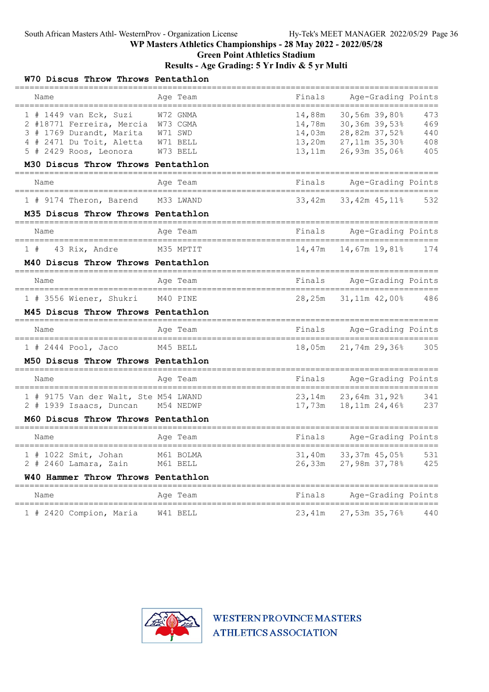## Green Point Athletics Stadium

### Results - Age Grading: 5 Yr Indiv & 5 yr Multi

| W70 Discus Throw Throws Pentathlon                                                                                                                                                             |                                  |                            |                                                                                                 |                                 |
|------------------------------------------------------------------------------------------------------------------------------------------------------------------------------------------------|----------------------------------|----------------------------|-------------------------------------------------------------------------------------------------|---------------------------------|
| Name                                                                                                                                                                                           | Age Team                         | Finals                     | Age-Grading Points                                                                              |                                 |
| $1$ # 1449 van Eck, Suzi<br>2 #18771 Ferreira, Mercia W73 CGMA<br>3 # 1769 Durandt, Marita W71 SWD<br>4 # 2471 Du Toit, Aletta<br>5 # 2429 Roos, Leonora<br>M30 Discus Throw Throws Pentathlon | W72 GNMA<br>W71 BELL<br>W73 BELL | 14,88m<br>13,20m<br>13,11m | 30,56m 39,80%<br>14,78m 30,36m 39,53%<br>14,03m 28,82m 37,52%<br>27,11m 35,30%<br>26,93m 35,06% | 473<br>469<br>440<br>408<br>405 |
| Name                                                                                                                                                                                           | Aqe Team                         | Finals                     | Age-Grading Points                                                                              |                                 |
| 1 # 9174 Theron, Barend                                                                                                                                                                        | M33 LWAND                        | 33,42m                     | 33,42m 45,11%                                                                                   | 532                             |
| M35 Discus Throw Throws Pentathlon                                                                                                                                                             |                                  |                            |                                                                                                 |                                 |
| Name                                                                                                                                                                                           | Age Team                         | Finals                     | Age-Grading Points<br>=======================                                                   |                                 |
| 43 Rix, Andre<br>1#                                                                                                                                                                            | M35 MPTIT                        | 14,47m                     | 14,67m 19,81%                                                                                   | 174                             |
| M40 Discus Throw Throws Pentathlon                                                                                                                                                             |                                  |                            |                                                                                                 |                                 |
| Name                                                                                                                                                                                           | Age Team                         | Finals                     | Age-Grading Points<br>=====================                                                     |                                 |
| 1 # 3556 Wiener, Shukri                                                                                                                                                                        | M40 PINE                         | 28,25m                     | 31,11m 42,00% 486                                                                               |                                 |
| M45 Discus Throw Throws Pentathlon                                                                                                                                                             |                                  |                            |                                                                                                 |                                 |
| Name<br>_____________________________________                                                                                                                                                  | Age Team                         |                            | Finals Age-Grading Points<br>======================                                             |                                 |
| 1 # 2444 Pool, Jaco                                                                                                                                                                            | M45 BELL                         | 18,05m                     | 21,74m 29,36%                                                                                   | 305                             |
| M50 Discus Throw Throws Pentathlon                                                                                                                                                             |                                  |                            |                                                                                                 |                                 |
| Name                                                                                                                                                                                           | Age Team                         | Finals                     | Age-Grading Points<br>=======                                                                   |                                 |
| 1 # 9175 Van der Walt, Ste M54 LWAND<br>2 # 1939 Isaacs, Duncan M54 NEDWP                                                                                                                      |                                  |                            | 23,14m 23,64m 31,92%                                                                            | 341<br>237                      |
| M60 Discus Throw Throws Pentathlon                                                                                                                                                             |                                  |                            |                                                                                                 |                                 |
| Name                                                                                                                                                                                           | Age Team                         | Finals                     | Age-Grading Points                                                                              |                                 |
| $1$ # 1022 Smit, Johan<br>$2$ # 2460 Lamara, Zain                                                                                                                                              | M61 BOLMA<br>M61 BELL            |                            | 31,40m 33,37m 45,05%<br>26,33m 27,98m 37,78%                                                    | 531<br>425                      |
| W40 Hammer Throw Throws Pentathlon<br>________________________                                                                                                                                 |                                  |                            |                                                                                                 |                                 |
| Name                                                                                                                                                                                           | Age Team                         | Finals                     | Age-Grading Points<br>==============                                                            |                                 |
| 1 # 2420 Compion, Maria                                                                                                                                                                        | W41 BELL                         | 23,41m                     | 27,53m 35,76%                                                                                   | 440                             |

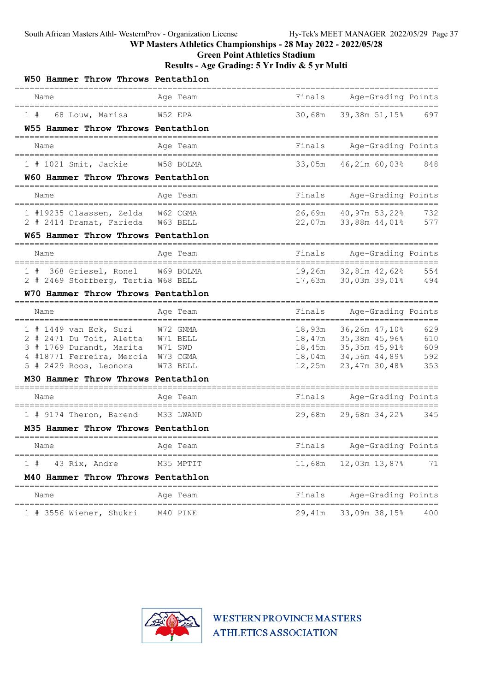Green Point Athletics Stadium

#### Results - Age Grading: 5 Yr Indiv & 5 yr Multi

| W50 Hammer Throw Throws Pentathlon<br>========================             |                                                   |        |                                                       |            |
|----------------------------------------------------------------------------|---------------------------------------------------|--------|-------------------------------------------------------|------------|
| Name<br>====================================                               | Age Team                                          | Finals | Age-Grading Points                                    |            |
| 68 Louw, Marisa<br>1#                                                      | ;======================<br>W52 EPA                |        | 30,68m 39,38m 51,15% 697                              |            |
| W55 Hammer Throw Throws Pentathlon                                         |                                                   |        |                                                       |            |
| ====================================<br>Name                               | Age Team                                          |        | Finals Age-Grading Points                             |            |
| 1 # 1021 Smit, Jackie W58 BOLMA                                            |                                                   |        | 33,05m 46,21m 60,03% 848                              |            |
| W60 Hammer Throw Throws Pentathlon                                         |                                                   |        |                                                       |            |
| =======================<br>Name                                            | =====================================<br>Age Team |        | Finals Age-Grading Points                             |            |
| 1 #19235 Claassen, Zelda W62 CGMA                                          |                                                   |        | 26,69m 40,97m 53,22%                                  | 732        |
| 2 # 2414 Dramat, Farieda W63 BELL                                          |                                                   |        | 22,07m 33,88m 44,01%                                  | 577        |
| W65 Hammer Throw Throws Pentathlon<br>==================================== |                                                   |        |                                                       |            |
| Name<br>===============================                                    | Age Team                                          | Finals | Age-Grading Points                                    |            |
| 1 # 368 Griesel, Ronel W69 BOLMA                                           |                                                   |        | 19,26m 32,81m 42,62%                                  | 554        |
| 2 # 2469 Stoffberg, Tertia W68 BELL                                        |                                                   |        | 17,63m 30,03m 39,01%                                  | 494        |
| W70 Hammer Throw Throws Pentathlon                                         |                                                   |        |                                                       |            |
| Name                                                                       | Age Team                                          | Finals | Age-Grading Points                                    |            |
| $1$ # 1449 van Eck, Suzi                                                   | W72 GNMA                                          | 18,93m | 36,26m 47,10%                                         | 629        |
| 2 # 2471 Du Toit, Aletta W71 BELL                                          |                                                   |        | 18,47m 35,38m 45,96%                                  | 610        |
| 3 # 1769 Durandt, Marita W71 SWD                                           |                                                   |        | 18,45m 35,35m 45,91%<br>18,04m 34,56m 44,89%          | 609        |
| 4 #18771 Ferreira, Mercia W73 CGMA<br>5 # 2429 Roos, Leonora               | W73 BELL                                          |        | 12,25m 23,47m 30,48%                                  | 592<br>353 |
| M30 Hammer Throw Throws Pentathlon                                         |                                                   |        |                                                       |            |
|                                                                            |                                                   |        |                                                       |            |
| Name                                                                       | Age Team<br>==========                            | Finals | Age-Grading Points<br>===========================     |            |
| 1 # 9174 Theron, Barend                                                    | M33 LWAND                                         | 29,68m | 29,68m 34,22%                                         | 345        |
| M35 Hammer Throw Throws Pentathlon                                         |                                                   |        |                                                       |            |
| Name                                                                       | Age Team                                          | Finals | Age-Grading Points                                    |            |
| 1#<br>43 Rix, Andre                                                        | M35 MPTIT                                         | 11,68m | 12,03m 13,87%                                         | 71         |
| M40 Hammer Throw Throws Pentathlon                                         |                                                   |        |                                                       |            |
| Name                                                                       | Age Team                                          | Finals | ===============================<br>Age-Grading Points |            |
| =================================<br>1 # 3556 Wiener, Shukri               | M40 PINE                                          | 29,41m | =======<br>33,09m 38,15%                              | 400        |

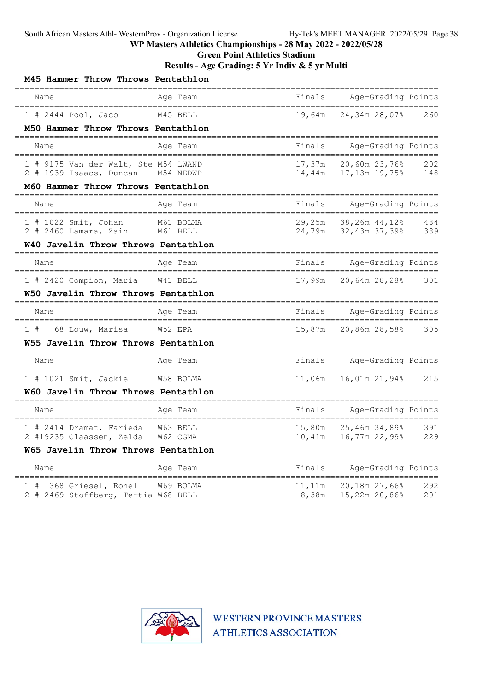Green Point Athletics Stadium

Results - Age Grading: 5 Yr Indiv & 5 yr Multi

| M45 Hammer Throw Throws Pentathlon                                          |                       |                                                  |                                               |            |
|-----------------------------------------------------------------------------|-----------------------|--------------------------------------------------|-----------------------------------------------|------------|
| Name                                                                        | Age Team              | Finals                                           | Age-Grading Points                            |            |
| $1$ # 2444 Pool, Jaco                                                       | M45 BELL              | 19,64m                                           | 24,34m 28,07%                                 | 260        |
| M50 Hammer Throw Throws Pentathlon<br>====================================  |                       |                                                  |                                               |            |
| Name                                                                        | Age Team              | Finals                                           | Age-Grading Points                            |            |
| 1 # 9175 Van der Walt, Ste M54 LWAND<br>2 # 1939 Isaacs, Duncan M54 NEDWP   |                       | 17,37m<br>14,44m                                 | 20,60m 23,76%<br>17,13m 19,75%                | 202<br>148 |
| M60 Hammer Throw Throws Pentathlon<br>====================================  |                       |                                                  |                                               |            |
| Name<br>-----------------------                                             | Age Team              | Finals                                           | Age-Grading Points                            |            |
| 1 # 1022 Smit, Johan<br>$2$ # 2460 Lamara, Zain                             | M61 BOLMA<br>M61 BELL | 29,25m<br>24,79m                                 | 38,26m 44,12%<br>32,43m 37,39%                | 484<br>389 |
| W40 Javelin Throw Throws Pentathlon                                         |                       |                                                  |                                               |            |
| Name                                                                        | Age Team              | Finals                                           | Age-Grading Points<br>_______________________ |            |
| 1 # 2420 Compion, Maria                                                     | W41 BELL              | 17,99m                                           | 20,64m 28,28%                                 | 301        |
| W50 Javelin Throw Throws Pentathlon                                         |                       |                                                  |                                               |            |
| Name<br>=====================================                               | Age Team              | Finals<br>______________________________________ | Age-Grading Points                            |            |
| 1#<br>68 Louw, Marisa                                                       | W52 EPA               | 15,87m                                           | 20,86m 28,58%                                 | 305        |
| W55 Javelin Throw Throws Pentathlon<br>==================================== |                       |                                                  |                                               |            |
| Name                                                                        | Age Team              | Finals                                           | Age-Grading Points                            |            |
| $1$ # 1021 Smit, Jackie                                                     | W58 BOLMA             | 11,06m                                           | 16,01m 21,94%                                 | 215        |
| W60 Javelin Throw Throws Pentathlon                                         |                       |                                                  |                                               |            |
| Name<br>===============================                                     | Age Team              | Finals                                           | Age-Grading Points<br>=======                 |            |
| 1 # 2414 Dramat, Farieda<br>2 #19235 Claassen, Zelda                        | W63 BELL<br>W62 CGMA  | 15,80m<br>10,41m                                 | 25,46m 34,89%<br>16,77m 22,99%                | 391<br>229 |
| W65 Javelin Throw Throws Pentathlon<br>-------------------------------      |                       |                                                  |                                               |            |
| Name<br>__________________________                                          | Age Team              | Finals                                           | Age-Grading Points                            |            |
| 1 # 368 Griesel, Ronel<br>2 # 2469 Stoffberg, Tertia W68 BELL               | W69 BOLMA             | 11,11m<br>8,38m                                  | 20,18m 27,66%<br>15,22m 20,86%                | 292<br>201 |

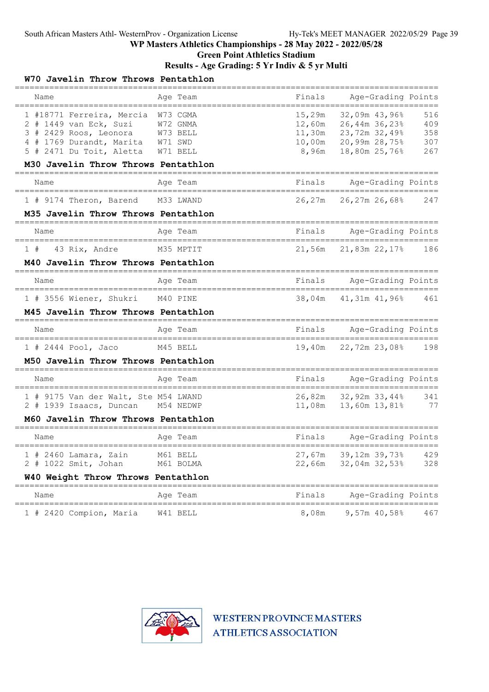## Green Point Athletics Stadium

#### Results - Age Grading: 5 Yr Indiv & 5 yr Multi

| W70 Javelin Throw Throws Pentathlon                                                                                                                                      |                                                |                           |                                                                                                 |                                 |
|--------------------------------------------------------------------------------------------------------------------------------------------------------------------------|------------------------------------------------|---------------------------|-------------------------------------------------------------------------------------------------|---------------------------------|
| Name                                                                                                                                                                     | Age Team                                       | Finals                    | Age-Grading Points                                                                              |                                 |
| 1 #18771 Ferreira, Mercia W73 CGMA<br>2 # 1449 van Eck, Suzi<br>3 # 2429 Roos, Leonora W73 BELL<br>4 # 1769 Durandt, Marita W71 SWD<br>5 # 2471 Du Toit, Aletta W71 BELL | W72 GNMA                                       | 15,29m<br>12,60m<br>8,96m | 32,09m 43,96%<br>26,44m 36,23%<br>11,30m 23,72m 32,49%<br>10,00m 20,99m 28,75%<br>18,80m 25,76% | 516<br>409<br>358<br>307<br>267 |
| M30 Javelin Throw Throws Pentathlon                                                                                                                                      |                                                |                           |                                                                                                 |                                 |
| Name<br>=====================================                                                                                                                            | Age Team                                       | Finals                    | Age-Grading Points                                                                              |                                 |
| 1 # 9174 Theron, Barend                                                                                                                                                  | M33 LWAND                                      | 26,27m                    | 26,27m 26,68%                                                                                   | 247                             |
| M35 Javelin Throw Throws Pentathlon                                                                                                                                      |                                                |                           |                                                                                                 |                                 |
| Name<br>====================================                                                                                                                             | Age Team<br>_________________________          | Finals                    | Age-Grading Points<br>=======================                                                   |                                 |
| 1#<br>43 Rix, Andre                                                                                                                                                      | M35 MPTIT                                      | 21,56m                    | 21,83m 22,17%                                                                                   | 186                             |
| M40 Javelin Throw Throws Pentathlon                                                                                                                                      |                                                |                           |                                                                                                 |                                 |
| Name                                                                                                                                                                     | Age Team<br>_______________________            | Finals                    | Age-Grading Points<br>=======                                                                   |                                 |
| 1 # 3556 Wiener, Shukri<br>M45 Javelin Throw Throws Pentathlon                                                                                                           | M40 PINE                                       | 38,04m                    | 41,31m 41,96%                                                                                   | 461                             |
| Name<br>-------------------------------------                                                                                                                            | Age Team<br>___________________________        | Finals                    | Age-Grading Points<br>========================                                                  |                                 |
| 1 # 2444 Pool, Jaco                                                                                                                                                      | M45 BELL                                       | 19,40m                    | 22,72m 23,08%                                                                                   | 198                             |
| M50 Javelin Throw Throws Pentathlon                                                                                                                                      |                                                |                           |                                                                                                 |                                 |
| Name                                                                                                                                                                     | Age Team                                       | Finals                    | Age-Grading Points<br>========================                                                  |                                 |
| 1 # 9175 Van der Walt, Ste M54 LWAND<br>2 # 1939 Isaacs, Duncan M54 NEDWP<br>M60 Javelin Throw Throws Pentathlon                                                         |                                                |                           | 26,82m 32,92m 33,44%<br>11,08m   13,60m   13,81%                                                | 341<br>77                       |
| Name                                                                                                                                                                     | Age Team                                       | Finals                    | Age-Grading Points                                                                              |                                 |
| $1$ # 2460 Lamara, Zain<br>2 # 1022 Smit, Johan<br>W40 Weight Throw Throws Pentathlon                                                                                    | M61 BELL<br>M61 BOLMA                          |                           | ===================<br>$27,67m$ 39,12m 39,73%<br>22,66m 32,04m 32,53%                           | 429<br>328                      |
| Name                                                                                                                                                                     | ==================================<br>Age Team | Finals                    | Age-Grading Points                                                                              |                                 |
| 1 # 2420 Compion, Maria                                                                                                                                                  | W41 BELL                                       | 8,08m                     | ==============<br>9,57m 40,58%                                                                  | 467                             |

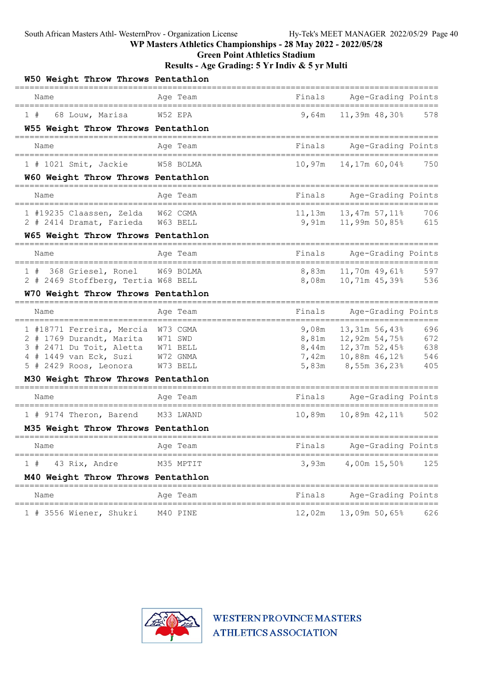Green Point Athletics Stadium

| W50 Weight Throw Throws Pentathlon                      |           |              |                                                |            |
|---------------------------------------------------------|-----------|--------------|------------------------------------------------|------------|
| Name                                                    | Aqe Team  | Finals       | Age-Grading Points                             |            |
| 1#<br>68 Louw, Marisa                                   | W52 EPA   | 9,64m        | 11,39m 48,30%                                  | 578        |
| W55 Weight Throw Throws Pentathlon                      |           |              |                                                |            |
| Name                                                    | Age Team  | Finals       | Age-Grading Points                             |            |
| 1 # 1021 Smit, Jackie                                   | W58 BOLMA | 10,97m       | 14,17m 60,04%                                  | 750        |
| W60 Weight Throw Throws Pentathlon                      |           |              |                                                |            |
| Name                                                    | Age Team  | Finals       | Age-Grading Points                             |            |
| 1 #19235 Claassen, Zelda                                | W62 CGMA  | $11$ , $13m$ | 13,47m 57,11%                                  | 706        |
| 2 # 2414 Dramat, Farieda W63 BELL                       |           |              | $9,91m$ 11,99m 50,85%                          | 615        |
| W65 Weight Throw Throws Pentathlon                      |           |              |                                                |            |
| Name<br>-------------------------------------           | Age Team  | Finals       | Age-Grading Points<br>======================== |            |
| 1 # 368 Griesel, Ronel                                  | W69 BOLMA |              | 8,83m   11,70m   49,61%                        | 597        |
| 2 # 2469 Stoffberg, Tertia W68 BELL                     |           |              | 8,08m    10,71m    45,39%                      | 536        |
| W70 Weight Throw Throws Pentathlon                      |           |              |                                                |            |
| Name                                                    | Age Team  | Finals       | Age-Grading Points<br>======================== |            |
| 1 #18771 Ferreira, Mercia W73 CGMA                      |           | 9,08m        | 13,31m 56,43%                                  | 696        |
| 2 # 1769 Durandt, Marita W71 SWD                        |           | 8,81m        | 12,92m 54,75%                                  | 672        |
| 3 # 2471 Du Toit, Aletta W71 BELL                       |           |              | $8,44m$ 12,37m 52,45%                          | 638        |
| 4 # 1449 van Eck, Suzi                                  | W72 GNMA  | 7,42m        | 10,88m 46,12%                                  | 546<br>405 |
| 5 # 2429 Roos, Leonora W73 BELL                         |           | 5,83m        | 8,55m 36,23%                                   |            |
| M30 Weight Throw Throws Pentathlon                      |           |              |                                                |            |
| Name<br>=====================================           | Age Team  | Finals       | Age-Grading Points                             |            |
| 1 # 9174 Theron, Barend                                 | M33 LWAND | 10,89m       | 10,89m 42,11%                                  | 502        |
| M35 Weight Throw Throws Pentathlon<br>================= |           |              |                                                |            |
| Name                                                    | Aqe Team  | Fına⊥s       | Age-Grading Points<br>======================   |            |
| 1#<br>43 Rix, Andre                                     | M35 MPTIT | 3,93m        | 4,00m 15,50%                                   | 125        |
| M40 Weight Throw Throws Pentathlon                      |           |              |                                                |            |
| Name                                                    | Age Team  | Finals       | Age-Grading Points                             |            |
| 1 # 3556 Wiener, Shukri                                 | M40 PINE  |              | 12,02m  13,09m 50,65%                          | 626        |

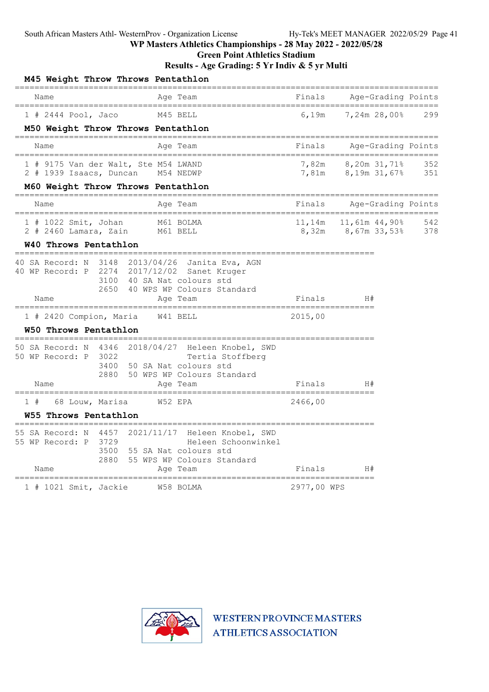Green Point Athletics Stadium

Results - Age Grading: 5 Yr Indiv & 5 yr Multi

|                                                 |                   |                 | M45 Weight Throw Throws Pentathlon                                        |                                                                                                                                                |                        |                               |                                    |            |
|-------------------------------------------------|-------------------|-----------------|---------------------------------------------------------------------------|------------------------------------------------------------------------------------------------------------------------------------------------|------------------------|-------------------------------|------------------------------------|------------|
| Name                                            |                   |                 |                                                                           | Age Team                                                                                                                                       | Finals                 |                               | Age-Grading Points                 |            |
| $1$ # 2444 Pool, Jaco                           |                   |                 |                                                                           | M45 BELL                                                                                                                                       | 6.19m                  |                               | 7,24m 28,00%                       | 299        |
|                                                 |                   |                 | M50 Weight Throw Throws Pentathlon                                        | ====================                                                                                                                           |                        |                               |                                    |            |
| Name                                            |                   |                 |                                                                           | Age Team                                                                                                                                       | ____________<br>Finals |                               | Age-Grading Points                 |            |
|                                                 |                   |                 | 1 # 9175 Van der Walt, Ste M54 LWAND<br>2 # 1939 Isaacs, Duncan M54 NEDWP |                                                                                                                                                | 7,82m<br>7,81m         | 8,19m 31,67%                  | 8,20m 31,71%                       | 352<br>351 |
|                                                 |                   |                 | M60 Weight Throw Throws Pentathlon                                        | -----------------------                                                                                                                        |                        |                               |                                    |            |
| Name<br>===================================     |                   |                 |                                                                           | Age Team<br>________________________                                                                                                           | Finals                 | ========                      | Age-Grading Points<br>============ |            |
| 1 # 1022 Smit, Johan<br>$2$ # 2460 Lamara, Zain |                   |                 | M61 BELL                                                                  | M61 BOLMA                                                                                                                                      | 11,14m<br>8,32m        | 11,61m 44,90%<br>8,67m 33,53% |                                    | 542<br>378 |
| W40 Throws Pentathlon                           | ----------------- |                 |                                                                           |                                                                                                                                                |                        |                               |                                    |            |
| 40 SA Record: N<br>40 WP Record: P              |                   |                 |                                                                           | 3148 2013/04/26 Janita Eva, AGN<br>2274 2017/12/02 Sanet Kruger<br>3100 40 SA Nat colours std<br>2650 40 WPS WP Colours Standard               |                        |                               |                                    |            |
| Name                                            |                   |                 |                                                                           | Age Team                                                                                                                                       | Finals                 | H#                            |                                    |            |
| 1 # 2420 Compion, Maria                         |                   |                 |                                                                           | W41 BELL                                                                                                                                       | 2015,00                |                               |                                    |            |
| W50 Throws Pentathlon                           | ----------        |                 |                                                                           |                                                                                                                                                |                        |                               |                                    |            |
| 50 WP Record: P<br>Name                         |                   | 3022<br>2880    |                                                                           | 50 SA Record: N 4346 2018/04/27 Heleen Knobel, SWD<br>Tertia Stoffberg<br>3400 50 SA Nat colours std<br>50 WPS WP Colours Standard<br>Age Team | Finals                 | H#                            |                                    |            |
| 1#                                              |                   | 68 Louw, Marisa |                                                                           | W52 EPA                                                                                                                                        | 2466,00                |                               |                                    |            |
| W55 Throws Pentathlon                           |                   |                 |                                                                           |                                                                                                                                                |                        |                               |                                    |            |
| 55 SA Record: N                                 |                   | 4457            |                                                                           |                                                                                                                                                |                        |                               |                                    |            |
| 55 WP Record: P                                 |                   | 3729<br>2880    |                                                                           | 2021/11/17 Heleen Knobel, SWD<br>Heleen Schoonwinkel<br>3500 55 SA Nat colours std<br>55 WPS WP Colours Standard                               |                        |                               |                                    |            |
| Name                                            |                   |                 |                                                                           | Age Team                                                                                                                                       | Finals                 | H#                            |                                    |            |
| $1$ # 1021 Smit, Jackie                         |                   |                 |                                                                           | W58 BOLMA                                                                                                                                      | 2977,00 WPS            |                               |                                    |            |

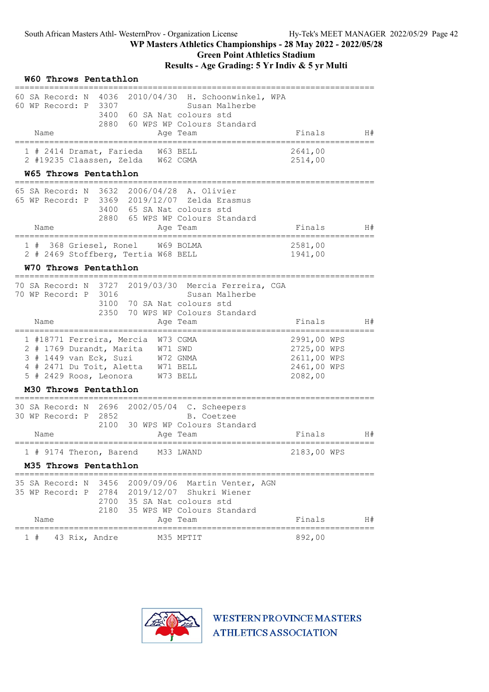|    |                                            | W60 Throws Pentathlon                                                         |                                                                                                                    |                        |                                                                        |                                                                     |      |
|----|--------------------------------------------|-------------------------------------------------------------------------------|--------------------------------------------------------------------------------------------------------------------|------------------------|------------------------------------------------------------------------|---------------------------------------------------------------------|------|
|    | 60 SA Record: N<br>60 WP Record: P<br>Name | 4036<br>3307<br>3400<br>2880                                                  | 60 SA Nat colours std<br>60 WPS WP Colours Standard                                                                |                        | 2010/04/30 H. Schoonwinkel, WPA<br>Susan Malherbe                      | Finals                                                              | H#   |
|    |                                            |                                                                               |                                                                                                                    | Age Team               |                                                                        |                                                                     |      |
|    |                                            | 1 # 2414 Dramat, Farieda                                                      | 2 #19235 Claassen, Zelda W62 CGMA                                                                                  | W63 BELL               |                                                                        | 2641,00<br>2514,00                                                  |      |
|    |                                            | W65 Throws Pentathlon                                                         |                                                                                                                    |                        |                                                                        |                                                                     |      |
|    | 65 SA Record: N                            | 3632<br>3400<br>2880                                                          | 2006/04/28<br>65 WP Record: P 3369 2019/12/07 Zelda Erasmus<br>65 SA Nat colours std<br>65 WPS WP Colours Standard | A. Olivier             |                                                                        |                                                                     |      |
|    | Name                                       |                                                                               |                                                                                                                    | Age Team               |                                                                        | Finals                                                              | H#   |
|    |                                            | 1 # 368 Griesel, Ronel                                                        | W69 BOLMA<br>2 # 2469 Stoffberg, Tertia W68 BELL                                                                   |                        |                                                                        | 2581,00<br>1941,00                                                  |      |
|    |                                            | W70 Throws Pentathlon                                                         |                                                                                                                    |                        |                                                                        |                                                                     |      |
|    | 70 WP Record: P                            | 3016<br>3100<br>2350                                                          | 70 SA Nat colours std<br>70 WPS WP Colours Standard                                                                |                        | 70 SA Record: N 3727 2019/03/30 Mercia Ferreira, CGA<br>Susan Malherbe |                                                                     |      |
|    | Name                                       |                                                                               |                                                                                                                    | Age Team               |                                                                        | Finals                                                              | H#   |
|    |                                            | 1 #18771 Ferreira, Mercia<br>3 # 1449 van Eck, Suzi<br>5 # 2429 Roos, Leonora | 2 # 1769 Durandt, Marita W71 SWD<br>W72 GNMA<br>4 # 2471 Du Toit, Aletta W71 BELL<br>W73 BELL                      | W73 CGMA               |                                                                        | 2991,00 WPS<br>2725,00 WPS<br>2611,00 WPS<br>2461,00 WPS<br>2082,00 |      |
|    |                                            | M30 Throws Pentathlon                                                         |                                                                                                                    |                        |                                                                        |                                                                     |      |
|    | 30 SA Record: N<br>30 WP Record: P<br>Name | 2696<br>2852<br>2100                                                          | 2002/05/04 C. Scheepers<br>30 WPS WP Colours Standard                                                              | B. Coetzee<br>Age Team |                                                                        | Finals                                                              | H#   |
|    |                                            |                                                                               | ;=======================                                                                                           |                        |                                                                        |                                                                     |      |
|    |                                            | M35 Throws Pentathlon                                                         | 1 # 9174 Theron, Barend M33 LWAND                                                                                  |                        |                                                                        | 2183,00 WPS                                                         |      |
|    |                                            |                                                                               |                                                                                                                    |                        |                                                                        |                                                                     |      |
|    | 35 SA Record: N                            | 3456<br>2700<br>2180                                                          | 35 WP Record: P 2784 2019/12/07 Shukri Wiener<br>35 SA Nat colours std<br>35 WPS WP Colours Standard               |                        | 2009/09/06 Martin Venter, AGN                                          |                                                                     |      |
|    | Name                                       |                                                                               |                                                                                                                    | Age Team               |                                                                        | Finals                                                              | - H# |
| 1# |                                            | 43 Rix, Andre                                                                 | M35 MPTIT                                                                                                          |                        |                                                                        | 892,00                                                              |      |

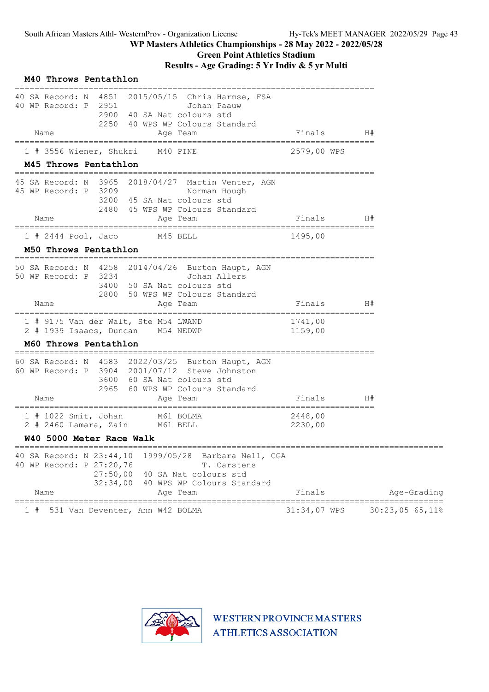| M40 Throws Pentathlon                                                                                                                                                                                  |                                    |                 |
|--------------------------------------------------------------------------------------------------------------------------------------------------------------------------------------------------------|------------------------------------|-----------------|
| 40 SA Record: N 4851<br>2015/05/15 Chris Harmse, FSA<br>40 WP Record: P 2951<br>Johan Paauw<br>2900 40 SA Nat colours std<br>2250 40 WPS WP Colours Standard<br>Name<br>Age Team                       | Finals                             | H#              |
| ======================<br>===========<br>1 # 3556 Wiener, Shukri<br>M40 PINE                                                                                                                           | ===============<br>2579,00 WPS     |                 |
| M45 Throws Pentathlon                                                                                                                                                                                  |                                    |                 |
| 45 SA Record: N 3965 2018/04/27 Martin Venter, AGN<br>45 WP Record: P 3209<br>Norman Hough<br>3200 45 SA Nat colours std<br>2480 45 WPS WP Colours Standard                                            |                                    |                 |
| Name<br>Age Team                                                                                                                                                                                       | Finals                             | H#              |
| ================================<br>$1$ # 2444 Pool, Jaco<br>M45 BELL                                                                                                                                  | :===========<br>1495,00            |                 |
| M50 Throws Pentathlon                                                                                                                                                                                  |                                    |                 |
| 50 SA Record: N 4258 2014/04/26 Burton Haupt, AGN<br>50 WP Record: P 3234<br>Johan Allers<br>3400 50 SA Nat colours std<br>2800 50 WPS WP Colours Standard<br>Name<br>Age Team                         | Finals                             | H#              |
| 1 # 9175 Van der Walt, Ste M54 LWAND<br>2 # 1939 Isaacs, Duncan M54 NEDWP                                                                                                                              | 1741,00<br>1159,00                 |                 |
| M60 Throws Pentathlon                                                                                                                                                                                  |                                    |                 |
| 60 SA Record: N 4583 2022/03/25 Burton Haupt, AGN<br>60 WP Record: P 3904 2001/07/12 Steve Johnston<br>3600 60 SA Nat colours std<br>2965 60 WPS WP Colours Standard<br>Name<br>Age Team               | Finals<br>=============            | H#              |
| $1$ # 1022 Smit, Johan<br>M61 BOLMA<br>$2$ # 2460 Lamara, Zain<br>M61 BELL                                                                                                                             | ============<br>2448,00<br>2230,00 |                 |
| W40 5000 Meter Race Walk                                                                                                                                                                               |                                    |                 |
| 40 SA Record: N 23:44,10<br>1999/05/28 Barbara Nell, CGA<br>40 WP Record: P 27:20,76<br>T. Carstens<br>27:50,00<br>40 SA Nat colours std<br>32:34,00<br>40 WPS WP Colours Standard<br>Name<br>Age Team | Finals                             | Age-Grading     |
| $======$<br>_________                                                                                                                                                                                  |                                    |                 |
| 531 Van Deventer, Ann W42 BOLMA<br>1#                                                                                                                                                                  | 31:34,07 WPS                       | 30:23,05 65,11% |

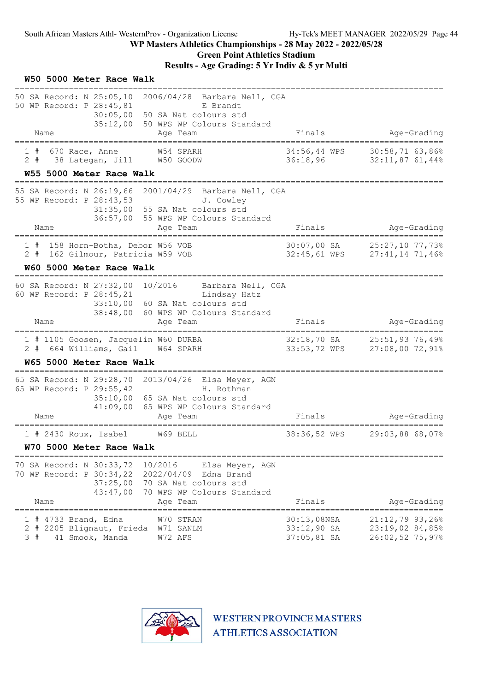# Green Point Athletics Stadium

Results - Age Grading: 5 Yr Indiv & 5 yr Multi

| W50 5000 Meter Race Walk                                                                                                                      |                                                                                                                           |                                             |                                                             |
|-----------------------------------------------------------------------------------------------------------------------------------------------|---------------------------------------------------------------------------------------------------------------------------|---------------------------------------------|-------------------------------------------------------------|
| 50 SA Record: N 25:05,10 2006/04/28 Barbara Nell, CGA<br>50 WP Record: P 28:45,81<br>Name                                                     | E Brandt<br>30:05,00 50 SA Nat colours std<br>35:12,00 50 WPS WP Colours Standard<br>Age Team                             | Finals                                      | Age-Grading                                                 |
| ==========================                                                                                                                    | =================                                                                                                         |                                             |                                                             |
| 670 Race, Anne<br>1#<br>38 Lategan, Jill W50 GOODW<br>$2 +$                                                                                   | W54 SPARH                                                                                                                 | $34:56,44$ WPS<br>36:18,96                  | 30:58,71 63,86%<br>$32:11,87$ 61,44%                        |
| W55 5000 Meter Race Walk<br>================================                                                                                  |                                                                                                                           |                                             |                                                             |
| 55 SA Record: N 26:19,66 2001/04/29 Barbara Nell, CGA<br>55 WP Record: P 28:43,53                                                             | J. Cowley<br>31:35,00 55 SA Nat colours std<br>36:57,00 55 WPS WP Colours Standard                                        |                                             |                                                             |
| Name<br>=================================                                                                                                     | Age Team                                                                                                                  | Finals                                      | Age-Grading                                                 |
| 1 # 158 Horn-Botha, Debor W56 VOB<br>2 # 162 Gilmour, Patricia W59 VOB                                                                        |                                                                                                                           |                                             | 30:07,00 SA 25:27,10 77,73%<br>32:45,61 WPS 27:41,14 71,46% |
| W60 5000 Meter Race Walk                                                                                                                      |                                                                                                                           |                                             |                                                             |
| 60 SA Record: N 27:32,00 10/2016 Barbara Nell, CGA<br>60 WP Record: P 28:45,21<br>Name                                                        | Lindsay Hatz<br>33:10,00 60 SA Nat colours std<br>38:48,00 60 WPS WP Colours Standard<br>Age Team                         | Finals                                      | Age-Grading                                                 |
|                                                                                                                                               |                                                                                                                           |                                             |                                                             |
| 1 # 1105 Goosen, Jacquelin W60 DURBA<br>2 # 664 Williams, Gail W64 SPARH                                                                      |                                                                                                                           | 33:53,72 WPS                                | 32:18,70 SA 25:51,93 76,49%<br>27:08,00 72,91%              |
| W65 5000 Meter Race Walk                                                                                                                      |                                                                                                                           |                                             |                                                             |
| 65 SA Record: N 29:28,70 2013/04/26 Elsa Meyer, AGN<br>65 WP Record: P 29:55,42<br>41:09,00<br>Name<br>====================================== | H. Rothman<br>35:10,00 65 SA Nat colours std<br>65 WPS WP Colours Standard<br>Age Team                                    | Finals                                      | Age-Grading                                                 |
| 1 # 2430 Roux, Isabel W69 BELL                                                                                                                |                                                                                                                           | 38:36,52 WPS                                | 29:03,88 68,07%                                             |
| W70 5000 Meter Race Walk                                                                                                                      |                                                                                                                           |                                             |                                                             |
| 70 SA Record: N 30:33,72<br>70 WP Record: P 30:34,22<br>37:25,00<br>43:47,00<br>Name                                                          | 10/2016<br>Elsa Meyer, AGN<br>2022/04/09<br>Edna Brand<br>70 SA Nat colours std<br>70 WPS WP Colours Standard<br>Age Team | Finals                                      | Age-Grading                                                 |
| 4733 Brand, Edna<br>2 # 2205 Blignaut, Frieda<br>3#<br>41 Smook, Manda                                                                        | W70 STRAN<br>W71 SANLM<br>W72 AFS                                                                                         | 30:13,08NSA<br>33:12,90 SA<br>$37:05,81$ SA | $21:12,79$ 93,26%<br>23:19,02 84,85%<br>$26:02,52$ 75,97%   |

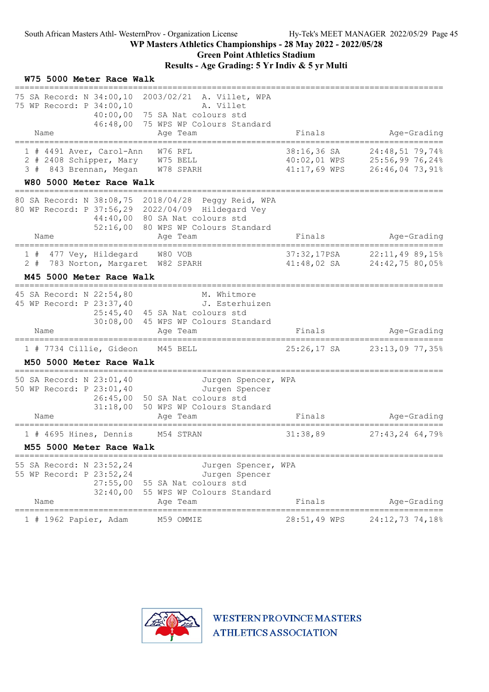# Green Point Athletics Stadium

| W75 5000 Meter Race Walk                                                                                                                                                                                                                       |                                                               |                                    |
|------------------------------------------------------------------------------------------------------------------------------------------------------------------------------------------------------------------------------------------------|---------------------------------------------------------------|------------------------------------|
| 75 SA Record: N 34:00,10 2003/02/21 A. Villet, WPA<br>75 WP Record: P 34:00,10<br>A. Villet<br>75 SA Nat colours std<br>40:00,00<br>46:48,00<br>75 WPS WP Colours Standard<br>Age Team<br>Name                                                 | Finals                                                        | Age-Grading                        |
| W76 RFL<br>1 # 4491 Aver, Carol-Ann<br>2 # 2408 Schipper, Mary W75 BELL<br>3 # 843 Brennan, Megan W78 SPARH<br>W80 5000 Meter Race Walk                                                                                                        | 38:16,36 SA<br>40:02,01 WPS 25:56,99 76,24%<br>$41:17,69$ WPS | 24:48,51 79,74%<br>26:46,04 73,91% |
| __________________________________<br>80 SA Record: N 38:08,75 2018/04/28 Peggy Reid, WPA<br>80 WP Record: P 37:56,29 2022/04/09 Hildegard Vey<br>44:40,00 80 SA Nat colours std<br>80 WPS WP Colours Standard<br>52:16,00<br>Name<br>Age Team | Finals                                                        | Age-Grading                        |
| =====================================<br>1 # 477 Vey, Hildegard W80 VOB<br>783 Norton, Margaret W82 SPARH<br>2#<br>M45 5000 Meter Race Walk                                                                                                    | 37:32,17PSA 22:11,49 89,15%<br>41:48,02 SA 24:42,75 80,05%    |                                    |
| 45 SA Record: N 22:54,80<br>M. Whitmore<br>45 WP Record: P 23:37,40<br>J. Esterhuizen<br>25:45,40 45 SA Nat colours std<br>30:08,00 45 WPS WP Colours Standard<br>Age Team<br>Name                                                             | Finals                                                        | Age-Grading                        |
| 1 # 7734 Cillie, Gideon M45 BELL<br>M50 5000 Meter Race Walk                                                                                                                                                                                   | 25:26,17 SA 23:13,09 77,35%                                   |                                    |
| 50 SA Record: N 23:01,40<br>Jurgen Spencer, WPA<br>50 WP Record: P 23:01,40<br>Jurgen Spencer<br>26:45,00 50 SA Nat colours std<br>31:18,00<br>50 WPS WP Colours Standard<br>Name<br>Age Team                                                  | Finals                                                        | Age-Grading                        |
| 1 # 4695 Hines, Dennis M54 STRAN<br>M55 5000 Meter Race Walk                                                                                                                                                                                   | =======================<br>31:38,89                           | $27:43,24$ 64,79%                  |
| 55 SA Record: N 23:52,24<br>Jurgen Spencer, WPA<br>55 WP Record: P 23:52,24<br>Jurgen Spencer<br>27:55,00<br>55 SA Nat colours std<br>32:40,00<br>55 WPS WP Colours Standard<br>Name<br>Age Team                                               | Finals                                                        | Age-Grading                        |
| ==============<br>$1$ # 1962 Papier, Adam<br>M59 OMMIE                                                                                                                                                                                         | ----------------------<br>28:51,49 WPS                        | 24:12,73 74,18%                    |